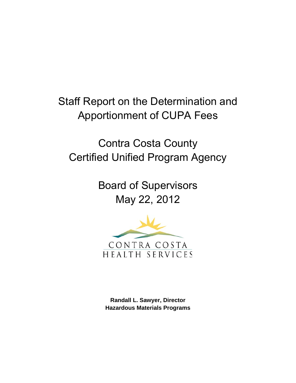Staff Report on the Determination and Apportionment of CUPA Fees

Contra Costa County Certified Unified Program Agency

> Board of Supervisors May 22, 2012



**Randall L. Sawyer, Director Hazardous Materials Programs**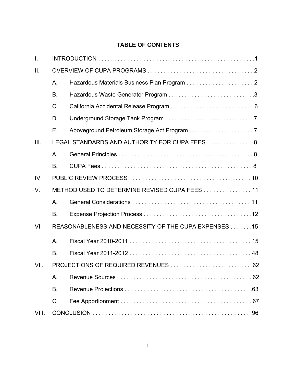# **TABLE OF CONTENTS**

| $\mathbf{I}$ . |           |                                                      |
|----------------|-----------|------------------------------------------------------|
| Ш.             |           |                                                      |
|                | A.        |                                                      |
|                | <b>B.</b> |                                                      |
|                | C.        |                                                      |
|                | D.        |                                                      |
|                | Ε.        |                                                      |
| III.           |           | LEGAL STANDARDS AND AUTHORITY FOR CUPA FEES 8        |
|                | Α.        |                                                      |
|                | <b>B.</b> |                                                      |
| IV.            |           |                                                      |
| V.             |           | METHOD USED TO DETERMINE REVISED CUPA FEES 11        |
|                | Α.        |                                                      |
|                | Β.        |                                                      |
| VI.            |           | REASONABLENESS AND NECESSITY OF THE CUPA EXPENSES 15 |
|                | Α.        |                                                      |
|                | <b>B.</b> |                                                      |
| VII.           |           |                                                      |
|                | А.        |                                                      |
|                | В.        |                                                      |
|                | C.        |                                                      |
| VIII.          |           |                                                      |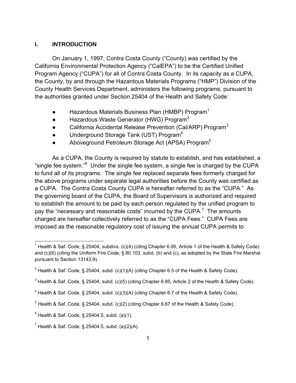## **I. INTRODUCTION**

 On January 1, 1997, Contra Costa County ("County) was certified by the California Environmental Protection Agency ("CalEPA") to be the Certified Unified Program Agency ("CUPA") for all of Contra Costa County. In its capacity as a CUPA, the County, by and through the Hazardous Materials Programs ("HMP") Division of the County Health Services Department, administers the following programs, pursuant to the authorities granted under Section 25404 of the Health and Safety Code:

- $\bullet$  Hazardous Materials Business Plan (HMBP) Program<sup>1</sup>
- $\bullet$  Hazardous Waste Generator (HWG) Program<sup>2</sup>
- California Accidental Release Prevention (Cal/ARP) Program<sup>3</sup>
- $\bullet$  Underground Storage Tank (UST) Program<sup>4</sup>
- Aboveground Petroleum Storage Act (APSA) Program<sup>5</sup>

 As a CUPA, the County is required by statute to establish, and has established, a "single fee system." $6$  Under the single fee system, a single fee is charged by the CUPA to fund all of its programs. The single fee replaced separate fees formerly charged for the above programs under separate legal authorities before the County was certified as a CUPA. The Contra Costa County CUPA is hereafter referred to as the "CUPA." As the governing board of the CUPA, the Board of Supervisors is authorized and required to establish the amount to be paid by each person regulated by the unified program to pay the "necessary and reasonable costs" incurred by the CUPA.<sup>7</sup> The amounts charged are hereafter collectively referred to as the "CUPA Fees." CUPA Fees are imposed as the reasonable regulatory cost of issuing the annual CUPA permits to

<sup>&</sup>lt;sup>1</sup> Health & Saf. Code, § 25404, subdivs. (c)(4) (citing Chapter 6.95, Article 1 of the Health & Safety Code) and (c)(6) (citing the Uniform Fire Code, § 80.103, subd. (b) and (c), as adopted by the State Fire Marshal pursuant to Section 13143.9).

<sup>&</sup>lt;sup>2</sup> Health & Saf. Code, § 25404, subd. (c)(1)(A) (citing Chapter 6.5 of the Health & Safety Code).

 $^3$  Health & Saf. Code, § 25404, subd. (c)(5) (citing Chapter 6.95, Article 2 of the Health & Safety Code).

<sup>&</sup>lt;sup>4</sup> Health & Saf. Code, § 25404, subd. (c)(3)(A) (citing Chapter 6.7 of the Health & Safety Code).

 $<sup>5</sup>$  Health & Saf. Code, § 25404, subd. (c)(2) (citing Chapter 6.67 of the Health & Safety Code).</sup>

 $^6$  Health & Saf. Code, § 25404.5, subd. (a)(1).

<sup>&</sup>lt;sup>7</sup> Health & Saf. Code, § 25404.5, subd. (a)(2)(A).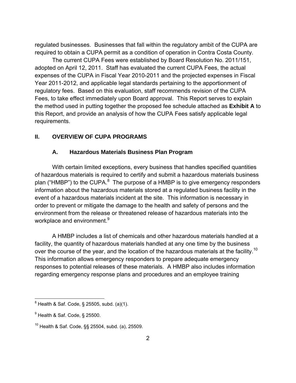regulated businesses. Businesses that fall within the regulatory ambit of the CUPA are required to obtain a CUPA permit as a condition of operation in Contra Costa County.

 The current CUPA Fees were established by Board Resolution No. 2011/151, adopted on April 12, 2011. Staff has evaluated the current CUPA Fees, the actual expenses of the CUPA in Fiscal Year 2010-2011 and the projected expenses in Fiscal Year 2011-2012, and applicable legal standards pertaining to the apportionment of regulatory fees. Based on this evaluation, staff recommends revision of the CUPA Fees, to take effect immediately upon Board approval. This Report serves to explain the method used in putting together the proposed fee schedule attached as **Exhibit A** to this Report, and provide an analysis of how the CUPA Fees satisfy applicable legal requirements.

# **II. OVERVIEW OF CUPA PROGRAMS**

### **A. Hazardous Materials Business Plan Program**

 With certain limited exceptions, every business that handles specified quantities of hazardous materials is required to certify and submit a hazardous materials business plan ("HMBP") to the CUPA. $^8$  The purpose of a HMBP is to give emergency responders information about the hazardous materials stored at a regulated business facility in the event of a hazardous materials incident at the site. This information is necessary in order to prevent or mitigate the damage to the health and safety of persons and the environment from the release or threatened release of hazardous materials into the workplace and environment.<sup>9</sup>

 A HMBP includes a list of chemicals and other hazardous materials handled at a facility, the quantity of hazardous materials handled at any one time by the business over the course of the year, and the location of the hazardous materials at the facility.<sup>10</sup> This information allows emergency responders to prepare adequate emergency responses to potential releases of these materials. A HMBP also includes information regarding emergency response plans and procedures and an employee training

 8 Health & Saf. Code, § 25505, subd. (a)(1).

 $^9$  Health & Saf. Code, § 25500.

 $10$  Health & Saf. Code,  $\S$ § 25504, subd. (a), 25509.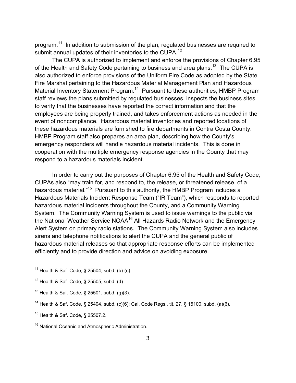program.<sup>11</sup> In addition to submission of the plan, regulated businesses are required to submit annual updates of their inventories to the CUPA.<sup>12</sup>

 The CUPA is authorized to implement and enforce the provisions of Chapter 6.95 of the Health and Safety Code pertaining to business and area plans.<sup>13</sup> The CUPA is also authorized to enforce provisions of the Uniform Fire Code as adopted by the State Fire Marshal pertaining to the Hazardous Material Management Plan and Hazardous Material Inventory Statement Program.<sup>14</sup> Pursuant to these authorities, HMBP Program staff reviews the plans submitted by regulated businesses, inspects the business sites to verify that the businesses have reported the correct information and that the employees are being properly trained, and takes enforcement actions as needed in the event of noncompliance. Hazardous material inventories and reported locations of these hazardous materials are furnished to fire departments in Contra Costa County. HMBP Program staff also prepares an area plan, describing how the County's emergency responders will handle hazardous material incidents. This is done in cooperation with the multiple emergency response agencies in the County that may respond to a hazardous materials incident.

 In order to carry out the purposes of Chapter 6.95 of the Health and Safety Code, CUPAs also "may train for, and respond to, the release, or threatened release, of a hazardous material."<sup>15</sup> Pursuant to this authority, the HMBP Program includes a Hazardous Materials Incident Response Team ("IR Team"), which responds to reported hazardous material incidents throughout the County, and a Community Warning System. The Community Warning System is used to issue warnings to the public via the National Weather Service NOAA<sup>16</sup> All Hazards Radio Network and the Emergency Alert System on primary radio stations. The Community Warning System also includes sirens and telephone notifications to alert the CUPA and the general public of hazardous material releases so that appropriate response efforts can be implemented efficiently and to provide direction and advice on avoiding exposure.

<sup>&</sup>lt;sup>11</sup> Health & Saf. Code, § 25504, subd. (b)-(c).

 $12$  Health & Saf. Code, § 25505, subd. (d).

 $13$  Health & Saf. Code, § 25501, subd. (g)(3).

<sup>14</sup> Health & Saf. Code, § 25404, subd. (c)(6); Cal. Code Regs., tit. 27, § 15100, subd. (a)(6).

<sup>15</sup> Health & Saf. Code, § 25507.2.

<sup>&</sup>lt;sup>16</sup> National Oceanic and Atmospheric Administration.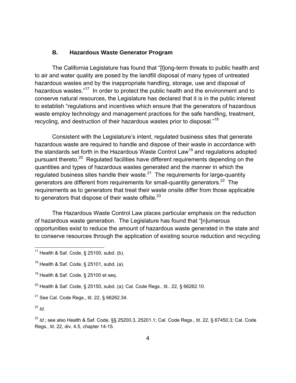### **B. Hazardous Waste Generator Program**

 The California Legislature has found that "[l]ong-term threats to public health and to air and water quality are posed by the landfill disposal of many types of untreated hazardous wastes and by the inappropriate handling, storage, use and disposal of hazardous wastes."<sup>17</sup> In order to protect the public health and the environment and to conserve natural resources, the Legislature has declared that it is in the public interest to establish "regulations and incentives which ensure that the generators of hazardous waste employ technology and management practices for the safe handling, treatment, recycling, and destruction of their hazardous wastes prior to disposal."18

 Consistent with the Legislature's intent, regulated business sites that generate hazardous waste are required to handle and dispose of their waste in accordance with the standards set forth in the Hazardous Waste Control Law<sup>19</sup> and regulations adopted pursuant thereto.<sup>20</sup> Regulated facilities have different requirements depending on the quantities and types of hazardous wastes generated and the manner in which the regulated business sites handle their waste.21 The requirements for large-quantity generators are different from requirements for small-quantity generators.<sup>22</sup> The requirements as to generators that treat their waste onsite differ from those applicable to generators that dispose of their waste offsite. $23$ 

 The Hazardous Waste Control Law places particular emphasis on the reduction of hazardous waste generation. The Legislature has found that "[n]umerous opportunities exist to reduce the amount of hazardous waste generated in the state and to conserve resources through the application of existing source reduction and recycling

 $22$  *Id.* 

1

<sup>23</sup> *Id.*; see also Health & Saf. Code, §§ 25200.3, 25201.1; Cal. Code Regs., tit. 22, § 67450.3; Cal. Code Regs., tit. 22, div. 4.5, chapter 14-15.

 $17$  Health & Saf. Code, § 25100, subd. (b).

 $18$  Health & Saf. Code, § 25101, subd. (a).

 $19$  Health & Saf. Code, § 25100 et seq.

<sup>&</sup>lt;sup>20</sup> Health & Saf. Code, § 25150, subd. (a); Cal. Code Regs., tit.. 22, § 66262.10.

<sup>21</sup> See Cal. Code Regs., tit. 22, § 66262.34.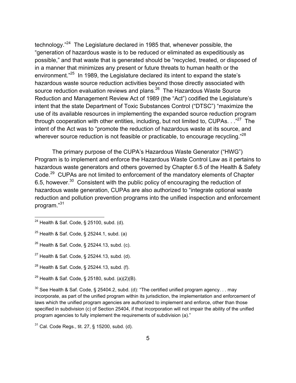technology."24 The Legislature declared in 1985 that, whenever possible, the "generation of hazardous waste is to be reduced or eliminated as expeditiously as possible," and that waste that is generated should be "recycled, treated, or disposed of in a manner that minimizes any present or future threats to human health or the environment."<sup>25</sup> In 1989, the Legislature declared its intent to expand the state's hazardous waste source reduction activities beyond those directly associated with source reduction evaluation reviews and plans.<sup>26</sup> The Hazardous Waste Source Reduction and Management Review Act of 1989 (the "Act") codified the Legislature's intent that the state Department of Toxic Substances Control ("DTSC") "maximize the use of its available resources in implementing the expanded source reduction program through cooperation with other entities, including, but not limited to, CUPAs.  $\cdot$ .<sup>"27</sup> The intent of the Act was to "promote the reduction of hazardous waste at its source, and wherever source reduction is not feasible or practicable, to encourage recycling."<sup>28</sup>

 The primary purpose of the CUPA's Hazardous Waste Generator ("HWG") Program is to implement and enforce the Hazardous Waste Control Law as it pertains to hazardous waste generators and others governed by Chapter 6.5 of the Health & Safety Code.<sup>29</sup> CUPAs are not limited to enforcement of the mandatory elements of Chapter 6.5, however.<sup>30</sup> Consistent with the public policy of encouraging the reduction of hazardous waste generation, CUPAs are also authorized to "integrate optional waste reduction and pollution prevention programs into the unified inspection and enforcement program."31

1

 $^{24}$  Health & Saf. Code, § 25100, subd. (d).

 $25$  Health & Saf. Code, § 25244.1, subd. (a)

 $26$  Health & Saf. Code, § 25244.13, subd. (c).

 $27$  Health & Saf. Code, § 25244.13, subd. (d).

<sup>28</sup> Health & Saf. Code, § 25244.13, subd. (f).

<sup>&</sup>lt;sup>29</sup> Health & Saf. Code, § 25180, subd.  $(a)(2)(B)$ .

 $30$  See Health & Saf. Code, § 25404.2, subd. (d): "The certified unified program agency... may incorporate, as part of the unified program within its jurisdiction, the implementation and enforcement of laws which the unified program agencies are authorized to implement and enforce, other than those specified in subdivision (c) of Section 25404, if that incorporation will not impair the ability of the unified program agencies to fully implement the requirements of subdivision (a)."

 $31$  Cal. Code Regs., tit. 27, § 15200, subd. (d).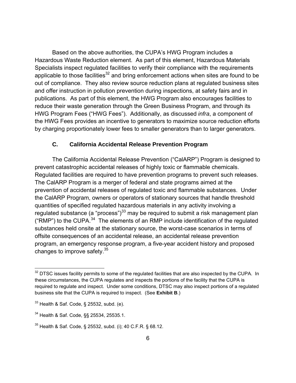Based on the above authorities, the CUPA's HWG Program includes a Hazardous Waste Reduction element. As part of this element, Hazardous Materials Specialists inspect regulated facilities to verify their compliance with the requirements applicable to those facilities $32$  and bring enforcement actions when sites are found to be out of compliance. They also review source reduction plans at regulated business sites and offer instruction in pollution prevention during inspections, at safety fairs and in publications. As part of this element, the HWG Program also encourages facilities to reduce their waste generation through the Green Business Program, and through its HWG Program Fees ("HWG Fees"). Additionally, as discussed *infra*, a component of the HWG Fees provides an incentive to generators to maximize source reduction efforts by charging proportionately lower fees to smaller generators than to larger generators.

## **C. California Accidental Release Prevention Program**

 The California Accidental Release Prevention ("CalARP") Program is designed to prevent catastrophic accidental releases of highly toxic or flammable chemicals. Regulated facilities are required to have prevention programs to prevent such releases. The CalARP Program is a merger of federal and state programs aimed at the prevention of accidental releases of regulated toxic and flammable substances. Under the CalARP Program, owners or operators of stationary sources that handle threshold quantities of specified regulated hazardous materials in any activity involving a regulated substance (a "process")<sup>33</sup> may be required to submit a risk management plan ("RMP") to the CUPA.<sup>34</sup> The elements of an RMP include identification of the regulated substances held onsite at the stationary source, the worst-case scenarios in terms of offsite consequences of an accidental release, an accidental release prevention program, an emergency response program, a five-year accident history and proposed changes to improve safety.35

 $32$  DTSC issues facility permits to some of the regulated facilities that are also inspected by the CUPA. In these circumstances, the CUPA regulates and inspects the portions of the facility that the CUPA is required to regulate and inspect. Under some conditions, DTSC may also inspect portions of a regulated business site that the CUPA is required to inspect. (See **Exhibit B**.)

 $33$  Health & Saf. Code, § 25532, subd. (e).

<sup>34</sup> Health & Saf. Code, §§ 25534, 25535.1.

 $35$  Health & Saf. Code, § 25532, subd. (i); 40 C.F.R. § 68.12.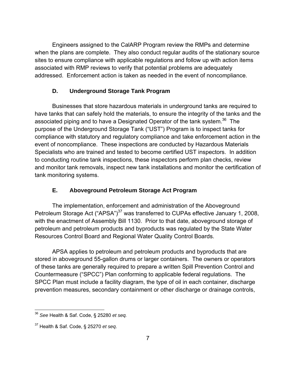Engineers assigned to the CalARP Program review the RMPs and determine when the plans are complete. They also conduct regular audits of the stationary source sites to ensure compliance with applicable regulations and follow up with action items associated with RMP reviews to verify that potential problems are adequately addressed. Enforcement action is taken as needed in the event of noncompliance.

# **D. Underground Storage Tank Program**

 Businesses that store hazardous materials in underground tanks are required to have tanks that can safely hold the materials, to ensure the integrity of the tanks and the associated piping and to have a Designated Operator of the tank system.<sup>36</sup> The purpose of the Underground Storage Tank ("UST") Program is to inspect tanks for compliance with statutory and regulatory compliance and take enforcement action in the event of noncompliance. These inspections are conducted by Hazardous Materials Specialists who are trained and tested to become certified UST inspectors. In addition to conducting routine tank inspections, these inspectors perform plan checks, review and monitor tank removals, inspect new tank installations and monitor the certification of tank monitoring systems.

# **E. Aboveground Petroleum Storage Act Program**

 The implementation, enforcement and administration of the Aboveground Petroleum Storage Act ("APSA")<sup>37</sup> was transferred to CUPAs effective January 1, 2008, with the enactment of Assembly Bill 1130. Prior to that date, aboveground storage of petroleum and petroleum products and byproducts was regulated by the State Water Resources Control Board and Regional Water Quality Control Boards.

 APSA applies to petroleum and petroleum products and byproducts that are stored in aboveground 55-gallon drums or larger containers. The owners or operators of these tanks are generally required to prepare a written Spill Prevention Control and Countermeasure ("SPCC") Plan conforming to applicable federal regulations. The SPCC Plan must include a facility diagram, the type of oil in each container, discharge prevention measures, secondary containment or other discharge or drainage controls,

1

<sup>36</sup> *See* Health & Saf. Code, § 25280 *et seq.*

<sup>37</sup> Health & Saf. Code, § 25270 *et seq*.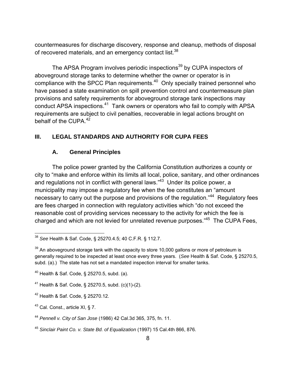countermeasures for discharge discovery, response and cleanup, methods of disposal of recovered materials, and an emergency contact list.<sup>38</sup>

The APSA Program involves periodic inspections<sup>39</sup> by CUPA inspectors of aboveground storage tanks to determine whether the owner or operator is in compliance with the SPCC Plan requirements.<sup>40</sup> Only specially trained personnel who have passed a state examination on spill prevention control and countermeasure plan provisions and safety requirements for aboveground storage tank inspections may conduct APSA inspections.<sup>41</sup> Tank owners or operators who fail to comply with APSA requirements are subject to civil penalties, recoverable in legal actions brought on behalf of the CUPA.<sup>42</sup>

# **III. LEGAL STANDARDS AND AUTHORITY FOR CUPA FEES**

# **A. General Principles**

 The police power granted by the California Constitution authorizes a county or city to "make and enforce within its limits all local, police, sanitary, and other ordinances and regulations not in conflict with general laws."<sup>43</sup> Under its police power, a municipality may impose a regulatory fee when the fee constitutes an "amount necessary to carry out the purpose and provisions of the regulation."<sup>44</sup> Regulatory fees are fees charged in connection with regulatory activities which "do not exceed the reasonable cost of providing services necessary to the activity for which the fee is charged and which are not levied for unrelated revenue purposes."45 The CUPA Fees,

 $\overline{a}$ <sup>38</sup> *See* Health & Saf. Code, § 25270.4.5; 40 C.F.R. § 112.7.

 $39$  An aboveground storage tank with the capacity to store 10,000 gallons or more of petroleum is generally required to be inspected at least once every three years. (*See* Health & Saf. Code, § 25270.5, subd. (a).) The state has not set a mandated inspection interval for smaller tanks.

<sup>40</sup> Health & Saf. Code, § 25270.5, subd. (a).

<sup>41</sup> Health & Saf. Code, § 25270.5, subd. (c)(1)-(2).

<sup>42</sup> Health & Saf. Code, § 25270.12.

 $43$  Cal. Const., article XI, § 7.

<sup>44</sup> *Pennell v. City of San Jose* (1986) 42 Cal.3d 365, 375, fn. 11.

<sup>45</sup> *Sinclair Paint Co. v. State Bd. of Equalization* (1997) 15 Cal.4th 866, 876.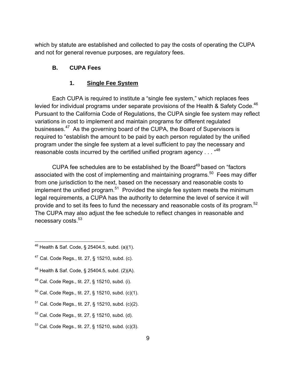which by statute are established and collected to pay the costs of operating the CUPA and not for general revenue purposes, are regulatory fees.

# **B. CUPA Fees**

# **1. Single Fee System**

 Each CUPA is required to institute a "single fee system," which replaces fees levied for individual programs under separate provisions of the Health & Safety Code.<sup>46</sup> Pursuant to the California Code of Regulations, the CUPA single fee system may reflect variations in cost to implement and maintain programs for different regulated businesses.47 As the governing board of the CUPA, the Board of Supervisors is required to "establish the amount to be paid by each person regulated by the unified program under the single fee system at a level sufficient to pay the necessary and reasonable costs incurred by the certified unified program agency . . . "48

CUPA fee schedules are to be established by the Board $49$  based on "factors" associated with the cost of implementing and maintaining programs.<sup>50</sup> Fees may differ from one jurisdiction to the next, based on the necessary and reasonable costs to implement the unified program.<sup>51</sup> Provided the single fee system meets the minimum legal requirements, a CUPA has the authority to determine the level of service it will provide and to set its fees to fund the necessary and reasonable costs of its program.<sup>52</sup> The CUPA may also adjust the fee schedule to reflect changes in reasonable and necessary costs.<sup>53</sup>

- $\overline{a}$  $^{46}$  Health & Saf. Code, § 25404.5, subd. (a)(1).
- <sup>47</sup> Cal. Code Regs., tit. 27, § 15210, subd. (c).
- $48$  Health & Saf. Code, § 25404.5, subd. (2)(A).
- $49$  Cal. Code Regs., tit. 27, § 15210, subd. (i).
- $50$  Cal. Code Regs., tit. 27, § 15210, subd. (c)(1).
- <sup>51</sup> Cal. Code Regs., tit. 27, § 15210, subd. (c)(2).
- $52$  Cal. Code Regs., tit. 27, § 15210, subd. (d).
- 53 Cal. Code Regs., tit. 27, § 15210, subd. (c)(3).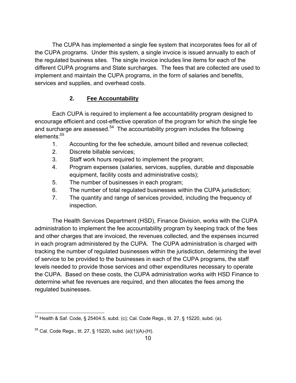The CUPA has implemented a single fee system that incorporates fees for all of the CUPA programs. Under this system, a single invoice is issued annually to each of the regulated business sites. The single invoice includes line items for each of the different CUPA programs and State surcharges. The fees that are collected are used to implement and maintain the CUPA programs, in the form of salaries and benefits, services and supplies, and overhead costs.

# **2. Fee Accountability**

 Each CUPA is required to implement a fee accountability program designed to encourage efficient and cost-effective operation of the program for which the single fee and surcharge are assessed. $54$  The accountability program includes the following elements: 55

- 1. Accounting for the fee schedule, amount billed and revenue collected;
- 2. Discrete billable services;
- 3. Staff work hours required to implement the program;
- 4. Program expenses (salaries, services, supplies, durable and disposable equipment, facility costs and administrative costs);
- 5. The number of businesses in each program;
- 6. The number of total regulated businesses within the CUPA jurisdiction;
- 7. The quantity and range of services provided, including the frequency of inspection.

 The Health Services Department (HSD), Finance Division, works with the CUPA administration to implement the fee accountability program by keeping track of the fees and other charges that are invoiced, the revenues collected, and the expenses incurred in each program administered by the CUPA. The CUPA administration is charged with tracking the number of regulated businesses within the jurisdiction, determining the level of service to be provided to the businesses in each of the CUPA programs, the staff levels needed to provide those services and other expenditures necessary to operate the CUPA. Based on these costs, the CUPA administration works with HSD Finance to determine what fee revenues are required, and then allocates the fees among the regulated businesses.

<sup>1</sup>  $54$  Health & Saf. Code, § 25404.5, subd. (c); Cal. Code Regs., tit. 27, § 15220, subd. (a).

 $55$  Cal. Code Regs., tit. 27, § 15220, subd. (a)(1)(A)-(H).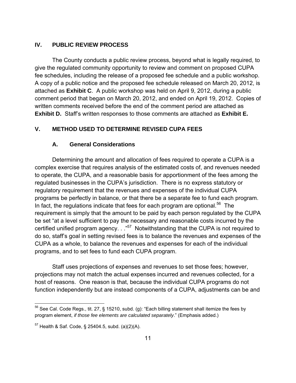# **IV. PUBLIC REVIEW PROCESS**

 The County conducts a public review process, beyond what is legally required, to give the regulated community opportunity to review and comment on proposed CUPA fee schedules, including the release of a proposed fee schedule and a public workshop. A copy of a public notice and the proposed fee schedule released on March 20, 2012, is attached as **Exhibit C**. A public workshop was held on April 9, 2012, during a public comment period that began on March 20, 2012, and ended on April 19, 2012. Copies of written comments received before the end of the comment period are attached as **Exhibit D.** Staff's written responses to those comments are attached as **Exhibit E.** 

# **V. METHOD USED TO DETERMINE REVISED CUPA FEES**

### **A. General Considerations**

 Determining the amount and allocation of fees required to operate a CUPA is a complex exercise that requires analysis of the estimated costs of, and revenues needed to operate, the CUPA, and a reasonable basis for apportionment of the fees among the regulated businesses in the CUPA's jurisdiction. There is no express statutory or regulatory requirement that the revenues and expenses of the individual CUPA programs be perfectly in balance, or that there be a separate fee to fund each program. In fact, the regulations indicate that fees for each program are optional.<sup>56</sup> The requirement is simply that the amount to be paid by each person regulated by the CUPA be set "at a level sufficient to pay the necessary and reasonable costs incurred by the certified unified program agency. . . "<sup>57</sup> Notwithstanding that the CUPA is not required to do so, staff's goal in setting revised fees is to balance the revenues and expenses of the CUPA as a whole, to balance the revenues and expenses for each of the individual programs, and to set fees to fund each CUPA program.

 Staff uses projections of expenses and revenues to set those fees; however, projections may not match the actual expenses incurred and revenues collected, for a host of reasons. One reason is that, because the individual CUPA programs do not function independently but are instead components of a CUPA, adjustments can be and

 $56$  See Cal. Code Regs., tit. 27, § 15210, subd. (g): "Each billing statement shall itemize the fees by program element, *if those fee elements are calculated separately*." (Emphasis added.)

 $57$  Health & Saf. Code, § 25404.5, subd. (a)(2)(A).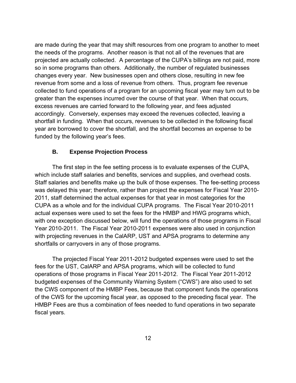are made during the year that may shift resources from one program to another to meet the needs of the programs. Another reason is that not all of the revenues that are projected are actually collected. A percentage of the CUPA's billings are not paid, more so in some programs than others. Additionally, the number of regulated businesses changes every year. New businesses open and others close, resulting in new fee revenue from some and a loss of revenue from others. Thus, program fee revenue collected to fund operations of a program for an upcoming fiscal year may turn out to be greater than the expenses incurred over the course of that year. When that occurs, excess revenues are carried forward to the following year, and fees adjusted accordingly. Conversely, expenses may exceed the revenues collected, leaving a shortfall in funding. When that occurs, revenues to be collected in the following fiscal year are borrowed to cover the shortfall, and the shortfall becomes an expense to be funded by the following year's fees.

## **B. Expense Projection Process**

 The first step in the fee setting process is to evaluate expenses of the CUPA, which include staff salaries and benefits, services and supplies, and overhead costs. Staff salaries and benefits make up the bulk of those expenses. The fee-setting process was delayed this year; therefore, rather than project the expenses for Fiscal Year 2010- 2011, staff determined the actual expenses for that year in most categories for the CUPA as a whole and for the individual CUPA programs. The Fiscal Year 2010-2011 actual expenses were used to set the fees for the HMBP and HWG programs which, with one exception discussed below, will fund the operations of those programs in Fiscal Year 2010-2011. The Fiscal Year 2010-2011 expenses were also used in conjunction with projecting revenues in the CalARP, UST and APSA programs to determine any shortfalls or carryovers in any of those programs.

 The projected Fiscal Year 2011-2012 budgeted expenses were used to set the fees for the UST, CalARP and APSA programs, which will be collected to fund operations of those programs in Fiscal Year 2011-2012. The Fiscal Year 2011-2012 budgeted expenses of the Community Warning System ("CWS") are also used to set the CWS component of the HMBP Fees, because that component funds the operations of the CWS for the upcoming fiscal year, as opposed to the preceding fiscal year. The HMBP Fees are thus a combination of fees needed to fund operations in two separate fiscal years.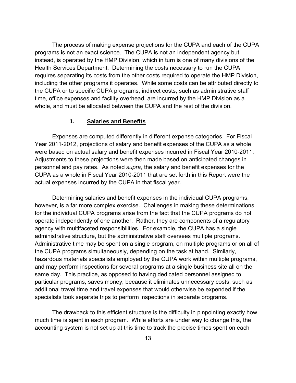The process of making expense projections for the CUPA and each of the CUPA programs is not an exact science. The CUPA is not an independent agency but, instead, is operated by the HMP Division, which in turn is one of many divisions of the Health Services Department. Determining the costs necessary to run the CUPA requires separating its costs from the other costs required to operate the HMP Division, including the other programs it operates. While some costs can be attributed directly to the CUPA or to specific CUPA programs, indirect costs, such as administrative staff time, office expenses and facility overhead, are incurred by the HMP Division as a whole, and must be allocated between the CUPA and the rest of the division.

#### **1. Salaries and Benefits**

 Expenses are computed differently in different expense categories. For Fiscal Year 2011-2012, projections of salary and benefit expenses of the CUPA as a whole were based on actual salary and benefit expenses incurred in Fiscal Year 2010-2011. Adjustments to these projections were then made based on anticipated changes in personnel and pay rates. As noted *supra*, the salary and benefit expenses for the CUPA as a whole in Fiscal Year 2010-2011 that are set forth in this Report were the actual expenses incurred by the CUPA in that fiscal year.

 Determining salaries and benefit expenses in the individual CUPA programs, however, is a far more complex exercise. Challenges in making these determinations for the individual CUPA programs arise from the fact that the CUPA programs do not operate independently of one another. Rather, they are components of a regulatory agency with multifaceted responsibilities. For example, the CUPA has a single administrative structure, but the administrative staff oversees multiple programs. Administrative time may be spent on a single program, on multiple programs or on all of the CUPA programs simultaneously, depending on the task at hand. Similarly, hazardous materials specialists employed by the CUPA work within multiple programs, and may perform inspections for several programs at a single business site all on the same day. This practice, as opposed to having dedicated personnel assigned to particular programs, saves money, because it eliminates unnecessary costs, such as additional travel time and travel expenses that would otherwise be expended if the specialists took separate trips to perform inspections in separate programs.

 The drawback to this efficient structure is the difficulty in pinpointing exactly how much time is spent in each program. While efforts are under way to change this, the accounting system is not set up at this time to track the precise times spent on each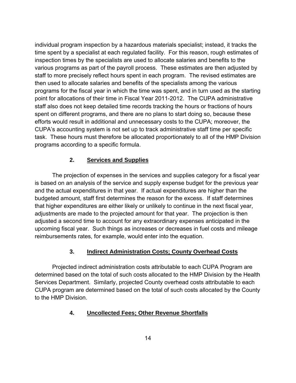individual program inspection by a hazardous materials specialist; instead, it tracks the time spent by a specialist at each regulated facility. For this reason, rough estimates of inspection times by the specialists are used to allocate salaries and benefits to the various programs as part of the payroll process. These estimates are then adjusted by staff to more precisely reflect hours spent in each program. The revised estimates are then used to allocate salaries and benefits of the specialists among the various programs for the fiscal year in which the time was spent, and in turn used as the starting point for allocations of their time in Fiscal Year 2011-2012. The CUPA administrative staff also does not keep detailed time records tracking the hours or fractions of hours spent on different programs, and there are no plans to start doing so, because these efforts would result in additional and unnecessary costs to the CUPA; moreover, the CUPA's accounting system is not set up to track administrative staff time per specific task. These hours must therefore be allocated proportionately to all of the HMP Division programs according to a specific formula.

# **2. Services and Supplies**

 The projection of expenses in the services and supplies category for a fiscal year is based on an analysis of the service and supply expense budget for the previous year and the actual expenditures in that year. If actual expenditures are higher than the budgeted amount, staff first determines the reason for the excess. If staff determines that higher expenditures are either likely or unlikely to continue in the next fiscal year, adjustments are made to the projected amount for that year. The projection is then adjusted a second time to account for any extraordinary expenses anticipated in the upcoming fiscal year. Such things as increases or decreases in fuel costs and mileage reimbursements rates, for example, would enter into the equation.

# **3. Indirect Administration Costs; County Overhead Costs**

 Projected indirect administration costs attributable to each CUPA Program are determined based on the total of such costs allocated to the HMP Division by the Health Services Department. Similarly, projected County overhead costs attributable to each CUPA program are determined based on the total of such costs allocated by the County to the HMP Division.

# **4. Uncollected Fees; Other Revenue Shortfalls**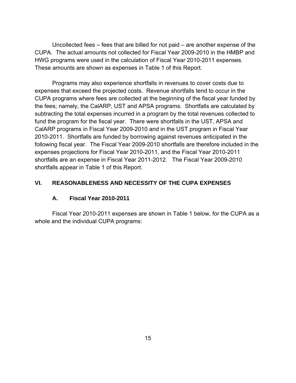Uncollected fees – fees that are billed for not paid – are another expense of the CUPA. The actual amounts not collected for Fiscal Year 2009-2010 in the HMBP and HWG programs were used in the calculation of Fiscal Year 2010-2011 expenses. These amounts are shown as expenses in Table 1 of this Report.

 Programs may also experience shortfalls in revenues to cover costs due to expenses that exceed the projected costs. Revenue shortfalls tend to occur in the CUPA programs where fees are collected at the beginning of the fiscal year funded by the fees; namely, the CalARP, UST and APSA programs. Shortfalls are calculated by subtracting the total expenses incurred in a program by the total revenues collected to fund the program for the fiscal year. There were shortfalls in the UST, APSA and CalARP programs in Fiscal Year 2009-2010 and in the UST program in Fiscal Year 2010-2011. Shortfalls are funded by borrowing against revenues anticipated in the following fiscal year. The Fiscal Year 2009-2010 shortfalls are therefore included in the expenses projections for Fiscal Year 2010-2011, and the Fiscal Year 2010-2011 shortfalls are an expense in Fiscal Year 2011-2012. The Fiscal Year 2009-2010 shortfalls appear in Table 1 of this Report.

# **VI. REASONABLENESS AND NECESSITY OF THE CUPA EXPENSES**

# **A. Fiscal Year 2010-2011**

 Fiscal Year 2010-2011 expenses are shown in Table 1 below, for the CUPA as a whole and the individual CUPA programs: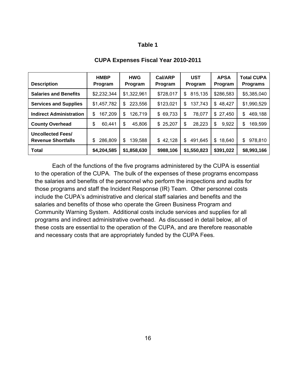## **Table 1**

|                                                       | <b>HMBP</b>   | <b>HWG</b>    | <b>Cal/ARP</b> | <b>UST</b>    | <b>APSA</b> | <b>Total CUPA</b> |
|-------------------------------------------------------|---------------|---------------|----------------|---------------|-------------|-------------------|
| <b>Description</b>                                    | Program       | Program       | Program        | Program       | Program     | <b>Programs</b>   |
| <b>Salaries and Benefits</b>                          | \$2,232,344   | \$1,322,961   | \$728,017      | 815,135<br>S  | \$286,583   | \$5,385,040       |
| <b>Services and Supplies</b>                          | \$1,457,782   | 223,556<br>S  | \$123,021      | 137,743<br>\$ | \$48,427    | \$1,990,529       |
| <b>Indirect Administration</b>                        | \$<br>167,209 | 126,719<br>\$ | \$69,733       | \$<br>78,077  | \$27,450    | 469,188<br>\$     |
| <b>County Overhead</b>                                | \$<br>60,441  | \$<br>45,806  | \$25,207       | 28,223<br>\$  | \$<br>9,922 | \$<br>169,599     |
| <b>Uncollected Fees/</b><br><b>Revenue Shortfalls</b> | \$<br>286,809 | 139,588<br>\$ | \$42,128       | \$<br>491,645 | \$18,640    | 978,810<br>\$     |
| <b>Total</b>                                          | \$4,204,585   | \$1,858,630   | \$988,106      | \$1,550,823   | \$391,022   | \$8,993,166       |

#### **CUPA Expenses Fiscal Year 2010-2011**

Each of the functions of the five programs administered by the CUPA is essential to the operation of the CUPA. The bulk of the expenses of these programs encompass the salaries and benefits of the personnel who perform the inspections and audits for those programs and staff the Incident Response (IR) Team. Other personnel costs include the CUPA's administrative and clerical staff salaries and benefits and the salaries and benefits of those who operate the Green Business Program and Community Warning System. Additional costs include services and supplies for all programs and indirect administrative overhead. As discussed in detail below, all of these costs are essential to the operation of the CUPA, and are therefore reasonable and necessary costs that are appropriately funded by the CUPA Fees.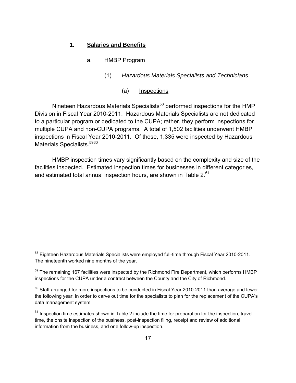## **1. Salaries and Benefits**

- a. HMBP Program
	- (1) *Hazardous Materials Specialists and Technicians*
		- (a) Inspections

Nineteen Hazardous Materials Specialists<sup>58</sup> performed inspections for the HMP Division in Fiscal Year 2010-2011. Hazardous Materials Specialists are not dedicated to a particular program or dedicated to the CUPA; rather, they perform inspections for multiple CUPA and non-CUPA programs. A total of 1,502 facilities underwent HMBP inspections in Fiscal Year 2010-2011. Of those, 1,335 were inspected by Hazardous Materials Specialists.<sup>5960</sup>

 HMBP inspection times vary significantly based on the complexity and size of the facilities inspected. Estimated inspection times for businesses in different categories, and estimated total annual inspection hours, are shown in Table 2.<sup>61</sup>

<sup>&</sup>lt;sup>58</sup> Eighteen Hazardous Materials Specialists were employed full-time through Fiscal Year 2010-2011. The nineteenth worked nine months of the year.

 $59$  The remaining 167 facilities were inspected by the Richmond Fire Department, which performs HMBP inspections for the CUPA under a contract between the County and the City of Richmond.

<sup>&</sup>lt;sup>60</sup> Staff arranged for more inspections to be conducted in Fiscal Year 2010-2011 than average and fewer the following year, in order to carve out time for the specialists to plan for the replacement of the CUPA's data management system.

 $61$  Inspection time estimates shown in Table 2 include the time for preparation for the inspection, travel time, the onsite inspection of the business, post-inspection filing, receipt and review of additional information from the business, and one follow-up inspection.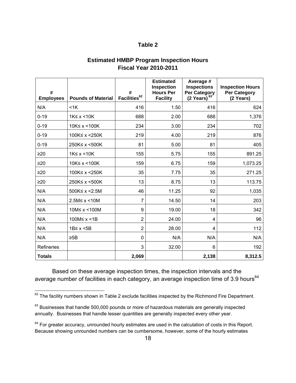# **Table 2**

| <b>Estimated HMBP Program Inspection Hours</b> |  |
|------------------------------------------------|--|
| <b>Fiscal Year 2010-2011</b>                   |  |

| #<br><b>Employees</b> | <b>Pounds of Material</b> | #<br>Facilities <sup>62</sup> | <b>Estimated</b><br><b>Inspection</b><br><b>Hours Per</b><br><b>Facility</b> | Average #<br><b>Inspections</b><br><b>Per Category</b><br>$(2 \text{ Years})^{63}$ | <b>Inspection Hours</b><br><b>Per Category</b><br>(2 Years) |
|-----------------------|---------------------------|-------------------------------|------------------------------------------------------------------------------|------------------------------------------------------------------------------------|-------------------------------------------------------------|
| N/A                   | $<$ 1 $K$                 | 416                           | 1.50                                                                         | 416                                                                                | 624                                                         |
| $0 - 19$              | $1K \leq x \leq 10K$      | 688                           | 2.00                                                                         | 688                                                                                | 1,376                                                       |
| $0 - 19$              | 10K≤ x <100K              | 234                           | 3.00                                                                         | 234                                                                                | 702                                                         |
| $0 - 19$              | 100K≤ x <250K             | 219                           | 4.00                                                                         | 219                                                                                | 876                                                         |
| $0 - 19$              | 250K≤ x <500K             | 81                            | 5.00                                                                         | 81                                                                                 | 405                                                         |
| $\geq 20$             | $1K \leq x \leq 10K$      | 155                           | 5.75                                                                         | 155                                                                                | 891.25                                                      |
| $\geq 20$             | 10K≤ x <100K              | 159                           | 6.75                                                                         | 159                                                                                | 1,073.25                                                    |
| $\geq 20$             | 100K≤ x <250K             | 35                            | 7.75                                                                         | 35                                                                                 | 271.25                                                      |
| $\geq 20$             | 250K≤ x <500K             | 13                            | 8.75                                                                         | 13                                                                                 | 113.75                                                      |
| N/A                   | 500K≤ x <2.5M             | 46                            | 11.25                                                                        | 92                                                                                 | 1,035                                                       |
| N/A                   | 2.5M≤ x < 10M             | 7                             | 14.50                                                                        | 14                                                                                 | 203                                                         |
| N/A                   | 10M≤ x <100M              | 9                             | 19.00                                                                        | 18                                                                                 | 342                                                         |
| N/A                   | 100M≤ x <1B               | $\overline{2}$                | 24.00                                                                        | 4                                                                                  | 96                                                          |
| N/A                   | 1B≤ x <5B                 | $\overline{2}$                | 28.00                                                                        | 4                                                                                  | 112                                                         |
| N/A                   | $\geq$ 5B                 | 0                             | N/A                                                                          | N/A                                                                                | N/A                                                         |
| <b>Refineries</b>     |                           | 3                             | 32.00                                                                        | 6                                                                                  | 192                                                         |
| <b>Totals</b>         |                           | 2,069                         |                                                                              | 2,138                                                                              | 8,312.5                                                     |

 Based on these average inspection times, the inspection intervals and the average number of facilities in each category, an average inspection time of 3.9 hours<sup>64</sup>

1

 $62$  The facility numbers shown in Table 2 exclude facilities inspected by the Richmond Fire Department.

 $63$  Businesses that handle 500,000 pounds or more of hazardous materials are generally inspected annually. Businesses that handle lesser quantities are generally inspected every other year.

 $64$  For greater accuracy, unrounded hourly estimates are used in the calculation of costs in this Report. Because showing unrounded numbers can be cumbersome, however, some of the hourly estimates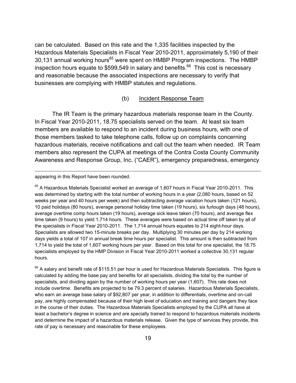can be calculated. Based on this rate and the 1,335 facilities inspected by the Hazardous Materials Specialists in Fiscal Year 2010-2011, approximately 5,190 of their 30,131 annual working hours<sup>65</sup> were spent on HMBP Program inspections. The HMBP inspection hours equate to  $$599,549$  in salary and benefits.<sup>66</sup> This cost is necessary and reasonable because the associated inspections are necessary to verify that businesses are complying with HMBP statutes and regulations.

## (b) Incident Response Team

 The IR Team is the primary hazardous materials response team in the County. In Fiscal Year 2010-2011, 18.75 specialists served on the team. At least six team members are available to respond to an incident during business hours, with one of those members tasked to take telephone calls, follow up on complaints concerning hazardous materials, receive notifications and call out the team when needed. IR Team members also represent the CUPA at meetings of the Contra Costa County Community Awareness and Response Group, Inc. ("CAER"), emergency preparedness, emergency

appearing in this Report have been rounded.

 $\overline{a}$ 

 $65$  A Hazardous Materials Specialist worked an average of 1,607 hours in Fiscal Year 2010-2011. This was determined by starting with the total number of working hours in a year (2,080 hours, based on 52 weeks per year and 40 hours per week) and then subtracting average vacation hours taken (121 hours), 10 paid holidays (80 hours), average personal holiday time taken (19 hours), six furlough days (48 hours), average overtime comp hours taken (19 hours), average sick leave taken (70 hours), and average flex time taken (9 hours) to yield 1,714 hours. These averages were based on actual time off taken by all of the specialists in Fiscal Year 2010-2011. The 1,714 annual hours equates to 214 eight-hour days. Specialists are allowed two 15-minute breaks per day. Multiplying 30 minutes per day by 214 working days yields a total of 107 in annual break time hours per specialist. This amount is then subtracted from 1,714 to yield the total of 1,607 working hours per year. Based on this total for one specialist, the 18.75 specialists employed by the HMP Division in Fiscal Year 2010-2011 worked a collective 30,131 regular hours.

<sup>66</sup> A salary and benefit rate of \$115.51 per hour is used for Hazardous Materials Specialists. This figure is calculated by adding the base pay and benefits for all specialists, dividing the total by the number of specialists, and dividing again by the number of working hours per year (1,607). This rate does not include overtime. Benefits are projected to be 79.3 percent of salaries.Hazardous Materials Specialists, who earn an average base salary of \$92,807 per year, in addition to differentials, overtime and on-call pay, are highly compensated because of their high level of education and training and dangers they face in the course of their duties. The Hazardous Materials Specialists employed by the CUPA all have at least a bachelor's degree in science and are specially trained to respond to hazardous materials incidents and determine the impact of a hazardous materials release. Given the type of services they provide, this rate of pay is necessary and reasonable for these employees.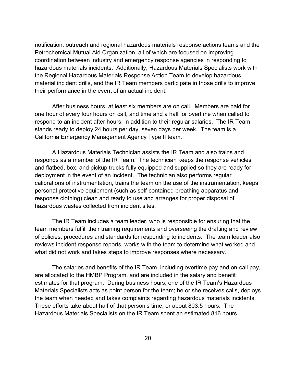notification, outreach and regional hazardous materials response actions teams and the Petrochemical Mutual Aid Organization, all of which are focused on improving coordination between industry and emergency response agencies in responding to hazardous materials incidents. Additionally, Hazardous Materials Specialists work with the Regional Hazardous Materials Response Action Team to develop hazardous material incident drills, and the IR Team members participate in those drills to improve their performance in the event of an actual incident.

 After business hours, at least six members are on call. Members are paid for one hour of every four hours on call, and time and a half for overtime when called to respond to an incident after hours, in addition to their regular salaries. The IR Team stands ready to deploy 24 hours per day, seven days per week. The team is a California Emergency Management Agency Type II team.

 A Hazardous Materials Technician assists the IR Team and also trains and responds as a member of the IR Team. The technician keeps the response vehicles and flatbed, box, and pickup trucks fully equipped and supplied so they are ready for deployment in the event of an incident. The technician also performs regular calibrations of instrumentation, trains the team on the use of the instrumentation, keeps personal protective equipment (such as self-contained breathing apparatus and response clothing) clean and ready to use and arranges for proper disposal of hazardous wastes collected from incident sites.

 The IR Team includes a team leader, who is responsible for ensuring that the team members fulfill their training requirements and overseeing the drafting and review of policies, procedures and standards for responding to incidents. The team leader also reviews incident response reports, works with the team to determine what worked and what did not work and takes steps to improve responses where necessary.

 The salaries and benefits of the IR Team, including overtime pay and on-call pay, are allocated to the HMBP Program, and are included in the salary and benefit estimates for that program. During business hours, one of the IR Team's Hazardous Materials Specialists acts as point person for the team; he or she receives calls, deploys the team when needed and takes complaints regarding hazardous materials incidents. These efforts take about half of that person's time, or about 803.5 hours. The Hazardous Materials Specialists on the IR Team spent an estimated 816 hours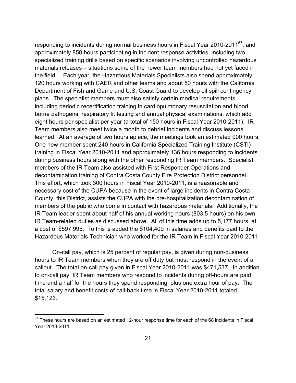responding to incidents during normal business hours in Fiscal Year 2010-2011<sup>67</sup>, and approximately 858 hours participating in incident response activities, including two specialized training drills based on specific scenarios involving uncontrolled hazardous materials releases – situations some of the newer team members had not yet faced in the field. Each year, the Hazardous Materials Specialists also spend approximately 120 hours working with CAER and other teams and about 50 hours with the California Department of Fish and Game and U.S. Coast Guard to develop oil spill contingency plans. The specialist members must also satisfy certain medical requirements, including periodic recertification training in cardiopulmonary resuscitation and blood borne pathogens, respiratory fit testing and annual physical examinations, which add eight hours per specialist per year (a total of 150 hours in Fiscal Year 2010-2011). IR Team members also meet twice a month to debrief incidents and discuss lessons learned. At an average of two hours apiece, the meetings took an estimated 900 hours. One new member spent 240 hours in California Specialized Training Institute (CSTI) training in Fiscal Year 2010-2011 and approximately 136 hours responding to incidents during business hours along with the other responding IR Team members. Specialist members of the IR Team also assisted with First Responder Operations and decontamination training of Contra Costa County Fire Protection District personnel. This effort, which took 300 hours in Fiscal Year 2010-2011, is a reasonable and necessary cost of the CUPA because in the event of large incidents in Contra Costa County, this District, assists the CUPA with the pre-hospitalization decontamination of members of the public who come in contact with hazardous materials. Additionally, the IR Team leader spent about half of his annual working hours (803.5 hours) on his own IR Team-related duties as discussed above. All of this time adds up to 5,177 hours, at a cost of \$597,995. To this is added the \$104,409 in salaries and benefits paid to the Hazardous Materials Technician who worked for the IR Team in Fiscal Year 2010-2011.

 On-call pay, which is 25 percent of regular pay, is given during non-business hours to IR Team members when they are off duty but must respond in the event of a callout. The total on-call pay given in Fiscal Year 2010-2011 was \$471,537. In addition to on-call pay, IR Team members who respond to incidents during off-hours are paid time and a half for the hours they spend responding, plus one extra hour of pay. The total salary and benefit costs of call-back time in Fiscal Year 2010-2011 totaled \$15,123.

 $67$  These hours are based on an estimated 12-hour response time for each of the 68 incidents in Fiscal Year 2010-2011.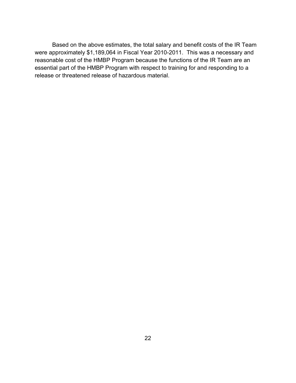Based on the above estimates, the total salary and benefit costs of the IR Team were approximately \$1,189,064 in Fiscal Year 2010-2011. This was a necessary and reasonable cost of the HMBP Program because the functions of the IR Team are an essential part of the HMBP Program with respect to training for and responding to a release or threatened release of hazardous material.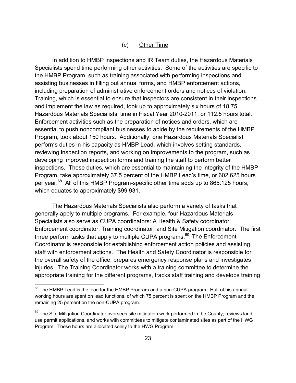## (c) Other Time

 In addition to HMBP inspections and IR Team duties, the Hazardous Materials Specialists spend time performing other activities. Some of the activities are specific to the HMBP Program, such as training associated with performing inspections and assisting businesses in filling out annual forms, and HMBP enforcement actions, including preparation of administrative enforcement orders and notices of violation. Training, which is essential to ensure that inspectors are consistent in their inspections and implement the law as required, took up to approximately six hours of 18.75 Hazardous Materials Specialists' time in Fiscal Year 2010-2011, or 112.5 hours total. Enforcement activities such as the preparation of notices and orders, which are essential to push noncompliant businesses to abide by the requirements of the HMBP Program, took about 150 hours. Additionally, one Hazardous Materials Specialist performs duties in his capacity as HMBP Lead, which involves setting standards, reviewing inspection reports, and working on improvements to the program, such as developing improved inspection forms and training the staff to perform better inspections. These duties, which are essential to maintaining the integrity of the HMBP Program, take approximately 37.5 percent of the HMBP Lead's time, or 602.625 hours per year.<sup>68</sup> All of this HMBP Program-specific other time adds up to 865.125 hours, which equates to approximately \$99,931.

 The Hazardous Materials Specialists also perform a variety of tasks that generally apply to multiple programs. For example, four Hazardous Materials Specialists also serve as CUPA coordinators: A Health & Safety coordinator, Enforcement coordinator, Training coordinator, and Site Mitigation coordinator. The first three perform tasks that apply to multiple CUPA programs.<sup>69</sup> The Enforcement Coordinator is responsible for establishing enforcement action policies and assisting staff with enforcement actions. The Health and Safety Coordinator is responsible for the overall safety of the office, prepares emergency response plans and investigates injuries. The Training Coordinator works with a training committee to determine the appropriate training for the different programs, tracks staff training and develops training

<sup>&</sup>lt;sup>68</sup> The HMBP Lead is the lead for the HMBP Program and a non-CUPA program. Half of his annual working hours are spent on lead functions, of which 75 percent is spent on the HMBP Program and the remaining 25 percent on the non-CUPA program.

 $69$  The Site Mitigation Coordinator oversees site mitigation work performed in the County, reviews land use permit applications, and works with committees to mitigate contaminated sites as part of the HWG Program. These hours are allocated solely to the HWG Program.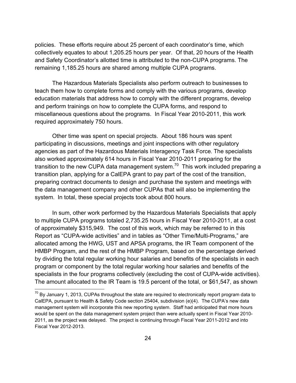policies. These efforts require about 25 percent of each coordinator's time, which collectively equates to about 1,205.25 hours per year. Of that, 20 hours of the Health and Safety Coordinator's allotted time is attributed to the non-CUPA programs. The remaining 1,185.25 hours are shared among multiple CUPA programs.

 The Hazardous Materials Specialists also perform outreach to businesses to teach them how to complete forms and comply with the various programs, develop education materials that address how to comply with the different programs, develop and perform trainings on how to complete the CUPA forms, and respond to miscellaneous questions about the programs. In Fiscal Year 2010-2011, this work required approximately 750 hours.

Other time was spent on special projects. About 186 hours was spent participating in discussions, meetings and joint inspections with other regulatory agencies as part of the Hazardous Materials Interagency Task Force. The specialists also worked approximately 614 hours in Fiscal Year 2010-2011 preparing for the transition to the new CUPA data management system.<sup>70</sup> This work included preparing a transition plan, applying for a CalEPA grant to pay part of the cost of the transition, preparing contract documents to design and purchase the system and meetings with the data management company and other CUPAs that will also be implementing the system. In total, these special projects took about 800 hours.

 In sum, other work performed by the Hazardous Materials Specialists that apply to multiple CUPA programs totaled 2,735.25 hours in Fiscal Year 2010-2011, at a cost of approximately \$315,949. The cost of this work, which may be referred to in this Report as "CUPA-wide activities" and in tables as "Other Time/Multi-Programs," are allocated among the HWG, UST and APSA programs, the IR Team component of the HMBP Program, and the rest of the HMBP Program, based on the percentage derived by dividing the total regular working hour salaries and benefits of the specialists in each program or component by the total regular working hour salaries and benefits of the specialists in the four programs collectively (excluding the cost of CUPA-wide activities). The amount allocated to the IR Team is 19.5 percent of the total, or \$61,547, as shown

 $70$  By January 1, 2013, CUPAs throughout the state are required to electronically report program data to CalEPA, pursuant to Health & Safety Code section 25404, subdivision (e)(4). The CUPA's new data management system will incorporate this new reporting system. Staff had anticipated that more hours would be spent on the data management system project than were actually spent in Fiscal Year 2010- 2011, as the project was delayed. The project is continuing through Fiscal Year 2011-2012 and into Fiscal Year 2012-2013.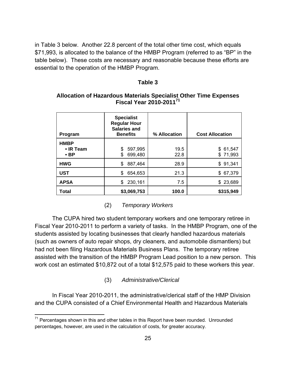in Table 3 below. Another 22.8 percent of the total other time cost, which equals \$71,993, is allocated to the balance of the HMBP Program (referred to as "BP" in the table below). These costs are necessary and reasonable because these efforts are essential to the operation of the HMBP Program.

#### **Table 3**

| Program                                      | <b>Specialist</b><br><b>Regular Hour</b><br><b>Salaries and</b><br><b>Benefits</b> | % Allocation | <b>Cost Allocation</b> |
|----------------------------------------------|------------------------------------------------------------------------------------|--------------|------------------------|
| <b>HMBP</b><br>$\cdot$ IR Team<br>$\cdot$ BP | 597,995<br>\$<br>699,480<br>\$                                                     | 19.5<br>22.8 | \$61,547<br>\$71,993   |
| <b>HWG</b>                                   | 887,464<br>\$                                                                      | 28.9         | \$91,341               |
| <b>UST</b>                                   | 654,653<br>\$                                                                      | 21.3         | \$ 67,379              |
| <b>APSA</b>                                  | 230,161<br>\$                                                                      | 7.5          | \$23,689               |
| Total                                        | \$3,069,753                                                                        | 100.0        | \$315,949              |

## **Allocation of Hazardous Materials Specialist Other Time Expenses Fiscal Year 2010-201171**

(2) *Temporary Workers*

 The CUPA hired two student temporary workers and one temporary retiree in Fiscal Year 2010-2011 to perform a variety of tasks. In the HMBP Program, one of the students assisted by locating businesses that clearly handled hazardous materials (such as owners of auto repair shops, dry cleaners, and automobile dismantlers) but had not been filing Hazardous Materials Business Plans. The temporary retiree assisted with the transition of the HMBP Program Lead position to a new person. This work cost an estimated \$10,872 out of a total \$12,575 paid to these workers this year.

### (3) *Administrative/Clerical*

 In Fiscal Year 2010-2011, the administrative/clerical staff of the HMP Division and the CUPA consisted of a Chief Environmental Health and Hazardous Materials

 $71$  Percentages shown in this and other tables in this Report have been rounded. Unrounded percentages, however, are used in the calculation of costs, for greater accuracy.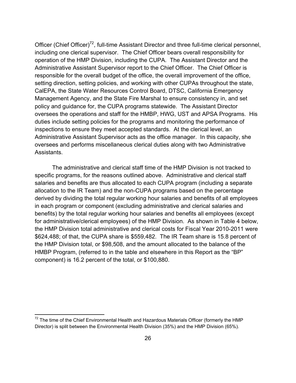Officer (Chief Officer)<sup>72</sup>, full-time Assistant Director and three full-time clerical personnel, including one clerical supervisor. The Chief Officer bears overall responsibility for operation of the HMP Division, including the CUPA. The Assistant Director and the Administrative Assistant Supervisor report to the Chief Officer. The Chief Officer is responsible for the overall budget of the office, the overall improvement of the office, setting direction, setting policies, and working with other CUPAs throughout the state, CalEPA, the State Water Resources Control Board, DTSC, California Emergency Management Agency, and the State Fire Marshal to ensure consistency in, and set policy and guidance for, the CUPA programs statewide. The Assistant Director oversees the operations and staff for the HMBP, HWG, UST and APSA Programs. His duties include setting policies for the programs and monitoring the performance of inspections to ensure they meet accepted standards. At the clerical level, an Administrative Assistant Supervisor acts as the office manager. In this capacity, she oversees and performs miscellaneous clerical duties along with two Administrative Assistants.

 The administrative and clerical staff time of the HMP Division is not tracked to specific programs, for the reasons outlined above. Administrative and clerical staff salaries and benefits are thus allocated to each CUPA program (including a separate allocation to the IR Team) and the non-CUPA programs based on the percentage derived by dividing the total regular working hour salaries and benefits of all employees in each program or component (excluding administrative and clerical salaries and benefits) by the total regular working hour salaries and benefits all employees (except for administrative/clerical employees) of the HMP Division. As shown in Table 4 below, the HMP Division total administrative and clerical costs for Fiscal Year 2010-2011 were \$624,488; of that, the CUPA share is \$559,482. The IR Team share is 15.8 percent of the HMP Division total, or \$98,508, and the amount allocated to the balance of the HMBP Program, (referred to in the table and elsewhere in this Report as the "BP" component) is 16.2 percent of the total, or \$100,880.

 $72$  The time of the Chief Environmental Health and Hazardous Materials Officer (formerly the HMP Director) is split between the Environmental Health Division (35%) and the HMP Division (65%).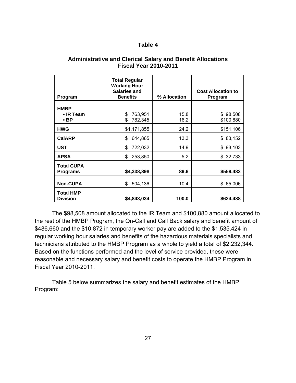## **Table 4**

| Program                                | <b>Total Regular</b><br><b>Working Hour</b><br><b>Salaries and</b><br><b>Benefits</b> | % Allocation | <b>Cost Allocation to</b><br>Program |
|----------------------------------------|---------------------------------------------------------------------------------------|--------------|--------------------------------------|
| <b>HMBP</b><br>• IR Team<br>$\cdot$ BP | 763,951<br>\$<br>\$<br>782,345                                                        | 15.8<br>16.2 | \$98,508<br>\$100,880                |
| <b>HWG</b>                             | \$1,171,855                                                                           | 24.2         | \$151,106                            |
| <b>CalARP</b>                          | \$<br>644,865                                                                         | 13.3         | \$83,152                             |
| <b>UST</b>                             | \$<br>722,032                                                                         | 14.9         | \$93,103                             |
| <b>APSA</b>                            | \$<br>253,850                                                                         | 5.2          | \$32,733                             |
| <b>Total CUPA</b><br><b>Programs</b>   | \$4,338,898                                                                           | 89.6         | \$559,482                            |
| <b>Non-CUPA</b>                        | 504,136<br>\$                                                                         | 10.4         | \$ 65,006                            |
| <b>Total HMP</b><br><b>Division</b>    | \$4,843,034                                                                           | 100.0        | \$624,488                            |

### **Administrative and Clerical Salary and Benefit Allocations Fiscal Year 2010-2011**

 The \$98,508 amount allocated to the IR Team and \$100,880 amount allocated to the rest of the HMBP Program, the On-Call and Call Back salary and benefit amount of \$486,660 and the \$10,872 in temporary worker pay are added to the \$1,535,424 in regular working hour salaries and benefits of the hazardous materials specialists and technicians attributed to the HMBP Program as a whole to yield a total of \$2,232,344. Based on the functions performed and the level of service provided, these were reasonable and necessary salary and benefit costs to operate the HMBP Program in Fiscal Year 2010-2011.

 Table 5 below summarizes the salary and benefit estimates of the HMBP Program: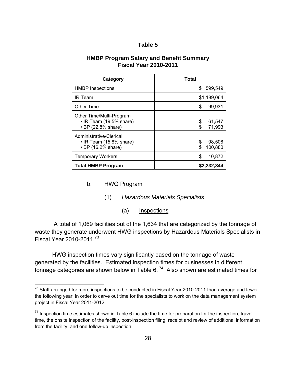### **Table 5**

### **HMBP Program Salary and Benefit Summary Fiscal Year 2010-2011**

| Category                                                                  | <b>Total</b>                  |
|---------------------------------------------------------------------------|-------------------------------|
| <b>HMBP Inspections</b>                                                   | 599,549<br>\$                 |
| <b>IR Team</b>                                                            | \$1,189,064                   |
| <b>Other Time</b>                                                         | \$<br>99,931                  |
| Other Time/Multi-Program<br>• IR Team (19.5% share)<br>• BP (22.8% share) | 61,547<br>\$<br>71,993<br>\$  |
| Administrative/Clerical<br>• IR Team (15.8% share)<br>• BP (16.2% share)  | \$<br>98,508<br>100,880<br>\$ |
| <b>Temporary Workers</b>                                                  | \$<br>10,872                  |
| <b>Total HMBP Program</b>                                                 | \$2,232,344                   |

## b. HWG Program

 $\overline{a}$ 

- (1) *Hazardous Materials Specialists*
	- (a) Inspections

 A total of 1,069 facilities out of the 1,634 that are categorized by the tonnage of waste they generate underwent HWG inspections by Hazardous Materials Specialists in Fiscal Year 2010-2011.<sup>73</sup>

 HWG inspection times vary significantly based on the tonnage of waste generated by the facilities. Estimated inspection times for businesses in different tonnage categories are shown below in Table 6. 74 Also shown are estimated times for

<sup>&</sup>lt;sup>73</sup> Staff arranged for more inspections to be conducted in Fiscal Year 2010-2011 than average and fewer the following year, in order to carve out time for the specialists to work on the data management system project in Fiscal Year 2011-2012.

 $74$  Inspection time estimates shown in Table 6 include the time for preparation for the inspection, travel time, the onsite inspection of the facility, post-inspection filing, receipt and review of additional information from the facility, and one follow-up inspection.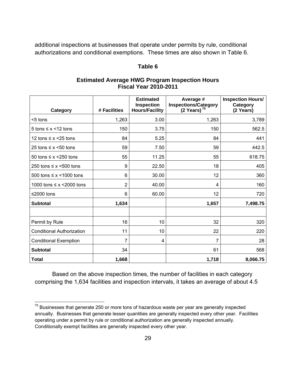additional inspections at businesses that operate under permits by rule, conditional authorizations and conditional exemptions. These times are also shown in Table 6.

### **Table 6**

## **Estimated Average HWG Program Inspection Hours Fiscal Year 2010-2011**

| Category                          | # Facilities | <b>Estimated</b><br><b>Inspection</b><br><b>Hours/Facility</b> | Average #<br><b>Inspections/Category</b><br>(2 Years) $^{75}$ | <b>Inspection Hours/</b><br>Category<br>(2 Years) |
|-----------------------------------|--------------|----------------------------------------------------------------|---------------------------------------------------------------|---------------------------------------------------|
| <5 tons                           | 1,263        | 3.00                                                           | 1,263                                                         | 3,789                                             |
| 5 tons $\leq x \leq 12$ tons      | 150          | 3.75                                                           | 150                                                           | 562.5                                             |
| 12 tons $\leq x \leq 25$ tons     | 84           | 5.25                                                           | 84                                                            | 441                                               |
| 25 tons $\leq x$ <50 tons         | 59           | 7.50                                                           | 59                                                            | 442.5                                             |
| 50 tons $\leq x \leq 250$ tons    | 55           | 11.25                                                          | 55                                                            | 618.75                                            |
| 250 tons $\leq x$ <500 tons       | 9            | 22.50                                                          | 18                                                            | 405                                               |
| 500 tons $\leq x \leq 1000$ tons  | 6            | 30.00                                                          | 12                                                            | 360                                               |
| 1000 tons $\leq x \leq 2000$ tons | 2            | 40.00                                                          | 4                                                             | 160                                               |
| ≤2000 tons                        | 6            | 60.00                                                          | 12                                                            | 720                                               |
| <b>Subtotal</b>                   | 1,634        |                                                                | 1,657                                                         | 7,498.75                                          |
|                                   |              |                                                                |                                                               |                                                   |
| Permit by Rule                    | 16           | 10                                                             | 32                                                            | 320                                               |
| <b>Conditional Authorization</b>  | 11           | 10                                                             | 22                                                            | 220                                               |
| <b>Conditional Exemption</b>      | 7            | 4                                                              | 7                                                             | 28                                                |
| <b>Subtotal</b>                   | 34           |                                                                | 61                                                            | 568                                               |
| Total                             | 1,668        |                                                                | 1,718                                                         | 8,066.75                                          |

 Based on the above inspection times, the number of facilities in each category comprising the 1,634 facilities and inspection intervals, it takes an average of about 4.5

 $75$  Businesses that generate 250 or more tons of hazardous waste per year are generally inspected annually. Businesses that generate lesser quantities are generally inspected every other year. Facilities operating under a permit by rule or conditional authorization are generally inspected annually. Conditionally exempt facilities are generally inspected every other year.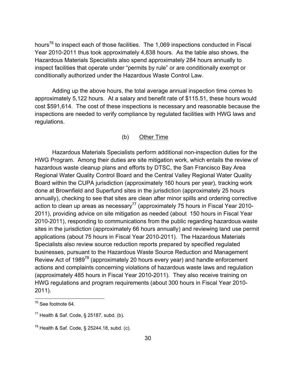hours<sup>76</sup> to inspect each of those facilities. The 1,069 inspections conducted in Fiscal Year 2010-2011 thus took approximately 4,838 hours. As the table also shows, the Hazardous Materials Specialists also spend approximately 284 hours annually to inspect facilities that operate under "permits by rule" or are conditionally exempt or conditionally authorized under the Hazardous Waste Control Law.

 Adding up the above hours, the total average annual inspection time comes to approximately 5,122 hours. At a salary and benefit rate of \$115.51, these hours would cost \$591,614. The cost of these inspections is necessary and reasonable because the inspections are needed to verify compliance by regulated facilities with HWG laws and regulations.

# (b) Other Time

 Hazardous Materials Specialists perform additional non-inspection duties for the HWG Program. Among their duties are site mitigation work, which entails the review of hazardous waste cleanup plans and efforts by DTSC, the San Francisco Bay Area Regional Water Quality Control Board and the Central Valley Regional Water Quality Board within the CUPA jurisdiction (approximately 160 hours per year), tracking work done at Brownfield and Superfund sites in the jurisdiction (approximately 25 hours annually), checking to see that sites are clean after minor spills and ordering corrective action to clean up areas as necessary<sup>77</sup> (approximately 75 hours in Fiscal Year 2010-2011), providing advice on site mitigation as needed (about 150 hours in Fiscal Year 2010-2011), responding to communications from the public regarding hazardous waste sites in the jurisdiction (approximately 66 hours annually) and reviewing land use permit applications (about 75 hours in Fiscal Year 2010-2011). The Hazardous Materials Specialists also review source reduction reports prepared by specified regulated businesses, pursuant to the Hazardous Waste Source Reduction and Management Review Act of 1989<sup>78</sup> (approximately 20 hours every year) and handle enforcement actions and complaints concerning violations of hazardous waste laws and regulation (approximately 485 hours in Fiscal Year 2010-2011). They also receive training on HWG regulations and program requirements (about 300 hours in Fiscal Year 2010- 2011).

<sup>&</sup>lt;sup>76</sup> See footnote 64.

 $77$  Health & Saf. Code, § 25187, subd. (b).

 $78$  Health & Saf. Code, § 25244.18, subd. (c).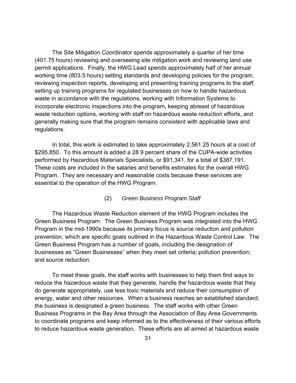The Site Mitigation Coordinator spends approximately a quarter of her time (401.75 hours) reviewing and overseeing site mitigation work and reviewing land use permit applications. Finally, the HWG Lead spends approximately half of her annual working time (803.5 hours) setting standards and developing policies for the program, reviewing inspection reports, developing and presenting training programs to the staff, setting up training programs for regulated businesses on how to handle hazardous waste in accordance with the regulations, working with Information Systems to incorporate electronic inspections into the program, keeping abreast of hazardous waste reduction options, working with staff on hazardous waste reduction efforts, and generally making sure that the program remains consistent with applicable laws and regulations.

 In total, this work is estimated to take approximately 2,561.25 hours at a cost of \$295,850. To this amount is added a 28.9 percent share of the CUPA-wide activities performed by Hazardous Materials Specialists, or \$91,341, for a total of \$387,191. These costs are included in the salaries and benefits estimates for the overall HWG Program. They are necessary and reasonable costs because these services are essential to the operation of the HWG Program.

### (2) *Green Business Program Staff*

 The Hazardous Waste Reduction element of the HWG Program includes the Green Business Program. The Green Business Program was integrated into the HWG Program in the mid-1990s because its primary focus is source reduction and pollution prevention, which are specific goals outlined in the Hazardous Waste Control Law. The Green Business Program has a number of goals, including the designation of businesses as "Green Businesses" when they meet set criteria; pollution prevention; and source reduction.

 To meet these goals, the staff works with businesses to help them find ways to reduce the hazardous waste that they generate, handle the hazardous waste that they do generate appropriately, use less toxic materials and reduce their consumption of energy, water and other resources. When a business reaches an established standard, the business is designated a green business. The staff works with other Green Business Programs in the Bay Area through the Association of Bay Area Governments to coordinate programs and keep informed as to the effectiveness of their various efforts to reduce hazardous waste generation. These efforts are all aimed at hazardous waste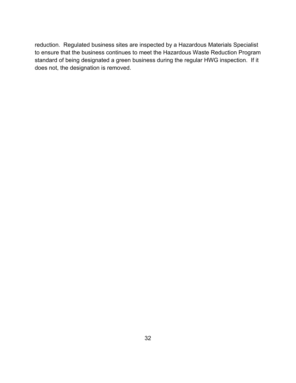reduction. Regulated business sites are inspected by a Hazardous Materials Specialist to ensure that the business continues to meet the Hazardous Waste Reduction Program standard of being designated a green business during the regular HWG inspection. If it does not, the designation is removed.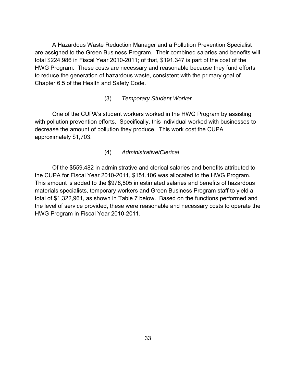A Hazardous Waste Reduction Manager and a Pollution Prevention Specialist are assigned to the Green Business Program. Their combined salaries and benefits will total \$224,986 in Fiscal Year 2010-2011; of that, \$191.347 is part of the cost of the HWG Program. These costs are necessary and reasonable because they fund efforts to reduce the generation of hazardous waste, consistent with the primary goal of Chapter 6.5 of the Health and Safety Code.

### (3) *Temporary Student Worker*

One of the CUPA's student workers worked in the HWG Program by assisting with pollution prevention efforts. Specifically, this individual worked with businesses to decrease the amount of pollution they produce. This work cost the CUPA approximately \$1,703.

### (4) *Administrative/Clerical*

 Of the \$559,482 in administrative and clerical salaries and benefits attributed to the CUPA for Fiscal Year 2010-2011, \$151,106 was allocated to the HWG Program. This amount is added to the \$978,805 in estimated salaries and benefits of hazardous materials specialists, temporary workers and Green Business Program staff to yield a total of \$1,322,961, as shown in Table 7 below. Based on the functions performed and the level of service provided, these were reasonable and necessary costs to operate the HWG Program in Fiscal Year 2010-2011.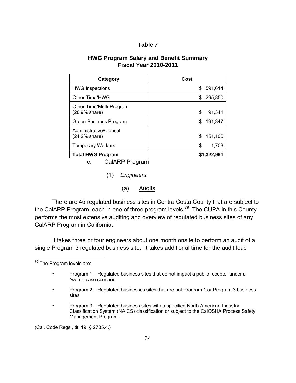| - |  |  | L |  |  |
|---|--|--|---|--|--|
|---|--|--|---|--|--|

### **HWG Program Salary and Benefit Summary Fiscal Year 2010-2011**

| Category                                  | Cost          |
|-------------------------------------------|---------------|
| <b>HWG Inspections</b>                    | 591,614<br>\$ |
| Other Time/HWG                            | 295,850<br>S  |
| Other Time/Multi-Program<br>(28.9% share) | \$<br>91,341  |
| Green Business Program                    | 191,347<br>\$ |
| Administrative/Clerical<br>(24.2% share)  | 151,106<br>\$ |
| <b>Temporary Workers</b>                  | \$<br>1,703   |
| <b>Total HWG Program</b>                  | \$1,322,961   |

c. CalARP Program

(1) *Engineers*

(a) Audits

 There are 45 regulated business sites in Contra Costa County that are subject to the CalARP Program, each in one of three program levels.<sup>79</sup> The CUPA in this County performs the most extensive auditing and overview of regulated business sites of any CalARP Program in California.

 It takes three or four engineers about one month onsite to perform an audit of a single Program 3 regulated business site. It takes additional time for the audit lead

- Program 2 Regulated businesses sites that are not Program 1 or Program 3 business sites
- Program 3 Regulated business sites with a specified North American Industry Classification System (NAICS) classification or subject to the CalOSHA Process Safety Management Program.

(Cal. Code Regs., tit. 19, § 2735.4.)

 $\overline{a}$ <sup>79</sup> The Program levels are:

<sup>•</sup> Program 1 – Regulated business sites that do not impact a public receptor under a "worst" case scenario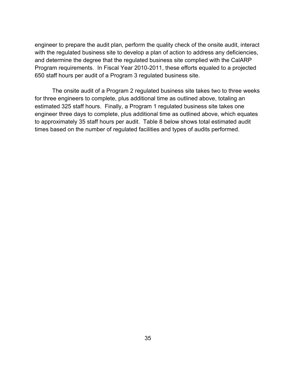engineer to prepare the audit plan, perform the quality check of the onsite audit, interact with the regulated business site to develop a plan of action to address any deficiencies, and determine the degree that the regulated business site complied with the CalARP Program requirements. In Fiscal Year 2010-2011, these efforts equaled to a projected 650 staff hours per audit of a Program 3 regulated business site.

 The onsite audit of a Program 2 regulated business site takes two to three weeks for three engineers to complete, plus additional time as outlined above, totaling an estimated 325 staff hours. Finally, a Program 1 regulated business site takes one engineer three days to complete, plus additional time as outlined above, which equates to approximately 35 staff hours per audit. Table 8 below shows total estimated audit times based on the number of regulated facilities and types of audits performed.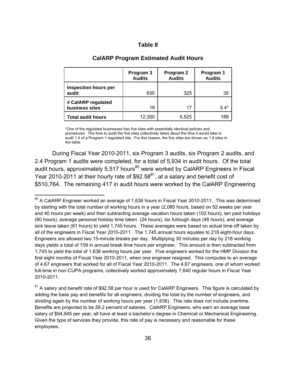| abie |  |
|------|--|
|------|--|

|                                      | Program 3<br><b>Audits</b> | Program 2<br><b>Audits</b> | Program 1<br><b>Audits</b> |
|--------------------------------------|----------------------------|----------------------------|----------------------------|
| <b>Inspection hours per</b><br>audit | 650                        | 325                        | 35                         |
| # CalARP regulated<br>business sites | 19                         | 17                         | $5.4*$                     |
| <b>Total audit hours</b>             | 12,350                     | 5,525                      | 189                        |

#### **CalARP Program Estimated Audit Hours**

\*One of the regulated businesses has five sites with essentially identical policies and procedures. The time to audit the five sites collectively takes about the time it would take to audit 1.4 of a Program 1 regulated site. For this reason, the five sites are shown as 1.4 sites in the table.

During Fiscal Year 2010-2011, six Program 3 audits, six Program 2 audits, and 2.4 Program 1 audits were completed, for a total of 5,934 in audit hours. Of the total audit hours, approximately 5,517 hours<sup>80</sup> were worked by CalARP Engineers in Fiscal Year 2010-2011 at their hourly rate of  $$92.58^{81}$ , at a salary and benefit cost of \$510,764. The remaining 417 in audit hours were worked by the CalARP Engineering

1

 $80$  A CalARP Engineer worked an average of 1,636 hours in Fiscal Year 2010-2011. This was determined by starting with the total number of working hours in a year (2,080 hours, based on 52 weeks per year and 40 hours per week) and then subtracting average vacation hours taken (102 hours), ten paid holidays (80 hours), average personal holiday time taken (24 hours), six furlough days (48 hours), and average sick leave taken (81 hours) to yield 1,745 hours. These averages were based on actual time off taken by all of the engineers in Fiscal Year 2010-2011. The 1,745 annual hours equates to 218 eight-hour days. Engineers are allowed two 15-minute breaks per day. Multiplying 30 minutes per day by 218 working days yields a total of 109 in annual break time hours per engineer. This amount is then subtracted from 1,745 to yield the total of 1,636 working hours per year. Five engineers worked for the HMP Division the first eight months of Fiscal Year 2010-2011, when one engineer resigned. This computes to an average of 4.67 engineers that worked for all of Fiscal Year 2010-2011. The 4.67 engineers, one of whom worked full-time in non-CUPA programs, collectively worked approximately 7,640 regular hours in Fiscal Year 2010-2011.

 $81$  A salary and benefit rate of \$92.58 per hour is used for CalARP Engineers. This figure is calculated by adding the base pay and benefits for all engineers, dividing the total by the number of engineers, and dividing again by the number of working hours per year (1,636). This rate does not include overtime. Benefits are projected to be 59.2 percent of salaries.CalARP Engineers, who earn an average base salary of \$94,945 per year, all have at least a bachelor's degree in Chemical or Mechanical Engineering. Given the type of services they provide, this rate of pay is necessary and reasonable for these employees.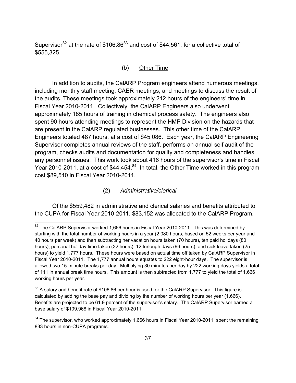Supervisor<sup>82</sup> at the rate of  $$106.86^{83}$  and cost of \$44,561, for a collective total of \$555,325.

## (b) Other Time

 In addition to audits, the CalARP Program engineers attend numerous meetings, including monthly staff meeting, CAER meetings, and meetings to discuss the result of the audits. These meetings took approximately 212 hours of the engineers' time in Fiscal Year 2010-2011. Collectively, the CalARP Engineers also underwent approximately 185 hours of training in chemical process safety. The engineers also spent 90 hours attending meetings to represent the HMP Division on the hazards that are present in the CalARP regulated businesses. This other time of the CalARP Engineers totaled 487 hours, at a cost of \$45,086. Each year, the CalARP Engineering Supervisor completes annual reviews of the staff, performs an annual self audit of the program, checks audits and documentation for quality and completeness and handles any personnel issues. This work took about 416 hours of the supervisor's time in Fiscal Year 2010-2011, at a cost of \$44,454.<sup>84</sup> In total, the Other Time worked in this program cost \$89,540 in Fiscal Year 2010-2011.

#### (2) *Administrative/clerical*

1

 Of the \$559,482 in administrative and clerical salaries and benefits attributed to the CUPA for Fiscal Year 2010-2011, \$83,152 was allocated to the CalARP Program,

 $82$  The CalARP Supervisor worked 1,666 hours in Fiscal Year 2010-2011. This was determined by starting with the total number of working hours in a year (2,080 hours, based on 52 weeks per year and 40 hours per week) and then subtracting her vacation hours taken (70 hours), ten paid holidays (80 hours), personal holiday time taken (32 hours), 12 furlough days (96 hours), and sick leave taken (25 hours) to yield 1,777 hours. These hours were based on actual time off taken by CalARP Supervisor in Fiscal Year 2010-2011. The 1,777 annual hours equates to 222 eight-hour days. The supervisor is allowed two 15-minute breaks per day. Multiplying 30 minutes per day by 222 working days yields a total of 111 in annual break time hours. This amount is then subtracted from 1,777 to yield the total of 1,666 working hours per year.

 $83$  A salary and benefit rate of \$106.86 per hour is used for the CalARP Supervisor. This figure is calculated by adding the base pay and dividing by the number of working hours per year (1,666). Benefits are projected to be 61.9 percent of the supervisor's salary.The CalARP Supervisor earned a base salary of \$109,968 in Fiscal Year 2010-2011.

 $84$  The supervisor, who worked approximately 1,666 hours in Fiscal Year 2010-2011, spent the remaining 833 hours in non-CUPA programs.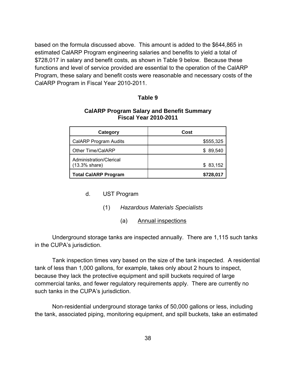based on the formula discussed above. This amount is added to the \$644,865 in estimated CalARP Program engineering salaries and benefits to yield a total of \$728,017 in salary and benefit costs, as shown in Table 9 below. Because these functions and level of service provided are essential to the operation of the CalARP Program, these salary and benefit costs were reasonable and necessary costs of the CalARP Program in Fiscal Year 2010-2011.

#### **Table 9**

#### **CalARP Program Salary and Benefit Summary Fiscal Year 2010-2011**

| Category                                    | Cost      |
|---------------------------------------------|-----------|
| CalARP Program Audits                       | \$555,325 |
| Other Time/CalARP                           | \$89,540  |
| Administration/Clerical<br>$(13.3\%$ share) | \$83,152  |
| <b>Total CalARP Program</b>                 | \$728,017 |

## d. UST Program

- (1) *Hazardous Materials Specialists*
	- (a) Annual inspections

 Underground storage tanks are inspected annually. There are 1,115 such tanks in the CUPA's jurisdiction.

 Tank inspection times vary based on the size of the tank inspected. A residential tank of less than 1,000 gallons, for example, takes only about 2 hours to inspect, because they lack the protective equipment and spill buckets required of large commercial tanks, and fewer regulatory requirements apply. There are currently no such tanks in the CUPA's jurisdiction.

 Non-residential underground storage tanks of 50,000 gallons or less, including the tank, associated piping, monitoring equipment, and spill buckets, take an estimated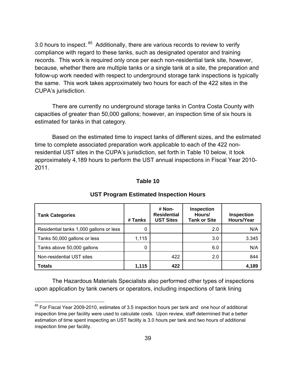3.0 hours to inspect. <sup>85</sup> Additionally, there are various records to review to verify compliance with regard to these tanks, such as designated operator and training records. This work is required only once per each non-residential tank site, however, because, whether there are multiple tanks or a single tank at a site, the preparation and follow-up work needed with respect to underground storage tank inspections is typically the same. This work takes approximately two hours for each of the 422 sites in the CUPA's jurisdiction.

 There are currently no underground storage tanks in Contra Costa County with capacities of greater than 50,000 gallons; however, an inspection time of six hours is estimated for tanks in that category.

 Based on the estimated time to inspect tanks of different sizes, and the estimated time to complete associated preparation work applicable to each of the 422 nonresidential UST sites in the CUPA's jurisdiction, set forth in Table 10 below, it took approximately 4,189 hours to perform the UST annual inspections in Fiscal Year 2010- 2011.

| <b>Tank Categories</b>                  | # Tanks | # Non-<br><b>Residential</b><br><b>UST Sites</b> | <b>Inspection</b><br>Hours/<br><b>Tank or Site</b> | <b>Inspection</b><br>Hours/Year |
|-----------------------------------------|---------|--------------------------------------------------|----------------------------------------------------|---------------------------------|
| Residential tanks 1,000 gallons or less | 0       |                                                  | 2.0                                                | N/A                             |
| Tanks 50,000 gallons or less            | 1,115   |                                                  | 3.0                                                | 3.345                           |
| Tanks above 50,000 gallons              | 0       |                                                  | 6.0                                                | N/A                             |
| Non-residential UST sites               |         | 422                                              | 2.0                                                | 844                             |
| <b>Totals</b>                           | 1,115   | 422                                              |                                                    | 4,189                           |

# **Table 10**

#### **UST Program Estimated Inspection Hours**

 The Hazardous Materials Specialists also performed other types of inspections upon application by tank owners or operators, including inspections of tank lining

 $\overline{a}$ 

 $85$  For Fiscal Year 2009-2010, estimates of 3.5 inspection hours per tank and one hour of additional inspection time per facility were used to calculate costs. Upon review, staff determined that a better estimation of time spent inspecting an UST facility is 3.0 hours per tank and two hours of additional inspection time per facility.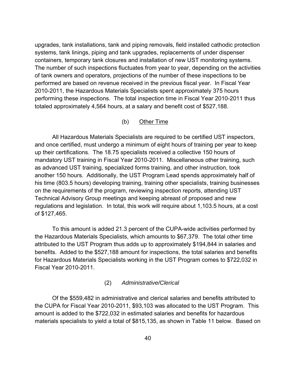upgrades, tank installations, tank and piping removals, field installed cathodic protection systems, tank linings, piping and tank upgrades, replacements of under dispenser containers, temporary tank closures and installation of new UST monitoring systems. The number of such inspections fluctuates from year to year, depending on the activities of tank owners and operators, projections of the number of these inspections to be performed are based on revenue received in the previous fiscal year. In Fiscal Year 2010-2011, the Hazardous Materials Specialists spent approximately 375 hours performing these inspections. The total inspection time in Fiscal Year 2010-2011 thus totaled approximately 4,564 hours, at a salary and benefit cost of \$527,188.

#### (b) Other Time

 All Hazardous Materials Specialists are required to be certified UST inspectors, and once certified, must undergo a minimum of eight hours of training per year to keep up their certifications. The 18.75 specialists received a collective 150 hours of mandatory UST training in Fiscal Year 2010-2011. Miscellaneous other training, such as advanced UST training, specialized forms training, and other instruction, took another 150 hours. Additionally, the UST Program Lead spends approximately half of his time (803.5 hours) developing training, training other specialists, training businesses on the requirements of the program, reviewing inspection reports, attending UST Technical Advisory Group meetings and keeping abreast of proposed and new regulations and legislation. In total, this work will require about 1,103.5 hours, at a cost of \$127,465.

 To this amount is added 21.3 percent of the CUPA-wide activities performed by the Hazardous Materials Specialists, which amounts to \$67,379. The total other time attributed to the UST Program thus adds up to approximately \$194,844 in salaries and benefits. Added to the \$527,188 amount for inspections, the total salaries and benefits for Hazardous Materials Specialists working in the UST Program comes to \$722,032 in Fiscal Year 2010-2011.

#### (2) *Administrative/Clerical*

 Of the \$559,482 in administrative and clerical salaries and benefits attributed to the CUPA for Fiscal Year 2010-2011, \$93,103 was allocated to the UST Program. This amount is added to the \$722,032 in estimated salaries and benefits for hazardous materials specialists to yield a total of \$815,135, as shown in Table 11 below. Based on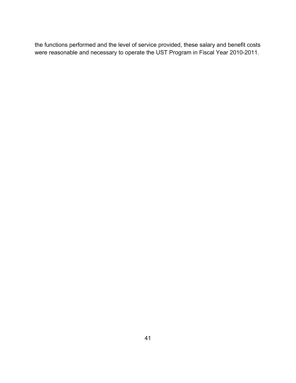the functions performed and the level of service provided, these salary and benefit costs were reasonable and necessary to operate the UST Program in Fiscal Year 2010-2011.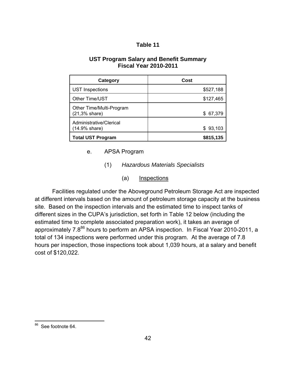## **Table 11**

## **UST Program Salary and Benefit Summary Fiscal Year 2010-2011**

| Category                                  | Cost      |
|-------------------------------------------|-----------|
| <b>UST Inspections</b>                    | \$527,188 |
| Other Time/UST                            | \$127,465 |
| Other Time/Multi-Program<br>(21,3% share) | \$ 67,379 |
| Administrative/Clerical<br>(14.9% share)  | \$93,103  |
| <b>Total UST Program</b>                  | \$815,135 |

e. APSA Program

- (1) *Hazardous Materials Specialists* 
	- (a) Inspections

Facilities regulated under the Aboveground Petroleum Storage Act are inspected at different intervals based on the amount of petroleum storage capacity at the business site. Based on the inspection intervals and the estimated time to inspect tanks of different sizes in the CUPA's jurisdiction, set forth in Table 12 below (including the estimated time to complete associated preparation work), it takes an average of approximately 7.8<sup>86</sup> hours to perform an APSA inspection. In Fiscal Year 2010-2011, a total of 134 inspections were performed under this program. At the average of 7.8 hours per inspection, those inspections took about 1,039 hours, at a salary and benefit cost of \$120,022.

 $\overline{a}$ 

<sup>&</sup>lt;sup>86</sup> See footnote 64.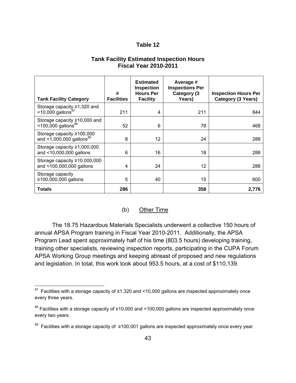## **Table 12**

## **Tank Facility Estimated Inspection Hours Fiscal Year 2010-2011**

| <b>Tank Facility Category</b>                                           | #<br><b>Facilities</b> | <b>Estimated</b><br><b>Inspection</b><br><b>Hours Per</b><br><b>Facility</b> | Average #<br><b>Inspections Per</b><br>Category (3<br>Years) | <b>Inspection Hours Per</b><br>Category (3 Years) |
|-------------------------------------------------------------------------|------------------------|------------------------------------------------------------------------------|--------------------------------------------------------------|---------------------------------------------------|
| Storage capacity $\geq 1,320$ and <10,000 gallons <sup>87</sup>         | 211                    | 4                                                                            | 211                                                          | 844                                               |
| Storage capacity $\geq 10,000$ and<br>$<$ 100,000 gallons <sup>88</sup> | 52                     | 6                                                                            | 78                                                           | 468                                               |
| Storage capacity $\geq 100,000$<br>and <1,000,000 gallons <sup>89</sup> | 8                      | 12                                                                           | 24                                                           | 288                                               |
| Storage capacity $\geq 1,000,000$<br>and <10,000,000 gallons            | 6                      | 16                                                                           | 18                                                           | 288                                               |
| Storage capacity $\geq 10,000,000$<br>and <100,000,000 gallons          | 4                      | 24                                                                           | 12                                                           | 288                                               |
| Storage capacity<br>≥100,000,000 gallons                                | 5                      | 40                                                                           | 15                                                           | 600                                               |
| Totals                                                                  | 286                    |                                                                              | 358                                                          | 2,776                                             |

## (b) Other Time

 The 18.75 Hazardous Materials Specialists underwent a collective 150 hours of annual APSA Program training in Fiscal Year 2010-2011. Additionally, the APSA Program Lead spent approximately half of his time (803.5 hours) developing training, training other specialists, reviewing inspection reports, participating in the CUPA Forum APSA Working Group meetings and keeping abreast of proposed and new regulations and legislation. In total, this work took about 953.5 hours, at a cost of \$110,139.

 $\overline{a}$ 

 $87$  Facilities with a storage capacity of ≥1,320 and <10,000 gallons are inspected approximately once every three years.

<sup>&</sup>lt;sup>88</sup> Facilities with a storage capacity of ≥10,000 and <100,000 gallons are inspected approximately once every two years.

<sup>89</sup> Facilities with a storage capacity of ≥100,001 gallons are inspected approximately once every year.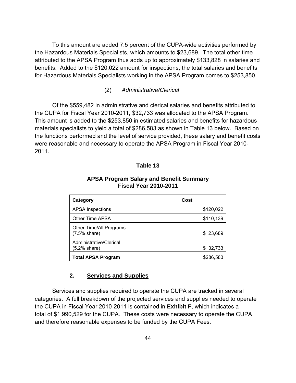To this amount are added 7.5 percent of the CUPA-wide activities performed by the Hazardous Materials Specialists, which amounts to \$23,689. The total other time attributed to the APSA Program thus adds up to approximately \$133,828 in salaries and benefits. Added to the \$120,022 amount for inspections, the total salaries and benefits for Hazardous Materials Specialists working in the APSA Program comes to \$253,850.

#### (2) *Administrative/Clerical*

 Of the \$559,482 in administrative and clerical salaries and benefits attributed to the CUPA for Fiscal Year 2010-2011, \$32,733 was allocated to the APSA Program. This amount is added to the \$253,850 in estimated salaries and benefits for hazardous materials specialists to yield a total of \$286,583 as shown in Table 13 below. Based on the functions performed and the level of service provided, these salary and benefit costs were reasonable and necessary to operate the APSA Program in Fiscal Year 2010- 2011.

#### **Table 13**

| Category                                  | Cost      |
|-------------------------------------------|-----------|
| <b>APSA</b> Inspections                   | \$120,022 |
| Other Time APSA                           | \$110,139 |
| Other Time/All Programs<br>$(7.5%$ share) | \$23,689  |
| Administrative/Clerical<br>(5.2% share)   | \$32,733  |
| <b>Total APSA Program</b>                 | \$286,583 |

#### **APSA Program Salary and Benefit Summary Fiscal Year 2010-2011**

## **2. Services and Supplies**

 Services and supplies required to operate the CUPA are tracked in several categories. A full breakdown of the projected services and supplies needed to operate the CUPA in Fiscal Year 2010-2011 is contained in **Exhibit F**, which indicates a total of \$1,990,529 for the CUPA. These costs were necessary to operate the CUPA and therefore reasonable expenses to be funded by the CUPA Fees.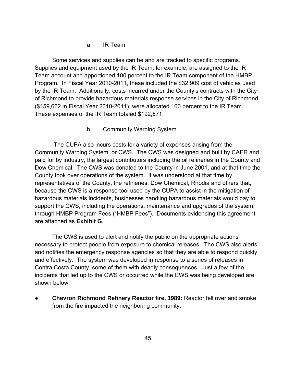## a. IR Team

 Some services and supplies can be and are tracked to specific programs. Supplies and equipment used by the IR Team, for example, are assigned to the IR Team account and apportioned 100 percent to the IR Team component of the HMBP Program. In Fiscal Year 2010-2011, these included the \$32,909 cost of vehicles used by the IR Team. Additionally, costs incurred under the County's contracts with the City of Richmond to provide hazardous materials response services in the City of Richmond, (\$159,662 in Fiscal Year 2010-2011), were allocated 100 percent to the IR Team. These expenses of the IR Team totaled \$192,571.

## b. Community Warning System

 The CUPA also incurs costs for a variety of expenses arising from the Community Warning System, or CWS. The CWS was designed and built by CAER and paid for by industry, the largest contributors including the oil refineries in the County and Dow Chemical. The CWS was donated to the County in June 2001, and at that time the County took over operations of the system. It was understood at that time by representatives of the County, the refineries, Dow Chemical, Rhodia and others that, because the CWS is a response tool used by the CUPA to assist in the mitigation of hazardous materials incidents, businesses handling hazardous materials would pay to support the CWS, including the operations, maintenance and upgrades of the system, through HMBP Program Fees ("HMBP Fees"). Documents evidencing this agreement are attached as **Exhibit G**.

 The CWS is used to alert and notify the public on the appropriate actions necessary to protect people from exposure to chemical releases. The CWS also alerts and notifies the emergency response agencies so that they are able to respond quickly and effectively. The system was developed in response to a series of releases in Contra Costa County, some of them with deadly consequences. Just a few of the incidents that led up to the CWS or occurred while the CWS was being developed are shown below:

**Chevron Richmond Refinery Reactor fire, 1989: Reactor fell over and smoke** from the fire impacted the neighboring community.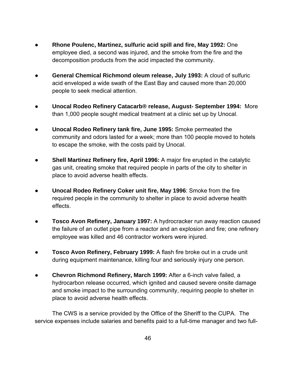- **Rhone Poulenc, Martinez, sulfuric acid spill and fire, May 1992:** One employee died, a second was injured, and the smoke from the fire and the decomposition products from the acid impacted the community.
- **General Chemical Richmond oleum release, July 1993:** A cloud of sulfuric acid enveloped a wide swath of the East Bay and caused more than 20,000 people to seek medical attention.
- **Unocal Rodeo Refinery Catacarb® release, August- September 1994:** More than 1,000 people sought medical treatment at a clinic set up by Unocal.
- **Unocal Rodeo Refinery tank fire, June 1995:** Smoke permeated the community and odors lasted for a week; more than 100 people moved to hotels to escape the smoke, with the costs paid by Unocal.
- **Shell Martinez Refinery fire, April 1996:** A major fire erupted in the catalytic gas unit, creating smoke that required people in parts of the city to shelter in place to avoid adverse health effects.
- **Unocal Rodeo Refinery Coker unit fire, May 1996**: Smoke from the fire required people in the community to shelter in place to avoid adverse health effects.
- **Tosco Avon Refinery, January 1997:** A hydrocracker run away reaction caused the failure of an outlet pipe from a reactor and an explosion and fire; one refinery employee was killed and 46 contractor workers were injured.
- **Tosco Avon Refinery, February 1999:** A flash fire broke out in a crude unit during equipment maintenance, killing four and seriously injury one person.
- **Chevron Richmond Refinery, March 1999:** After a 6-inch valve failed, a hydrocarbon release occurred, which ignited and caused severe onsite damage and smoke impact to the surrounding community, requiring people to shelter in place to avoid adverse health effects.

 The CWS is a service provided by the Office of the Sheriff to the CUPA. The service expenses include salaries and benefits paid to a full-time manager and two full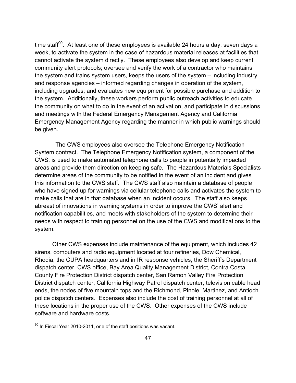time staff $90$ . At least one of these employees is available 24 hours a day, seven days a week, to activate the system in the case of hazardous material releases at facilities that cannot activate the system directly. These employees also develop and keep current community alert protocols; oversee and verify the work of a contractor who maintains the system and trains system users, keeps the users of the system – including industry and response agencies – informed regarding changes in operation of the system, including upgrades; and evaluates new equipment for possible purchase and addition to the system. Additionally, these workers perform public outreach activities to educate the community on what to do in the event of an activation, and participate in discussions and meetings with the Federal Emergency Management Agency and California Emergency Management Agency regarding the manner in which public warnings should be given.

 The CWS employees also oversee the Telephone Emergency Notification System contract. The Telephone Emergency Notification system, a component of the CWS, is used to make automated telephone calls to people in potentially impacted areas and provide them direction on keeping safe. The Hazardous Materials Specialists determine areas of the community to be notified in the event of an incident and gives this information to the CWS staff. The CWS staff also maintain a database of people who have signed up for warnings via cellular telephone calls and activates the system to make calls that are in that database when an incident occurs. The staff also keeps abreast of innovations in warning systems in order to improve the CWS' alert and notification capabilities, and meets with stakeholders of the system to determine their needs with respect to training personnel on the use of the CWS and modifications to the system.

 Other CWS expenses include maintenance of the equipment, which includes 42 sirens, computers and radio equipment located at four refineries, Dow Chemical, Rhodia, the CUPA headquarters and in IR response vehicles, the Sheriff's Department dispatch center, CWS office, Bay Area Quality Management District, Contra Costa County Fire Protection District dispatch center, San Ramon Valley Fire Protection District dispatch center, California Highway Patrol dispatch center, television cable head ends, the nodes of five mountain tops and the Richmond, Pinole, Martinez, and Antioch police dispatch centers. Expenses also include the cost of training personnel at all of these locations in the proper use of the CWS. Other expenses of the CWS include software and hardware costs.

 $\overline{a}$ 

 $90$  In Fiscal Year 2010-2011, one of the staff positions was vacant.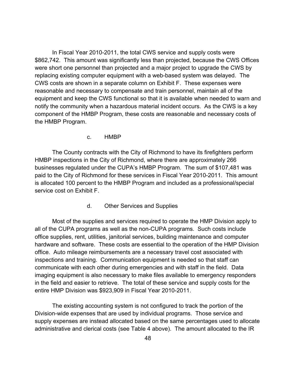In Fiscal Year 2010-2011, the total CWS service and supply costs were \$862,742. This amount was significantly less than projected, because the CWS Offices were short one personnel than projected and a major project to upgrade the CWS by replacing existing computer equipment with a web-based system was delayed. The CWS costs are shown in a separate column on Exhibit F. These expenses were reasonable and necessary to compensate and train personnel, maintain all of the equipment and keep the CWS functional so that it is available when needed to warn and notify the community when a hazardous material incident occurs. As the CWS is a key component of the HMBP Program, these costs are reasonable and necessary costs of the HMBP Program.

c. HMBP

 The County contracts with the City of Richmond to have its firefighters perform HMBP inspections in the City of Richmond, where there are approximately 266 businesses regulated under the CUPA's HMBP Program. The sum of \$107,481 was paid to the City of Richmond for these services in Fiscal Year 2010-2011. This amount is allocated 100 percent to the HMBP Program and included as a professional/special service cost on Exhibit F.

d. Other Services and Supplies

 Most of the supplies and services required to operate the HMP Division apply to all of the CUPA programs as well as the non-CUPA programs. Such costs include office supplies, rent, utilities, janitorial services, building maintenance and computer hardware and software. These costs are essential to the operation of the HMP Division office. Auto mileage reimbursements are a necessary travel cost associated with inspections and training. Communication equipment is needed so that staff can communicate with each other during emergencies and with staff in the field. Data imaging equipment is also necessary to make files available to emergency responders in the field and easier to retrieve. The total of these service and supply costs for the entire HMP Division was \$923,909 in Fiscal Year 2010-2011.

 The existing accounting system is not configured to track the portion of the Division-wide expenses that are used by individual programs. Those service and supply expenses are instead allocated based on the same percentages used to allocate administrative and clerical costs (see Table 4 above). The amount allocated to the IR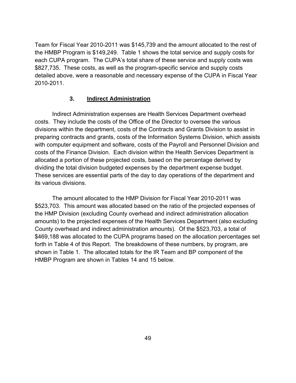Team for Fiscal Year 2010-2011 was \$145,739 and the amount allocated to the rest of the HMBP Program is \$149,249. Table 1 shows the total service and supply costs for each CUPA program. The CUPA's total share of these service and supply costs was \$827,735. These costs, as well as the program-specific service and supply costs detailed above, were a reasonable and necessary expense of the CUPA in Fiscal Year 2010-2011.

## **3. Indirect Administration**

 Indirect Administration expenses are Health Services Department overhead costs. They include the costs of the Office of the Director to oversee the various divisions within the department, costs of the Contracts and Grants Division to assist in preparing contracts and grants, costs of the Information Systems Division, which assists with computer equipment and software, costs of the Payroll and Personnel Division and costs of the Finance Division. Each division within the Health Services Department is allocated a portion of these projected costs, based on the percentage derived by dividing the total division budgeted expenses by the department expense budget. These services are essential parts of the day to day operations of the department and its various divisions.

 The amount allocated to the HMP Division for Fiscal Year 2010-2011 was \$523,703.This amount was allocated based on the ratio of the projected expenses of the HMP Division (excluding County overhead and indirect administration allocation amounts) to the projected expenses of the Health Services Department (also excluding County overhead and indirect administration amounts). Of the \$523,703, a total of \$469,188 was allocated to the CUPA programs based on the allocation percentages set forth in Table 4 of this Report. The breakdowns of these numbers, by program, are shown in Table 1. The allocated totals for the IR Team and BP component of the HMBP Program are shown in Tables 14 and 15 below.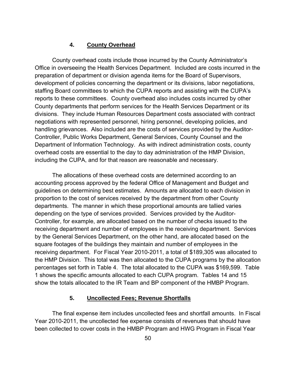#### **4. County Overhead**

 County overhead costs include those incurred by the County Administrator's Office in overseeing the Health Services Department. Included are costs incurred in the preparation of department or division agenda items for the Board of Supervisors, development of policies concerning the department or its divisions, labor negotiations, staffing Board committees to which the CUPA reports and assisting with the CUPA's reports to these committees. County overhead also includes costs incurred by other County departments that perform services for the Health Services Department or its divisions. They include Human Resources Department costs associated with contract negotiations with represented personnel, hiring personnel, developing policies, and handling grievances. Also included are the costs of services provided by the Auditor-Controller, Public Works Department, General Services, County Counsel and the Department of Information Technology. As with indirect administration costs, county overhead costs are essential to the day to day administration of the HMP Division, including the CUPA, and for that reason are reasonable and necessary.

 The allocations of these overhead costs are determined according to an accounting process approved by the federal Office of Management and Budget and guidelines on determining best estimates. Amounts are allocated to each division in proportion to the cost of services received by the department from other County departments. The manner in which these proportional amounts are tallied varies depending on the type of services provided. Services provided by the Auditor-Controller, for example, are allocated based on the number of checks issued to the receiving department and number of employees in the receiving department. Services by the General Services Department, on the other hand, are allocated based on the square footages of the buildings they maintain and number of employees in the receiving department. For Fiscal Year 2010-2011, a total of \$189,305 was allocated to the HMP Division. This total was then allocated to the CUPA programs by the allocation percentages set forth in Table 4. The total allocated to the CUPA was \$169,599. Table 1 shows the specific amounts allocated to each CUPA program. Tables 14 and 15 show the totals allocated to the IR Team and BP component of the HMBP Program.

#### **5. Uncollected Fees; Revenue Shortfalls**

 The final expense item includes uncollected fees and shortfall amounts. In Fiscal Year 2010-2011, the uncollected fee expense consists of revenues that should have been collected to cover costs in the HMBP Program and HWG Program in Fiscal Year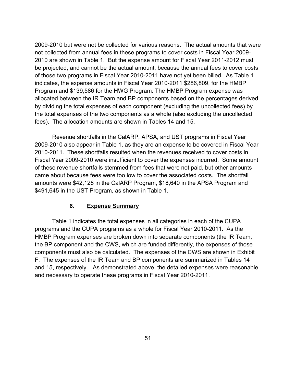2009-2010 but were not be collected for various reasons. The actual amounts that were not collected from annual fees in these programs to cover costs in Fiscal Year 2009- 2010 are shown in Table 1. But the expense amount for Fiscal Year 2011-2012 must be projected, and cannot be the actual amount, because the annual fees to cover costs of those two programs in Fiscal Year 2010-2011 have not yet been billed. As Table 1 indicates, the expense amounts in Fiscal Year 2010-2011 \$286,809, for the HMBP Program and \$139,586 for the HWG Program. The HMBP Program expense was allocated between the IR Team and BP components based on the percentages derived by dividing the total expenses of each component (excluding the uncollected fees) by the total expenses of the two components as a whole (also excluding the uncollected fees). The allocation amounts are shown in Tables 14 and 15.

 Revenue shortfalls in the CalARP, APSA, and UST programs in Fiscal Year 2009-2010 also appear in Table 1, as they are an expense to be covered in Fiscal Year 2010-2011. These shortfalls resulted when the revenues received to cover costs in Fiscal Year 2009-2010 were insufficient to cover the expenses incurred. Some amount of these revenue shortfalls stemmed from fees that were not paid, but other amounts came about because fees were too low to cover the associated costs. The shortfall amounts were \$42,128 in the CalARP Program, \$18,640 in the APSA Program and \$491,645 in the UST Program, as shown in Table 1.

## **6. Expense Summary**

 Table 1 indicates the total expenses in all categories in each of the CUPA programs and the CUPA programs as a whole for Fiscal Year 2010-2011. As the HMBP Program expenses are broken down into separate components (the IR Team, the BP component and the CWS, which are funded differently, the expenses of those components must also be calculated. The expenses of the CWS are shown in Exhibit F. The expenses of the IR Team and BP components are summarized in Tables 14 and 15, respectively. As demonstrated above, the detailed expenses were reasonable and necessary to operate these programs in Fiscal Year 2010-2011.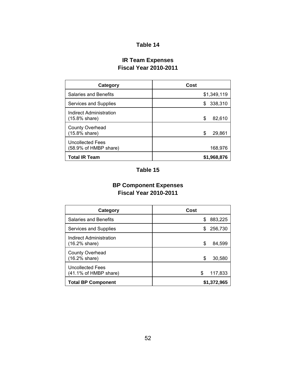# **Table 14**

# **IR Team Expenses Fiscal Year 2010-2011**

| Category                                  | Cost          |
|-------------------------------------------|---------------|
| <b>Salaries and Benefits</b>              | \$1,349,119   |
| Services and Supplies                     | 338,310<br>\$ |
| Indirect Administration<br>(15.8% share)  | \$<br>82,610  |
| <b>County Overhead</b><br>(15.8% share)   | \$<br>29,861  |
| Uncollected Fees<br>(58.9% of HMBP share) | 168,976       |
| <b>Total IR Team</b>                      | \$1,968,876   |

# **Table 15**

# **BP Component Expenses Fiscal Year 2010-2011**

| Category                                         | Cost          |
|--------------------------------------------------|---------------|
| <b>Salaries and Benefits</b>                     | 883,225<br>\$ |
| Services and Supplies                            | 256,730<br>S  |
| Indirect Administration<br>(16.2% share)         | \$<br>84,599  |
| <b>County Overhead</b><br>(16.2% share)          | \$<br>30,580  |
| <b>Uncollected Fees</b><br>(41.1% of HMBP share) | 117,833<br>\$ |
| <b>Total BP Component</b>                        | \$1,372,965   |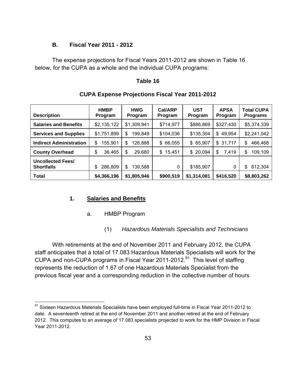#### **B. Fiscal Year 2011 - 2012**

 The expense projections for Fiscal Years 2011-2012 are shown in Table 16 below, for the CUPA as a whole and the individual CUPA programs:

#### **Table 16**

| <b>Description</b>                            | <b>HMBP</b><br>Program | <b>HWG</b><br>Program | Cal/ARP<br>Program | <b>UST</b><br>Program | <b>APSA</b><br>Program | <b>Total CUPA</b><br><b>Programs</b> |
|-----------------------------------------------|------------------------|-----------------------|--------------------|-----------------------|------------------------|--------------------------------------|
| <b>Salaries and Benefits</b>                  | \$2,135,122            | \$1,309,941           | \$714,977          | \$886,869             | \$327,430              | \$5,374,339                          |
| <b>Services and Supplies</b>                  | \$1,751,899            | 199,849<br>\$         | \$104,036          | \$135,304             | \$49,954               | \$2,241,042                          |
| <b>Indirect Administration</b>                | 155,901<br>\$          | 126,888<br>\$         | 66,055<br>\$       | \$85,907              | \$31,717               | \$<br>466,468                        |
| <b>County Overhead</b>                        | \$<br>36,465           | \$<br>29,680          | 15,451<br>\$       | 20,094<br>\$          | 7,419<br>\$            | \$<br>109,109                        |
| <b>Uncollected Fees/</b><br><b>Shortfalls</b> | 286,809<br>\$          | \$<br>139,588         | 0                  | \$185,907             | 0                      | \$<br>612,304                        |
| <b>Total</b>                                  | \$4,366,196            | \$1,805,946           | \$900,519          | \$1,314,081           | \$416,520              | \$8,803,262                          |

## **CUPA Expense Projections Fiscal Year 2011-2012**

## **1. Salaries and Benefits**

 $\overline{a}$ 

#### a. HMBP Program

(1) *Hazardous Materials Specialists and Technicians*

 With retirements at the end of November 2011 and February 2012, the CUPA staff anticipates that a total of 17.083 Hazardous Materials Specialists will work for the CUPA and non-CUPA programs in Fiscal Year 2011-2012.<sup>91</sup> This level of staffing represents the reduction of 1.67 of one Hazardous Materials Specialist from the previous fiscal year and a corresponding reduction in the collective number of hours

 $91$  Sixteen Hazardous Materials Specialists have been employed full-time in Fiscal Year 2011-2012 to date. A seventeenth retired at the end of November 2011 and another retired at the end of February 2012. This computes to an average of 17.083 specialists projected to work for the HMP Division in Fiscal Year 2011-2012.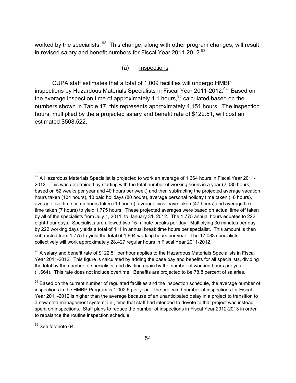worked by the specialists. <sup>92</sup> This change, along with other program changes, will result in revised salary and benefit numbers for Fiscal Year 2011-2012.<sup>93</sup>

#### (a) Inspections

 CUPA staff estimates that a total of 1,009 facilities will undergo HMBP inspections by Hazardous Materials Specialists in Fiscal Year 2011-2012.<sup>94</sup> Based on the average inspection time of approximately 4.1 hours,  $95$  calculated based on the numbers shown in Table 17, this represents approximately 4,151 hours. The inspection hours, multiplied by the a projected salary and benefit rate of \$122.51, will cost an estimated \$508,522.

<sup>95</sup> See footnote 64.

 $\overline{a}$ 

 $92$  A Hazardous Materials Specialist is projected to work an average of 1,664 hours in Fiscal Year 2011-2012. This was determined by starting with the total number of working hours in a year (2,080 hours, based on 52 weeks per year and 40 hours per week) and then subtracting the projected average vacation hours taken (134 hours), 10 paid holidays (80 hours), average personal holiday time taken (18 hours), average overtime comp hours taken (19 hours), average sick leave taken (47 hours) and average flex time taken (7 hours) to yield 1,775 hours. These projected averages were based on actual time off taken by all of the specialists from July 1, 2011, to January 31, 2012. The 1,775 annual hours equates to 222 eight-hour days. Specialists are allowed two 15-minute breaks per day. Multiplying 30 minutes per day by 222 working days yields a total of 111 in annual break time hours per specialist. This amount is then subtracted from 1,775 to yield the total of 1,664 working hours per year. The 17.083 specialists collectively will work approximately 28,427 regular hours in Fiscal Year 2011-2012.

<sup>93</sup> A salary and benefit rate of \$122.51 per hour applies to the Hazardous Materials Specialists in Fiscal Year 2011-2012. This figure is calculated by adding the base pay and benefits for all specialists, dividing the total by the number of specialists, and dividing again by the number of working hours per year (1,664). This rate does not include overtime. Benefits are projected to be 78.8 percent of salaries.

<sup>&</sup>lt;sup>94</sup> Based on the current number of regulated facilities and the inspection schedule, the average number of inspections in the HMBP Program is 1,002.5 per year. The projected number of inspections for Fiscal Year 2011-2012 is higher than the average because of an unanticipated delay in a project to transition to a new data management system; i.e., time that staff had intended to devote to that project was instead spent on inspections. Staff plans to reduce the number of inspections in Fiscal Year 2012-2013 in order to rebalance the routine inspection schedule.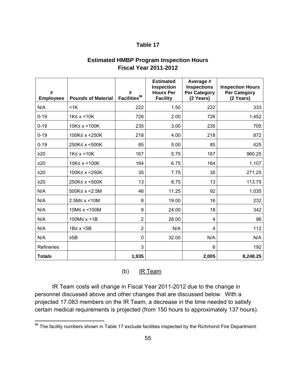## **Table 17**

| <b>Estimated HMBP Program Inspection Hours</b> |  |
|------------------------------------------------|--|
| <b>Fiscal Year 2011-2012</b>                   |  |

| #<br><b>Employees</b> | <b>Pounds of Material</b> | #<br>Facilities $^{96}$ | <b>Estimated</b><br>Inspection<br><b>Hours Per</b><br><b>Facility</b> | Average #<br><b>Inspections</b><br><b>Per Category</b><br>(2 Years) | <b>Inspection Hours</b><br><b>Per Category</b><br>(2 Years) |
|-----------------------|---------------------------|-------------------------|-----------------------------------------------------------------------|---------------------------------------------------------------------|-------------------------------------------------------------|
| N/A                   | $<$ 1 $K$                 | 222                     | 1.50                                                                  | 222                                                                 | 333                                                         |
| $0 - 19$              | $1K \leq x \leq 10K$      | 726                     | 2.00                                                                  | 726                                                                 | 1,452                                                       |
| $0 - 19$              | 10K≤ x <100K              | 235                     | 3.00                                                                  | 235                                                                 | 705                                                         |
| $0 - 19$              | 100K≤ x <250K             | 218                     | 4.00                                                                  | 218                                                                 | 872                                                         |
| $0 - 19$              | 250K≤ x <500K             | 85                      | 5.00                                                                  | 85                                                                  | 425                                                         |
| $\geq 20$             | $1K \leq x \leq 10K$      | 167                     | 5.75                                                                  | 167                                                                 | 960.25                                                      |
| $\geq 20$             | 10K≤ x <100K              | 164                     | 6.75                                                                  | 164                                                                 | 1,107                                                       |
| $\geq 20$             | 100K≤ x <250K             | 35                      | 7.75                                                                  | 35                                                                  | 271.25                                                      |
| $\geq 20$             | 250K≤ x <500K             | 13                      | 8.75                                                                  | 13                                                                  | 113.75                                                      |
| N/A                   | 500K≤ x <2.5M             | 46                      | 11.25                                                                 | 92                                                                  | 1,035                                                       |
| N/A                   | 2.5M≤ x < 10M             | 8                       | 19.00                                                                 | 16                                                                  | 232                                                         |
| N/A                   | 10M≤ x < 100M             | 9                       | 24.00                                                                 | 18                                                                  | 342                                                         |
| N/A                   | 100M≤ x <1B               | $\overline{2}$          | 28.00                                                                 | 4                                                                   | 96                                                          |
| N/A                   | 1B≤ x < 5B                | $\overline{2}$          | N/A                                                                   | 4                                                                   | 112                                                         |
| N/A                   | $\geq$ <sub>5</sub> B     | 0                       | 32.00                                                                 | N/A                                                                 | N/A                                                         |
| Refineries            |                           | 3                       |                                                                       | 6                                                                   | 192                                                         |
| <b>Totals</b>         |                           | 1,935                   |                                                                       | 2,005                                                               | 8,248.25                                                    |

(b) IR Team

 IR Team costs will change in Fiscal Year 2011-2012 due to the change in personnel discussed above and other changes that are discussed below. With a projected 17.083 members on the IR Team, a decrease in the time needed to satisfy certain medical requirements is projected (from 150 hours to approximately 137 hours).

 $\overline{a}$ 

 $96$  The facility numbers shown in Table 17 exclude facilities inspected by the Richmond Fire Department.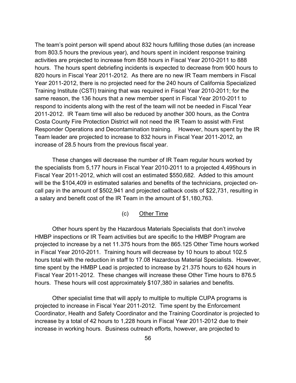The team's point person will spend about 832 hours fulfilling those duties (an increase from 803.5 hours the previous year), and hours spent in incident response training activities are projected to increase from 858 hours in Fiscal Year 2010-2011 to 888 hours. The hours spent debriefing incidents is expected to decrease from 900 hours to 820 hours in Fiscal Year 2011-2012. As there are no new IR Team members in Fiscal Year 2011-2012, there is no projected need for the 240 hours of California Specialized Training Institute (CSTI) training that was required in Fiscal Year 2010-2011; for the same reason, the 136 hours that a new member spent in Fiscal Year 2010-2011 to respond to incidents along with the rest of the team will not be needed in Fiscal Year 2011-2012. IR Team time will also be reduced by another 300 hours, as the Contra Costa County Fire Protection District will not need the IR Team to assist with First Responder Operations and Decontamination training. However, hours spent by the IR Team leader are projected to increase to 832 hours in Fiscal Year 2011-2012, an increase of 28.5 hours from the previous fiscal year.

 These changes will decrease the number of IR Team regular hours worked by the specialists from 5,177 hours in Fiscal Year 2010-2011 to a projected 4,495hours in Fiscal Year 2011-2012, which will cost an estimated \$550,682. Added to this amount will be the \$104,409 in estimated salaries and benefits of the technicians, projected oncall pay in the amount of \$502,941 and projected callback costs of \$22,731, resulting in a salary and benefit cost of the IR Team in the amount of \$1,180,763.

## (c) Other Time

 Other hours spent by the Hazardous Materials Specialists that don't involve HMBP inspections or IR Team activities but are specific to the HMBP Program are projected to increase by a net 11.375 hours from the 865.125 Other Time hours worked in Fiscal Year 2010-2011. Training hours will decrease by 10 hours to about 102.5 hours total with the reduction in staff to 17.08 Hazardous Material Specialists. However, time spent by the HMBP Lead is projected to increase by 21.375 hours to 624 hours in Fiscal Year 2011-2012. These changes will increase these Other Time hours to 876.5 hours. These hours will cost approximately \$107,380 in salaries and benefits.

Other specialist time that will apply to multiple to multiple CUPA programs is projected to increase in Fiscal Year 2011-2012. Time spent by the Enforcement Coordinator, Health and Safety Coordinator and the Training Coordinator is projected to increase by a total of 42 hours to 1,228 hours in Fiscal Year 2011-2012 due to their increase in working hours. Business outreach efforts, however, are projected to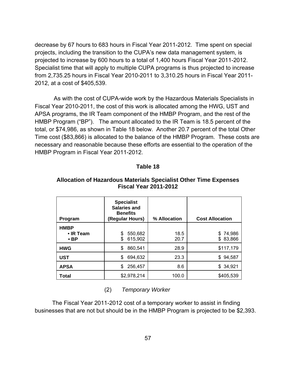decrease by 67 hours to 683 hours in Fiscal Year 2011-2012. Time spent on special projects, including the transition to the CUPA's new data management system, is projected to increase by 600 hours to a total of 1,400 hours Fiscal Year 2011-2012. Specialist time that will apply to multiple CUPA programs is thus projected to increase from 2,735.25 hours in Fiscal Year 2010-2011 to 3,310.25 hours in Fiscal Year 2011- 2012, at a cost of \$405,539.

 As with the cost of CUPA-wide work by the Hazardous Materials Specialists in Fiscal Year 2010-2011, the cost of this work is allocated among the HWG, UST and APSA programs, the IR Team component of the HMBP Program, and the rest of the HMBP Program ("BP"). The amount allocated to the IR Team is 18.5 percent of the total, or \$74,986, as shown in Table 18 below. Another 20.7 percent of the total Other Time cost (\$83,866) is allocated to the balance of the HMBP Program. These costs are necessary and reasonable because these efforts are essential to the operation of the HMBP Program in Fiscal Year 2011-2012.

#### **Table 18**

| Program                                      | <b>Specialist</b><br><b>Salaries and</b><br><b>Benefits</b><br>(Regular Hours) | % Allocation | <b>Cost Allocation</b>   |
|----------------------------------------------|--------------------------------------------------------------------------------|--------------|--------------------------|
| <b>HMBP</b><br>$\cdot$ IR Team<br>$\cdot$ BP | 550,682<br>\$<br>615,902<br>\$                                                 | 18.5<br>20.7 | \$74,986<br>83,866<br>\$ |
| <b>HWG</b>                                   | 860,541<br>\$                                                                  | 28.9         | \$117,179                |
| <b>UST</b>                                   | 694,632<br>\$                                                                  | 23.3         | \$94,587                 |
| <b>APSA</b>                                  | 256,457<br>\$                                                                  | 8.6          | \$34,921                 |
| <b>Total</b>                                 | \$2,978,214                                                                    | 100.0        | \$405,539                |

#### **Allocation of Hazardous Materials Specialist Other Time Expenses Fiscal Year 2011-2012**

(2) *Temporary Worker*

 The Fiscal Year 2011-2012 cost of a temporary worker to assist in finding businesses that are not but should be in the HMBP Program is projected to be \$2,393.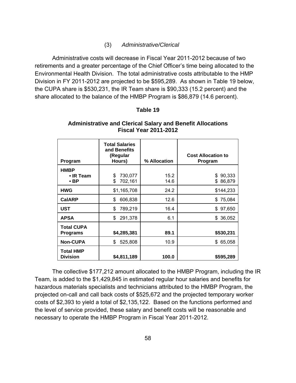#### (3) *Administrative/Clerical*

 Administrative costs will decrease in Fiscal Year 2011-2012 because of two retirements and a greater percentage of the Chief Officer's time being allocated to the Environmental Health Division. The total administrative costs attributable to the HMP Division in FY 2011-2012 are projected to be \$595,289. As shown in Table 19 below, the CUPA share is \$530,231, the IR Team share is \$90,333 (15.2 percent) and the share allocated to the balance of the HMBP Program is \$86,879 (14.6 percent).

#### **Table 19**

| Program                                      | <b>Total Salaries</b><br>and Benefits<br>(Regular<br>Hours) | % Allocation | <b>Cost Allocation to</b><br>Program |
|----------------------------------------------|-------------------------------------------------------------|--------------|--------------------------------------|
| <b>HMBP</b><br>$\cdot$ IR Team<br>$\cdot$ BP | 730,077<br>\$<br>\$<br>702,161                              | 15.2<br>14.6 | 90,333<br>\$<br>\$86,879             |
| <b>HWG</b>                                   | \$1,165,708                                                 | 24.2         | \$144,233                            |
| <b>CalARP</b>                                | 606,838<br>\$                                               | 12.6         | \$75,084                             |
| <b>UST</b>                                   | \$<br>789,219                                               | 16.4         | \$97,650                             |
| <b>APSA</b>                                  | \$<br>291,378                                               | 6.1          | 36,052<br>\$                         |
| <b>Total CUPA</b><br><b>Programs</b>         | \$4,285,381                                                 | 89.1         | \$530,231                            |
| <b>Non-CUPA</b>                              | 525,808<br>\$                                               | 10.9         | \$65,058                             |
| <b>Total HMP</b><br><b>Division</b>          | \$4,811,189                                                 | 100.0        | \$595,289                            |

## **Administrative and Clerical Salary and Benefit Allocations Fiscal Year 2011-2012**

 The collective \$177,212 amount allocated to the HMBP Program, including the IR Team, is added to the \$1,429,845 in estimated regular hour salaries and benefits for hazardous materials specialists and technicians attributed to the HMBP Program, the projected on-call and call back costs of \$525,672 and the projected temporary worker costs of \$2,393 to yield a total of \$2,135,122. Based on the functions performed and the level of service provided, these salary and benefit costs will be reasonable and necessary to operate the HMBP Program in Fiscal Year 2011-2012.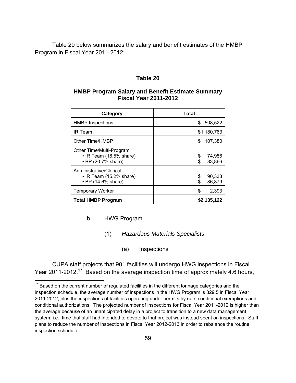Table 20 below summarizes the salary and benefit estimates of the HMBP Program in Fiscal Year 2011-2012:

### **Table 20**

## **HMBP Program Salary and Benefit Estimate Summary Fiscal Year 2011-2012**

| Category                                                                       | <b>Total</b>                |
|--------------------------------------------------------------------------------|-----------------------------|
| <b>HMBP Inspections</b>                                                        | 508,522<br>S                |
| <b>IR Team</b>                                                                 | \$1,180,763                 |
| Other Time/HMBP                                                                | 107,380<br>S                |
| Other Time/Multi-Program<br>• IR Team (18.5% share)<br>• BP (20.7% share)      | 74,986<br>\$<br>83,866<br>S |
| Administrative/Clerical<br>$\cdot$ IR Team (15.2% share)<br>• BP (14.6% share) | 90,333<br>\$<br>86,879      |
| <b>Temporary Worker</b>                                                        | \$<br>2,393                 |
| <b>Total HMBP Program</b>                                                      | \$2,135,122                 |

#### b. HWG Program

<u>.</u>

- (1) *Hazardous Materials Specialists*
	- (a) Inspections

 CUPA staff projects that 901 facilities will undergo HWG inspections in Fiscal Year 2011-2012.<sup>97</sup> Based on the average inspection time of approximately 4.6 hours,

 $97$  Based on the current number of regulated facilities in the different tonnage categories and the inspection schedule, the average number of inspections in the HWG Program is 829.5 in Fiscal Year 2011-2012, plus the inspections of facilities operating under permits by rule, conditional exemptions and conditional authorizations. The projected number of inspections for Fiscal Year 2011-2012 is higher than the average because of an unanticipated delay in a project to transition to a new data management system; i.e., time that staff had intended to devote to that project was instead spent on inspections. Staff plans to reduce the number of inspections in Fiscal Year 2012-2013 in order to rebalance the routine inspection schedule.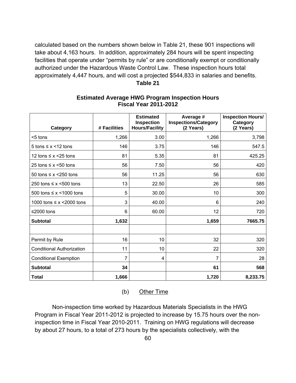calculated based on the numbers shown below in Table 21, these 901 inspections will take about 4,163 hours. In addition, approximately 284 hours will be spent inspecting facilities that operate under "permits by rule" or are conditionally exempt or conditionally authorized under the Hazardous Waste Control Law. These inspection hours total approximately 4,447 hours, and will cost a projected \$544,833 in salaries and benefits. **Table 21** 

| Category                         | # Facilities | <b>Estimated</b><br><b>Inspection</b><br><b>Hours/Facility</b> | Average #<br><b>Inspections/Category</b><br>(2 Years) | <b>Inspection Hours/</b><br>Category<br>(2 Years) |
|----------------------------------|--------------|----------------------------------------------------------------|-------------------------------------------------------|---------------------------------------------------|
| <5 tons                          | 1,266        | 3.00                                                           | 1,266                                                 | 3,798                                             |
| 5 tons $\leq x \leq 12$ tons     | 146          | 3.75                                                           | 146                                                   | 547.5                                             |
| 12 tons $\leq x \leq 25$ tons    | 81           | 5.35                                                           | 81                                                    | 425.25                                            |
| 25 tons $\leq x \leq 50$ tons    | 56           | 7.50                                                           | 56                                                    | 420                                               |
| 50 tons $\leq x \leq 250$ tons   | 56           | 11.25                                                          | 56                                                    | 630                                               |
| 250 tons $\leq x$ <500 tons      | 13           | 22.50                                                          | 26                                                    | 585                                               |
| 500 tons $\leq x \leq 1000$ tons | 5            | 30.00                                                          | 10                                                    | 300                                               |
| 1000 tons $\leq x$ <2000 tons    | 3            | 40.00                                                          | 6                                                     | 240                                               |
| ≤2000 tons                       | 6            | 60.00                                                          | 12                                                    | 720                                               |
| <b>Subtotal</b>                  | 1,632        |                                                                | 1,659                                                 | 7665.75                                           |
|                                  |              |                                                                |                                                       |                                                   |
| Permit by Rule                   | 16           | 10                                                             | 32                                                    | 320                                               |
| <b>Conditional Authorization</b> | 11           | 10                                                             | 22                                                    | 320                                               |
| <b>Conditional Exemption</b>     | 7            | 4                                                              | 7                                                     | 28                                                |
| <b>Subtotal</b>                  | 34           |                                                                | 61                                                    | 568                                               |
| <b>Total</b>                     | 1,666        |                                                                | 1,720                                                 | 8,233.75                                          |

## **Estimated Average HWG Program Inspection Hours Fiscal Year 2011-2012**

(b) Other Time

 Non-inspection time worked by Hazardous Materials Specialists in the HWG Program in Fiscal Year 2011-2012 is projected to increase by 15.75 hours over the noninspection time in Fiscal Year 2010-2011. Training on HWG regulations will decrease by about 27 hours, to a total of 273 hours by the specialists collectively, with the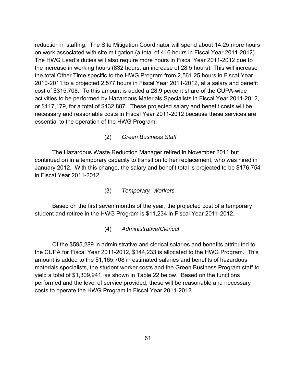reduction in staffing. The Site Mitigation Coordinator will spend about 14.25 more hours on work associated with site mitigation (a total of 416 hours in Fiscal Year 2011-2012). The HWG Lead's duties will also require more hours in Fiscal Year 2011-2012 due to the increase in working hours (832 hours, an increase of 28.5 hours). This will increase the total Other Time specific to the HWG Program from 2,561.25 hours in Fiscal Year 2010-2011 to a projected 2,577 hours in Fiscal Year 2011-2012, at a salary and benefit cost of \$315,708. To this amount is added a 28.9 percent share of the CUPA-wide activities to be performed by Hazardous Materials Specialists in Fiscal Year 2011-2012, or \$117,179, for a total of \$432,887. These projected salary and benefit costs will be necessary and reasonable costs in Fiscal Year 2011-2012 because these services are essential to the operation of the HWG Program.

(2) *Green Business Staff*

 The Hazardous Waste Reduction Manager retired in November 2011 but continued on in a temporary capacity to transition to her replacement, who was hired in January 2012. With this change, the salary and benefit total is projected to be \$176,754 in Fiscal Year 2011-2012.

(3) *Temporary Workers*

Based on the first seven months of the year, the projected cost of a temporary student and retiree in the HWG Program is \$11,234 in Fiscal Year 2011-2012.

(4) *Administrative/Clerical*

 Of the \$595,289 in administrative and clerical salaries and benefits attributed to the CUPA for Fiscal Year 2011-2012, \$144,233 is allocated to the HWG Program. This amount is added to the \$1,165,708 in estimated salaries and benefits of hazardous materials specialists, the student worker costs and the Green Business Program staff to yield a total of \$1,309,941, as shown in Table 22 below. Based on the functions performed and the level of service provided, these will be reasonable and necessary costs to operate the HWG Program in Fiscal Year 2011-2012.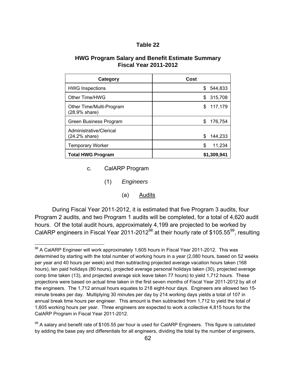| Table |  |
|-------|--|
|-------|--|

#### **HWG Program Salary and Benefit Estimate Summary Fiscal Year 2011-2012**

| Category                                  | Cost         |
|-------------------------------------------|--------------|
| <b>HWG Inspections</b>                    | 544,833<br>S |
| Other Time/HWG                            | 315,708<br>S |
| Other Time/Multi-Program<br>(28.9% share) | 117,179<br>S |
| Green Business Program                    | S<br>176,754 |
| Administrative/Clerical<br>(24.2% share)  | 144,233<br>S |
| <b>Temporary Worker</b>                   | 11,234<br>S  |
| <b>Total HWG Program</b>                  | \$1,309,941  |

c. CalARP Program

1

- (1) *Engineers*
	- (a) Audits

 During Fiscal Year 2011-2012, it is estimated that five Program 3 audits, four Program 2 audits, and two Program 1 audits will be completed, for a total of 4,620 audit hours. Of the total audit hours, approximately 4,199 are projected to be worked by CalARP engineers in Fiscal Year 2011-2012<sup>98</sup> at their hourly rate of \$105.55<sup>99</sup>, resulting

<sup>&</sup>lt;sup>98</sup> A CalARP Engineer will work approximately 1,605 hours in Fiscal Year 2011-2012. This was determined by starting with the total number of working hours in a year (2,080 hours, based on 52 weeks per year and 40 hours per week) and then subtracting projected average vacation hours taken (168 hours), ten paid holidays (80 hours), projected average personal holidays taken (30), projected average comp time taken (13), and projected average sick leave taken 77 hours) to yield 1,712 hours. These projections were based on actual time taken in the first seven months of Fiscal Year 2011-2012 by all of the engineers. The 1,712 annual hours equates to 218 eight-hour days. Engineers are allowed two 15 minute breaks per day. Multiplying 30 minutes per day by 214 working days yields a total of 107 in annual break time hours per engineer. This amount is then subtracted from 1,712 to yield the total of 1,605 working hours per year. Three engineers are expected to work a collective 4,815 hours for the CalARP Program in Fiscal Year 2011-2012.

 $99$  A salary and benefit rate of \$105.55 per hour is used for CalARP Engineers. This figure is calculated by adding the base pay and differentials for all engineers, dividing the total by the number of engineers,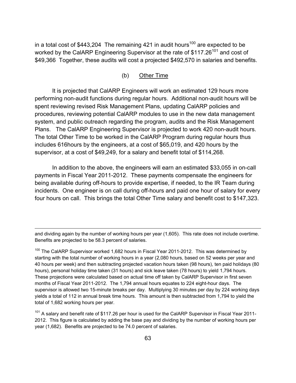in a total cost of \$443,204 The remaining 421 in audit hours<sup>100</sup> are expected to be worked by the CalARP Engineering Supervisor at the rate of \$117.26<sup>101</sup> and cost of \$49,366 Together, these audits will cost a projected \$492,570 in salaries and benefits.

## (b) Other Time

 It is projected that CalARP Engineers will work an estimated 129 hours more performing non-audit functions during regular hours. Additional non-audit hours will be spent reviewing revised Risk Management Plans, updating CalARP policies and procedures, reviewing potential CalARP modules to use in the new data management system, and public outreach regarding the program, audits and the Risk Management Plans. The CalARP Engineering Supervisor is projected to work 420 non-audit hours. The total Other Time to be worked in the CalARP Program during regular hours thus includes 616hours by the engineers, at a cost of \$65,019, and 420 hours by the supervisor, at a cost of \$49,249, for a salary and benefit total of \$114,268.

 In addition to the above, the engineers will earn an estimated \$33,055 in on-call payments in Fiscal Year 2011-2012. These payments compensate the engineers for being available during off-hours to provide expertise, if needed, to the IR Team during incidents. One engineer is on call during off-hours and paid one hour of salary for every four hours on call. This brings the total Other Time salary and benefit cost to \$147,323.

 $\overline{a}$ 

and dividing again by the number of working hours per year (1,605). This rate does not include overtime. Benefits are projected to be 58.3 percent of salaries.

 $100$  The CalARP Supervisor worked 1,682 hours in Fiscal Year 2011-2012. This was determined by starting with the total number of working hours in a year (2,080 hours, based on 52 weeks per year and 40 hours per week) and then subtracting projected vacation hours taken (98 hours), ten paid holidays (80 hours), personal holiday time taken (31 hours) and sick leave taken (78 hours) to yield 1,794 hours. These projections were calculated based on actual time off taken by CalARP Supervisor in first seven months of Fiscal Year 2011-2012. The 1,794 annual hours equates to 224 eight-hour days. The supervisor is allowed two 15-minute breaks per day. Multiplying 30 minutes per day by 224 working days yields a total of 112 in annual break time hours. This amount is then subtracted from 1,794 to yield the total of 1,682 working hours per year.

 $101$  A salary and benefit rate of \$117.26 per hour is used for the CalARP Supervisor in Fiscal Year 2011-2012. This figure is calculated by adding the base pay and dividing by the number of working hours per year (1,682). Benefits are projected to be 74.0 percent of salaries.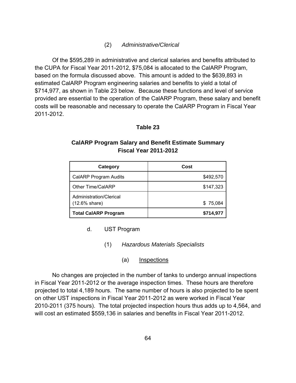## (2) *Administrative/Clerical*

 Of the \$595,289 in administrative and clerical salaries and benefits attributed to the CUPA for Fiscal Year 2011-2012, \$75,084 is allocated to the CalARP Program, based on the formula discussed above. This amount is added to the \$639,893 in estimated CalARP Program engineering salaries and benefits to yield a total of \$714,977, as shown in Table 23 below. Because these functions and level of service provided are essential to the operation of the CalARP Program, these salary and benefit costs will be reasonable and necessary to operate the CalARP Program in Fiscal Year 2011-2012.

## **Table 23**

## **CalARP Program Salary and Benefit Estimate Summary Fiscal Year 2011-2012**

| Category                                            | Cost      |
|-----------------------------------------------------|-----------|
| <b>CalARP Program Audits</b>                        | \$492,570 |
| Other Time/CalARP                                   | \$147,323 |
| Administration/Clerical<br>$(12.6\% \text{ share})$ | \$75,084  |
| <b>Total CalARP Program</b>                         | \$714,977 |

- d. UST Program
	- (1) *Hazardous Materials Specialists*
		- (a) Inspections

 No changes are projected in the number of tanks to undergo annual inspections in Fiscal Year 2011-2012 or the average inspection times. These hours are therefore projected to total 4,189 hours. The same number of hours is also projected to be spent on other UST inspections in Fiscal Year 2011-2012 as were worked in Fiscal Year 2010-2011 (375 hours). The total projected inspection hours thus adds up to 4,564, and will cost an estimated \$559,136 in salaries and benefits in Fiscal Year 2011-2012.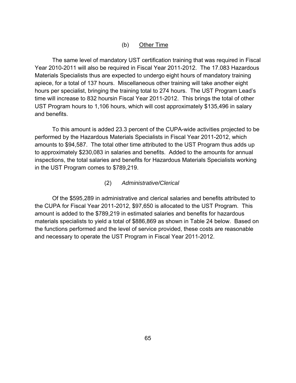## (b) Other Time

 The same level of mandatory UST certification training that was required in Fiscal Year 2010-2011 will also be required in Fiscal Year 2011-2012. The 17.083 Hazardous Materials Specialists thus are expected to undergo eight hours of mandatory training apiece, for a total of 137 hours. Miscellaneous other training will take another eight hours per specialist, bringing the training total to 274 hours. The UST Program Lead's time will increase to 832 hoursin Fiscal Year 2011-2012. This brings the total of other UST Program hours to 1,106 hours, which will cost approximately \$135,496 in salary and benefits.

 To this amount is added 23.3 percent of the CUPA-wide activities projected to be performed by the Hazardous Materials Specialists in Fiscal Year 2011-2012, which amounts to \$94,587. The total other time attributed to the UST Program thus adds up to approximately \$230,083 in salaries and benefits. Added to the amounts for annual inspections, the total salaries and benefits for Hazardous Materials Specialists working in the UST Program comes to \$789,219.

#### (2) *Administrative/Clerical*

 Of the \$595,289 in administrative and clerical salaries and benefits attributed to the CUPA for Fiscal Year 2011-2012, \$97,650 is allocated to the UST Program. This amount is added to the \$789,219 in estimated salaries and benefits for hazardous materials specialists to yield a total of \$886,869 as shown in Table 24 below. Based on the functions performed and the level of service provided, these costs are reasonable and necessary to operate the UST Program in Fiscal Year 2011-2012.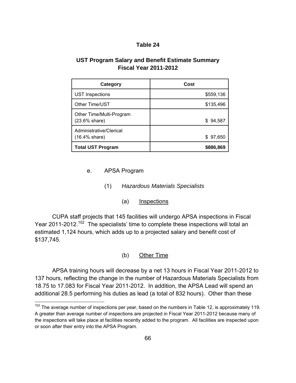## **Table 24**

# **UST Program Salary and Benefit Estimate Summary Fiscal Year 2011-2012**

| Category                                    | Cost      |
|---------------------------------------------|-----------|
| <b>UST Inspections</b>                      | \$559,136 |
| Other Time/UST                              | \$135,496 |
| Other Time/Multi-Program<br>(23.6% share)   | \$94,587  |
| Administrative/Clerical<br>$(16.4\%$ share) | \$97,650  |
| <b>Total UST Program</b>                    | \$886,869 |

e. APSA Program

 $\overline{a}$ 

- (1) *Hazardous Materials Specialists*
	- (a) Inspections

 CUPA staff projects that 145 facilities will undergo APSA inspections in Fiscal Year 2011-2012.<sup>102</sup> The specialists' time to complete these inspections will total an estimated 1,124 hours, which adds up to a projected salary and benefit cost of \$137,745.

(b) Other Time

 APSA training hours will decrease by a net 13 hours in Fiscal Year 2011-2012 to 137 hours, reflecting the change in the number of Hazardous Materials Specialists from 18.75 to 17.083 for Fiscal Year 2011-2012. In addition, the APSA Lead will spend an additional 28.5 performing his duties as lead (a total of 832 hours). Other than these

 $102$  The average number of inspections per year, based on the numbers in Table 12, is approximately 119. A greater than average number of inspections are projected in Fiscal Year 2011-2012 because many of the inspections will take place at facilities recently added to the program. All facilities are inspected upon or soon after their entry into the APSA Program.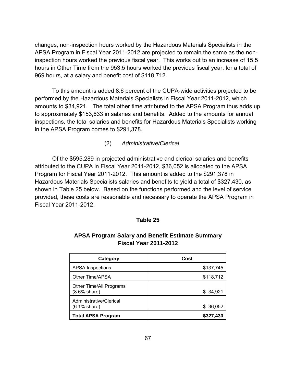changes, non-inspection hours worked by the Hazardous Materials Specialists in the APSA Program in Fiscal Year 2011-2012 are projected to remain the same as the noninspection hours worked the previous fiscal year. This works out to an increase of 15.5 hours in Other Time from the 953.5 hours worked the previous fiscal year, for a total of 969 hours, at a salary and benefit cost of \$118,712.

 To this amount is added 8.6 percent of the CUPA-wide activities projected to be performed by the Hazardous Materials Specialists in Fiscal Year 2011-2012, which amounts to \$34,921. The total other time attributed to the APSA Program thus adds up to approximately \$153,633 in salaries and benefits. Added to the amounts for annual inspections, the total salaries and benefits for Hazardous Materials Specialists working in the APSA Program comes to \$291,378.

(2) *Administrative/Clerical*

 Of the \$595,289 in projected administrative and clerical salaries and benefits attributed to the CUPA in Fiscal Year 2011-2012, \$36,052 is allocated to the APSA Program for Fiscal Year 2011-2012. This amount is added to the \$291,378 in Hazardous Materials Specialists salaries and benefits to yield a total of \$327,430, as shown in Table 25 below. Based on the functions performed and the level of service provided, these costs are reasonable and necessary to operate the APSA Program in Fiscal Year 2011-2012.

#### **Table 25**

| Category                                   | Cost      |
|--------------------------------------------|-----------|
| <b>APSA Inspections</b>                    | \$137,745 |
| Other Time/APSA                            | \$118,712 |
| Other Time/All Programs<br>$(8.6\%$ share) | \$ 34,921 |
| Administrative/Clerical<br>$(6.1\%$ share) | \$36,052  |
| <b>Total APSA Program</b>                  | \$327,430 |

# **APSA Program Salary and Benefit Estimate Summary Fiscal Year 2011-2012**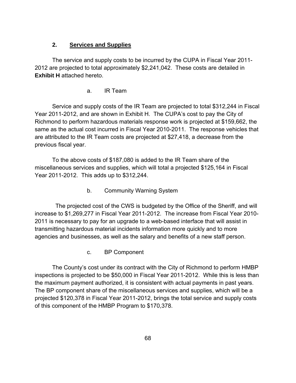## **2. Services and Supplies**

 The service and supply costs to be incurred by the CUPA in Fiscal Year 2011- 2012 are projected to total approximately \$2,241,042. These costs are detailed in **Exhibit H** attached hereto.

## a. IR Team

 Service and supply costs of the IR Team are projected to total \$312,244 in Fiscal Year 2011-2012, and are shown in Exhibit H. The CUPA's cost to pay the City of Richmond to perform hazardous materials response work is projected at \$159,662, the same as the actual cost incurred in Fiscal Year 2010-2011. The response vehicles that are attributed to the IR Team costs are projected at \$27,418, a decrease from the previous fiscal year.

 To the above costs of \$187,080 is added to the IR Team share of the miscellaneous services and supplies, which will total a projected \$125,164 in Fiscal Year 2011-2012. This adds up to \$312,244.

b. Community Warning System

 The projected cost of the CWS is budgeted by the Office of the Sheriff, and will increase to \$1,269,277 in Fiscal Year 2011-2012. The increase from Fiscal Year 2010- 2011 is necessary to pay for an upgrade to a web-based interface that will assist in transmitting hazardous material incidents information more quickly and to more agencies and businesses, as well as the salary and benefits of a new staff person.

c. BP Component

 The County's cost under its contract with the City of Richmond to perform HMBP inspections is projected to be \$50,000 in Fiscal Year 2011-2012. While this is less than the maximum payment authorized, it is consistent with actual payments in past years. The BP component share of the miscellaneous services and supplies, which will be a projected \$120,378 in Fiscal Year 2011-2012, brings the total service and supply costs of this component of the HMBP Program to \$170,378.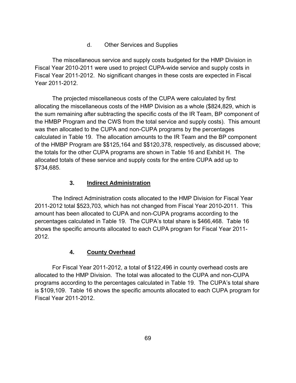d. Other Services and Supplies

 The miscellaneous service and supply costs budgeted for the HMP Division in Fiscal Year 2010-2011 were used to project CUPA-wide service and supply costs in Fiscal Year 2011-2012. No significant changes in these costs are expected in Fiscal Year 2011-2012.

 The projected miscellaneous costs of the CUPA were calculated by first allocating the miscellaneous costs of the HMP Division as a whole (\$824,829, which is the sum remaining after subtracting the specific costs of the IR Team, BP component of the HMBP Program and the CWS from the total service and supply costs). This amount was then allocated to the CUPA and non-CUPA programs by the percentages calculated in Table 19. The allocation amounts to the IR Team and the BP component of the HMBP Program are \$\$125,164 and \$\$120,378, respectively, as discussed above; the totals for the other CUPA programs are shown in Table 16 and Exhibit H. The allocated totals of these service and supply costs for the entire CUPA add up to \$734,685.

# **3. Indirect Administration**

 The Indirect Administration costs allocated to the HMP Division for Fiscal Year 2011-2012 total \$523,703, which has not changed from Fiscal Year 2010-2011. This amount has been allocated to CUPA and non-CUPA programs according to the percentages calculated in Table 19. The CUPA's total share is \$466,468. Table 16 shows the specific amounts allocated to each CUPA program for Fiscal Year 2011- 2012.

# **4. County Overhead**

 For Fiscal Year 2011-2012, a total of \$122,496 in county overhead costs are allocated to the HMP Division. The total was allocated to the CUPA and non-CUPA programs according to the percentages calculated in Table 19. The CUPA's total share is \$109,109. Table 16 shows the specific amounts allocated to each CUPA program for Fiscal Year 2011-2012.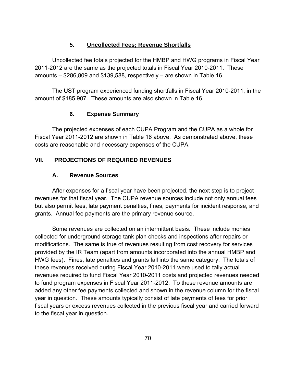# **5. Uncollected Fees; Revenue Shortfalls**

 Uncollected fee totals projected for the HMBP and HWG programs in Fiscal Year 2011-2012 are the same as the projected totals in Fiscal Year 2010-2011. These amounts – \$286,809 and \$139,588, respectively – are shown in Table 16.

 The UST program experienced funding shortfalls in Fiscal Year 2010-2011, in the amount of \$185,907. These amounts are also shown in Table 16.

# **6. Expense Summary**

The projected expenses of each CUPA Program and the CUPA as a whole for Fiscal Year 2011-2012 are shown in Table 16 above. As demonstrated above, these costs are reasonable and necessary expenses of the CUPA.

# **VII. PROJECTIONS OF REQUIRED REVENUES**

# **A. Revenue Sources**

 After expenses for a fiscal year have been projected, the next step is to project revenues for that fiscal year. The CUPA revenue sources include not only annual fees but also permit fees, late payment penalties, fines, payments for incident response, and grants. Annual fee payments are the primary revenue source.

 Some revenues are collected on an intermittent basis. These include monies collected for underground storage tank plan checks and inspections after repairs or modifications. The same is true of revenues resulting from cost recovery for services provided by the IR Team (apart from amounts incorporated into the annual HMBP and HWG fees). Fines, late penalties and grants fall into the same category. The totals of these revenues received during Fiscal Year 2010-2011 were used to tally actual revenues required to fund Fiscal Year 2010-2011 costs and projected revenues needed to fund program expenses in Fiscal Year 2011-2012. To these revenue amounts are added any other fee payments collected and shown in the revenue column for the fiscal year in question. These amounts typically consist of late payments of fees for prior fiscal years or excess revenues collected in the previous fiscal year and carried forward to the fiscal year in question.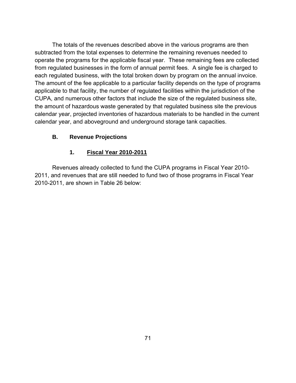The totals of the revenues described above in the various programs are then subtracted from the total expenses to determine the remaining revenues needed to operate the programs for the applicable fiscal year. These remaining fees are collected from regulated businesses in the form of annual permit fees. A single fee is charged to each regulated business, with the total broken down by program on the annual invoice. The amount of the fee applicable to a particular facility depends on the type of programs applicable to that facility, the number of regulated facilities within the jurisdiction of the CUPA, and numerous other factors that include the size of the regulated business site, the amount of hazardous waste generated by that regulated business site the previous calendar year, projected inventories of hazardous materials to be handled in the current calendar year, and aboveground and underground storage tank capacities.

# **B. Revenue Projections**

# **1. Fiscal Year 2010-2011**

 Revenues already collected to fund the CUPA programs in Fiscal Year 2010- 2011, and revenues that are still needed to fund two of those programs in Fiscal Year 2010-2011, are shown in Table 26 below: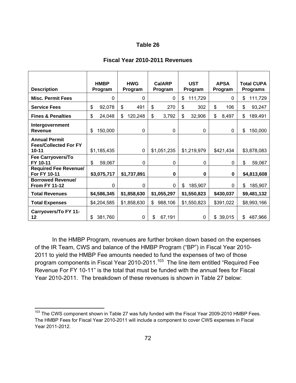|                                                                   | <b>HMBP</b>   | <b>HWG</b>    | <b>CalARP</b> | <b>UST</b>    | <b>APSA</b>  | <b>Total CUPA</b> |
|-------------------------------------------------------------------|---------------|---------------|---------------|---------------|--------------|-------------------|
| <b>Description</b>                                                | Program       | Program       | Program       | Program       | Program      | <b>Programs</b>   |
| <b>Misc. Permit Fees</b>                                          | $\mathbf{0}$  | 0             | 0             | \$<br>111,729 | 0            | \$<br>111,729     |
| <b>Service Fees</b>                                               | 92,078<br>\$  | \$<br>491     | \$<br>270     | \$<br>302     | \$<br>106    | \$<br>93,247      |
| <b>Fines &amp; Penalties</b>                                      | \$<br>24,048  | \$<br>120,248 | \$<br>3,792   | \$<br>32,906  | \$<br>8,497  | \$<br>189,491     |
| Intergovernment<br><b>Revenue</b>                                 | 150,000<br>\$ | 0             | 0             | 0             | 0            | \$<br>150,000     |
| <b>Annual Permit</b><br><b>Fees/Collected For FY</b><br>$10 - 11$ | \$1,185,435   | 0             | \$1,051,235   | \$1,219,979   | \$421,434    | \$3,878,083       |
| Fee Carryovers/To<br>FY 10-11                                     | 59,067<br>\$  | 0             | 0             | 0             | 0            | \$<br>59,067      |
| <b>Required Fee Revenue/</b><br>For FY 10-11                      | \$3,075,717   | \$1,737,891   | 0             | 0             | 0            | \$4,813,608       |
| <b>Borrowed Revenue/</b><br><b>From FY 11-12</b>                  | $\Omega$      | $\Omega$      | 0             | 185,907<br>\$ | $\mathbf{0}$ | \$<br>185,907     |
| <b>Total Revenues</b>                                             | \$4,586,345   | \$1,858,630   | \$1,055,297   | \$1,550,823   | \$430,037    | \$9,481,132       |
| <b>Total Expenses</b>                                             | \$4,204,585   | \$1,858,630   | 988,106<br>\$ | \$1,550,823   | \$391,022    | \$8,993,166       |
| Carryovers/To FY 11-<br>12                                        | 381,760<br>S  | 0             | 67,191<br>\$  | 0             | 39,015<br>\$ | \$<br>487,966     |

#### **Fiscal Year 2010-2011 Revenues**

In the HMBP Program, revenues are further broken down based on the expenses of the IR Team, CWS and balance of the HMBP Program ("BP") in Fiscal Year 2010- 2011 to yield the HMBP Fee amounts needed to fund the expenses of two of those program components in Fiscal Year 2010-2011.<sup>103</sup> The line item entitled "Required Fee Revenue For FY 10-11" is the total that must be funded with the annual fees for Fiscal Year 2010-2011. The breakdown of these revenues is shown in Table 27 below:

<sup>&</sup>lt;sup>103</sup> The CWS component shown in Table 27 was fully funded with the Fiscal Year 2009-2010 HMBP Fees. The HMBP Fees for Fiscal Year 2010-2011 will include a component to cover CWS expenses in Fiscal Year 2011-2012.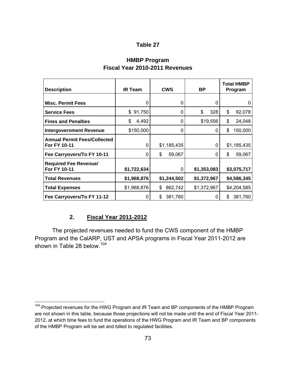# **HMBP Program Fiscal Year 2010-2011 Revenues**

| <b>Description</b>                                  | <b>IR Team</b> | <b>CWS</b>    | <b>BP</b>   | <b>Total HMBP</b><br>Program |
|-----------------------------------------------------|----------------|---------------|-------------|------------------------------|
| <b>Misc. Permit Fees</b>                            | 0              | 0             | 0           | 0                            |
| <b>Service Fees</b>                                 | \$<br>91,750   | 0             | 328<br>\$   | \$<br>92,078                 |
| <b>Fines and Penalties</b>                          | \$<br>4,492    | 0             | \$19,556    | \$<br>24,048                 |
| <b>Intergovernment Revenue</b>                      | \$150,000      | 0             | 0           | \$<br>150,000                |
| <b>Annual Permit Fees/Collected</b><br>For FY 10-11 | 0              | \$1,185,435   | 0           | \$1,185,435                  |
| Fee Carryovers/To FY 10-11                          | 0              | \$<br>59,067  | 0           | \$<br>59,067                 |
| <b>Required Fee Revenue/</b><br>For FY 10-11        | \$1,722,634    | 0             | \$1,353,083 | \$3,075,717                  |
| <b>Total Revenues</b>                               | \$1,968,876    | \$1,244,502   | \$1,372,967 | \$4,586,345                  |
| <b>Total Expenses</b>                               | \$1,968,876    | 862,742<br>\$ | \$1,372,967 | \$4,204,585                  |
| Fee Carryovers/To FY 11-12                          | O              | 381,760<br>\$ | 0           | 381,760<br>\$                |

### **2. Fiscal Year 2011-2012**

 $\overline{a}$ 

 The projected revenues needed to fund the CWS component of the HMBP Program and the CalARP, UST and APSA programs in Fiscal Year 2011-2012 are shown in Table 28 below.<sup>104</sup>

<sup>&</sup>lt;sup>104</sup> Projected revenues for the HWG Program and IR Team and BP components of the HMBP Program are not shown in this table, because those projections will not be made until the end of Fiscal Year 2011- 2012, at which time fees to fund the operations of the HWG Program and IR Team and BP components of the HMBP Program will be set and billed to regulated facilities.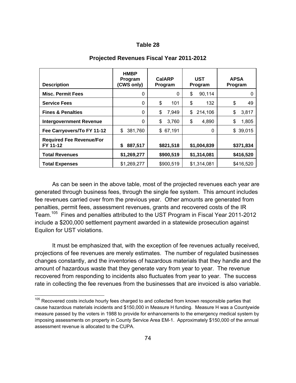| <b>Description</b>                          | <b>HMBP</b><br>Program<br>(CWS only) | <b>CalARP</b><br>Program | <b>UST</b><br>Program | <b>APSA</b><br>Program |
|---------------------------------------------|--------------------------------------|--------------------------|-----------------------|------------------------|
| <b>Misc. Permit Fees</b>                    | 0                                    | 0                        | \$<br>90,114          |                        |
| <b>Service Fees</b>                         | 0                                    | \$<br>101                | \$<br>132             | \$<br>49               |
| <b>Fines &amp; Penalties</b>                | 0                                    | 7,949<br>\$              | \$<br>214,106         | \$<br>3,817            |
| <b>Intergovernment Revenue</b>              | 0                                    | \$<br>3,760              | 4,890<br>\$           | 1,805<br>\$            |
| Fee Carryovers/To FY 11-12                  | 381,760<br>\$                        | \$67,191                 | 0                     | \$39,015               |
| <b>Required Fee Revenue/For</b><br>FY 11-12 | 887,517<br>\$                        | \$821,518                | \$1,004,839           | \$371,834              |
| <b>Total Revenues</b>                       | \$1,269,277                          | \$900,519                | \$1,314,081           | \$416,520              |
| <b>Total Expenses</b>                       | \$1,269,277                          | \$900,519                | \$1,314,081           | \$416,520              |

#### **Projected Revenues Fiscal Year 2011-2012**

 As can be seen in the above table, most of the projected revenues each year are generated through business fees, through the single fee system. This amount includes fee revenues carried over from the previous year. Other amounts are generated from penalties, permit fees, assessment revenues, grants and recovered costs of the IR Team.105 Fines and penalties attributed to the UST Program in Fiscal Year 2011-2012 include a \$200,000 settlement payment awarded in a statewide prosecution against Equilon for UST violations.

 It must be emphasized that, with the exception of fee revenues actually received, projections of fee revenues are merely estimates. The number of regulated businesses changes constantly, and the inventories of hazardous materials that they handle and the amount of hazardous waste that they generate vary from year to year. The revenue recovered from responding to incidents also fluctuates from year to year. The success rate in collecting the fee revenues from the businesses that are invoiced is also variable.

<sup>&</sup>lt;sup>105</sup> Recovered costs include hourly fees charged to and collected from known responsible parties that cause hazardous materials incidents and \$150,000 in Measure H funding. Measure H was a Countywide measure passed by the voters in 1988 to provide for enhancements to the emergency medical system by imposing assessments on property in County Service Area EM-1. Approximately \$150,000 of the annual assessment revenue is allocated to the CUPA.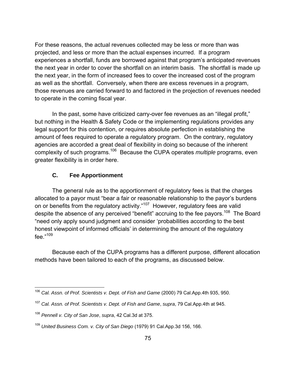For these reasons, the actual revenues collected may be less or more than was projected, and less or more than the actual expenses incurred. If a program experiences a shortfall, funds are borrowed against that program's anticipated revenues the next year in order to cover the shortfall on an interim basis. The shortfall is made up the next year, in the form of increased fees to cover the increased cost of the program as well as the shortfall. Conversely, when there are excess revenues in a program, those revenues are carried forward to and factored in the projection of revenues needed to operate in the coming fiscal year.

 In the past, some have criticized carry-over fee revenues as an "illegal profit," but nothing in the Health & Safety Code or the implementing regulations provides any legal support for this contention, or requires absolute perfection in establishing the amount of fees required to operate a regulatory program. On the contrary, regulatory agencies are accorded a great deal of flexibility in doing so because of the inherent complexity of such programs.106 Because the CUPA operates *multiple* programs, even greater flexibility is in order here.

# **C. Fee Apportionment**

 The general rule as to the apportionment of regulatory fees is that the charges allocated to a payor must "bear a fair or reasonable relationship to the payor's burdens on or benefits from the regulatory activity."<sup>107</sup> However, regulatory fees are valid despite the absence of any perceived "benefit" accruing to the fee payors.<sup>108</sup> The Board "need only apply sound judgment and consider 'probabilities according to the best honest viewpoint of informed officials' in determining the amount of the regulatory fee."109

 Because each of the CUPA programs has a different purpose, different allocation methods have been tailored to each of the programs, as discussed below.

 $\overline{a}$ <sup>106</sup> Cal. Assn. of Prof. Scientists v. Dept. of Fish and Game (2000) 79 Cal.App.4th 935, 950.

<sup>107</sup> *Cal. Assn. of Prof. Scientists v. Dept. of Fish and Game*, *supra*, 79 Cal.App.4th at 945.

<sup>108</sup> *Pennell v. City of San Jose*, *supra*, 42 Cal.3d at 375.

<sup>109</sup> *United Business Com. v. City of San Diego* (1979) 91 Cal.App.3d 156, 166.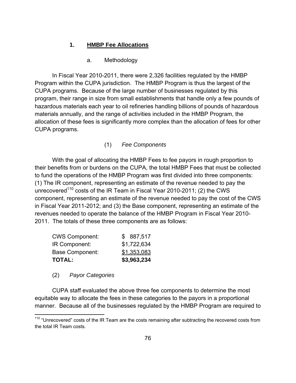### **1. HMBP Fee Allocations**

### a. Methodology

 In Fiscal Year 2010-2011, there were 2,326 facilities regulated by the HMBP Program within the CUPA jurisdiction. The HMBP Program is thus the largest of the CUPA programs. Because of the large number of businesses regulated by this program, their range in size from small establishments that handle only a few pounds of hazardous materials each year to oil refineries handling billions of pounds of hazardous materials annually, and the range of activities included in the HMBP Program, the allocation of these fees is significantly more complex than the allocation of fees for other CUPA programs.

### (1) *Fee Components*

 With the goal of allocating the HMBP Fees to fee payors in rough proportion to their benefits from or burdens on the CUPA, the total HMBP Fees that must be collected to fund the operations of the HMBP Program was first divided into three components: (1) The IR component, representing an estimate of the revenue needed to pay the unrecovered<sup>110</sup> costs of the IR Team in Fiscal Year 2010-2011; (2) the CWS component, representing an estimate of the revenue needed to pay the cost of the CWS in Fiscal Year 2011-2012; and (3) the Base component, representing an estimate of the revenues needed to operate the balance of the HMBP Program in Fiscal Year 2010- 2011. The totals of these three components are as follows:

| <b>TOTAL:</b>          | \$3,963,234 |
|------------------------|-------------|
| <b>Base Component:</b> | \$1,353,083 |
| IR Component:          | \$1,722,634 |
| <b>CWS Component:</b>  | \$887,517   |

#### (2) *Payor Categories*

 $\overline{a}$ 

 CUPA staff evaluated the above three fee components to determine the most equitable way to allocate the fees in these categories to the payors in a proportional manner. Because all of the businesses regulated by the HMBP Program are required to

 $110$  "Unrecovered" costs of the IR Team are the costs remaining after subtracting the recovered costs from the total IR Team costs.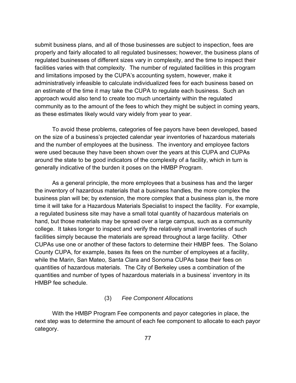submit business plans, and all of those businesses are subject to inspection, fees are properly and fairly allocated to all regulated businesses; however, the business plans of regulated businesses of different sizes vary in complexity, and the time to inspect their facilities varies with that complexity. The number of regulated facilities in this program and limitations imposed by the CUPA's accounting system, however, make it administratively infeasible to calculate individualized fees for each business based on an estimate of the time it may take the CUPA to regulate each business. Such an approach would also tend to create too much uncertainty within the regulated community as to the amount of the fees to which they might be subject in coming years, as these estimates likely would vary widely from year to year.

 To avoid these problems, categories of fee payors have been developed, based on the size of a business's projected calendar year inventories of hazardous materials and the number of employees at the business. The inventory and employee factors were used because they have been shown over the years at this CUPA and CUPAs around the state to be good indicators of the complexity of a facility, which in turn is generally indicative of the burden it poses on the HMBP Program.

 As a general principle, the more employees that a business has and the larger the inventory of hazardous materials that a business handles, the more complex the business plan will be; by extension, the more complex that a business plan is, the more time it will take for a Hazardous Materials Specialist to inspect the facility. For example, a regulated business site may have a small total quantity of hazardous materials on hand, but those materials may be spread over a large campus, such as a community college. It takes longer to inspect and verify the relatively small inventories of such facilities simply because the materials are spread throughout a large facility. Other CUPAs use one or another of these factors to determine their HMBP fees. The Solano County CUPA, for example, bases its fees on the number of employees at a facility, while the Marin, San Mateo, Santa Clara and Sonoma CUPAs base their fees on quantities of hazardous materials. The City of Berkeley uses a combination of the quantities and number of types of hazardous materials in a business' inventory in its HMBP fee schedule.

#### (3) *Fee Component Allocations*

 With the HMBP Program Fee components and payor categories in place, the next step was to determine the amount of each fee component to allocate to each payor category.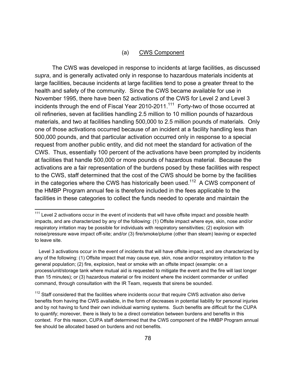#### (a) CWS Component

 The CWS was developed in response to incidents at large facilities, as discussed *supra*, and is generally activated only in response to hazardous materials incidents at large facilities, because incidents at large facilities tend to pose a greater threat to the health and safety of the community. Since the CWS became available for use in November 1995, there have been 52 activations of the CWS for Level 2 and Level 3 incidents through the end of Fiscal Year 2010-2011.<sup>111</sup> Forty-two of those occurred at oil refineries, seven at facilities handling 2.5 million to 10 million pounds of hazardous materials, and two at facilities handling 500,000 to 2.5 million pounds of materials. Only one of those activations occurred because of an incident at a facility handling less than 500,000 pounds, and that particular activation occurred only in response to a special request from another public entity, and did not meet the standard for activation of the CWS. Thus, essentially 100 percent of the activations have been prompted by incidents at facilities that handle 500,000 or more pounds of hazardous material. Because the activations are a fair representation of the burdens posed by these facilities with respect to the CWS, staff determined that the cost of the CWS should be borne by the facilities in the categories where the CWS has historically been used.<sup>112</sup> A CWS component of the HMBP Program annual fee is therefore included in the fees applicable to the facilities in these categories to collect the funds needed to operate and maintain the

1

 $111$  Level 2 activations occur in the event of incidents that will have offsite impact and possible health impacts, and are characterized by any of the following: (1) Offsite impact where eye, skin, nose and/or respiratory irritation may be possible for individuals with respiratory sensitivities; (2) explosion with noise/pressure wave impact off-site; and/or (3) fire/smoke/plume (other than steam) leaving or expected to leave site.

Level 3 activations occur in the event of incidents that will have offsite impact, and are characterized by any of the following: (1) Offsite impact that may cause eye, skin, nose and/or respiratory irritation to the general population; (2) fire, explosion, heat or smoke with an offsite impact (example: on a process/unit/storage tank where mutual aid is requested to mitigate the event and the fire will last longer than 15 minutes); or (3) hazardous material or fire incident where the incident commander or unified command, through consultation with the IR Team, requests that sirens be sounded.

 $112$  Staff considered that the facilities where incidents occur that require CWS activation also derive benefits from having the CWS available, in the form of decreases in potential liability for personal injuries and by not having to fund their own individual warning systems. Such benefits are difficult for the CUPA to quantify; moreover, there is likely to be a direct correlation between burdens and benefits in this context. For this reason, CUPA staff determined that the CWS component of the HMBP Program annual fee should be allocated based on burdens and not benefits.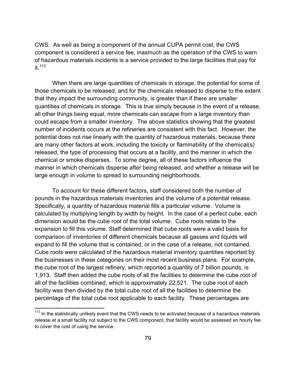CWS. As well as being a component of the annual CUPA permit cost, the CWS component is considered a service fee, inasmuch as the operation of the CWS to warn of hazardous materials incidents is a service provided to the large facilities that pay for it  $113$ 

 When there are large quantities of chemicals in storage, the potential for some of those chemicals to be released, and for the chemicals released to disperse to the extent that they impact the surrounding community, is greater than if there are smaller quantities of chemicals in storage. This is true simply because in the event of a release, all other things being equal, more chemicals can escape from a large inventory than could escape from a smaller inventory. The above statistics showing that the greatest number of incidents occurs at the refineries are consistent with this fact. However, the potential does not rise linearly with the quantity of hazardous materials, because there are many other factors at work, including the toxicity or flammability of the chemical(s) released, the type of processing that occurs at a facility, and the manner in which the chemical or smoke disperses. To some degree, all of these factors influence the manner in which chemicals disperse after being released, and whether a release will be large enough in volume to spread to surrounding neighborhoods.

 To account for these different factors, staff considered both the number of pounds in the hazardous materials inventories and the volume of a potential release. Specifically, a quantity of hazardous material fills a particular volume. Volume is calculated by multiplying length by width by height. In the case of a perfect cube, each dimension would be the cube root of the total volume. Cube roots relate to the expansion to fill this volume. Staff determined that cube roots were a valid basis for comparison of inventories of different chemicals because all gasses and liquids will expand to fill the volume that is contained, or in the case of a release, not contained. Cube roots were calculated of the hazardous material inventory quantities reported by the businesses in these categories on their most recent business plans. For example, the cube root of the largest refinery, which reported a quantity of 7 billion pounds, is 1,913. Staff then added the cube roots of all the facilities to determine the cube root of all of the facilities combined, which is approximately 22,521. The cube root of each facility was then divided by the total cube root of all the facilities to determine the percentage of the total cube root applicable to each facility. These percentages are

<sup>&</sup>lt;sup>113</sup> In the statistically unlikely event that the CWS needs to be activated because of a hazardous materials release at a small facility not subject to the CWS component, that facility would be assessed an hourly fee to cover the cost of using the service.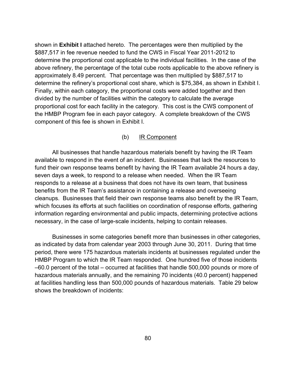shown in **Exhibit I** attached hereto. The percentages were then multiplied by the \$887,517 in fee revenue needed to fund the CWS in Fiscal Year 2011-2012 to determine the proportional cost applicable to the individual facilities. In the case of the above refinery, the percentage of the total cube roots applicable to the above refinery is approximately 8.49 percent. That percentage was then multiplied by \$887,517 to determine the refinery's proportional cost share, which is \$75,384, as shown in Exhibit I. Finally, within each category, the proportional costs were added together and then divided by the number of facilities within the category to calculate the average proportional cost for each facility in the category. This cost is the CWS component of the HMBP Program fee in each payor category. A complete breakdown of the CWS component of this fee is shown in Exhibit I.

### (b) IR Component

 All businesses that handle hazardous materials benefit by having the IR Team available to respond in the event of an incident. Businesses that lack the resources to fund their own response teams benefit by having the IR Team available 24 hours a day, seven days a week, to respond to a release when needed. When the IR Team responds to a release at a business that does not have its own team, that business benefits from the IR Team's assistance in containing a release and overseeing cleanups. Businesses that field their own response teams also benefit by the IR Team, which focuses its efforts at such facilities on coordination of response efforts, gathering information regarding environmental and public impacts, determining protective actions necessary, in the case of large-scale incidents, helping to contain releases.

 Businesses in some categories benefit more than businesses in other categories, as indicated by data from calendar year 2003 through June 30, 2011. During that time period, there were 175 hazardous materials incidents at businesses regulated under the HMBP Program to which the IR Team responded. One hundred five of those incidents –60.0 percent of the total – occurred at facilities that handle 500,000 pounds or more of hazardous materials annually, and the remaining 70 incidents (40.0 percent) happened at facilities handling less than 500,000 pounds of hazardous materials. Table 29 below shows the breakdown of incidents: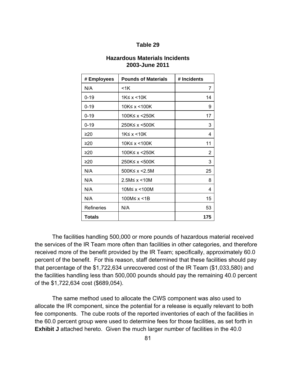| <b>Hazardous Materials Incidents</b> |
|--------------------------------------|
| 2003-June 2011                       |

| # Employees       | <b>Pounds of Materials</b> | # Incidents |
|-------------------|----------------------------|-------------|
| N/A               | <1K                        | 7           |
| $0 - 19$          | 1K≤ x < 10K                | 14          |
| $0 - 19$          | 10K≤ x < 100K              | 9           |
| $0 - 19$          | 100K≤ $x$ <250K            | 17          |
| $0 - 19$          | 250K≤ x <500K              | 3           |
| ≥20               | 1K≤ x < 10K                | 4           |
| ≥20               | 10K≤ $x$ <100K             | 11          |
| ≥20               | 100K≤ x <250K              | 2           |
| ≥20               | 250K≤ x <500K              | 3           |
| N/A               | 500K≤ x <2.5M              | 25          |
| N/A               | 2.5M≤ x < 10M              | 8           |
| N/A               | 10M≤ x <100M               | 4           |
| N/A               | 100M≤ x <1B                | 15          |
| <b>Refineries</b> | N/A                        | 53          |
| <b>Totals</b>     |                            | 175         |

The facilities handling 500,000 or more pounds of hazardous material received the services of the IR Team more often than facilities in other categories, and therefore received more of the benefit provided by the IR Team; specifically, approximately 60.0 percent of the benefit. For this reason, staff determined that these facilities should pay that percentage of the \$1,722,634 unrecovered cost of the IR Team (\$1,033,580) and the facilities handling less than 500,000 pounds should pay the remaining 40.0 percent of the \$1,722,634 cost (\$689,054).

 The same method used to allocate the CWS component was also used to allocate the IR component, since the potential for a release is equally relevant to both fee components. The cube roots of the reported inventories of each of the facilities in the 60.0 percent group were used to determine fees for those facilities, as set forth in **Exhibit J** attached hereto. Given the much larger number of facilities in the 40.0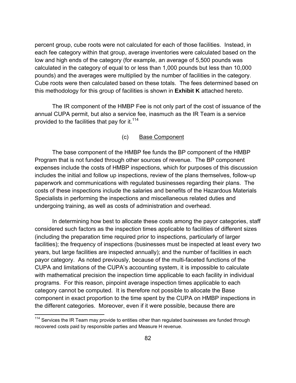percent group, cube roots were not calculated for each of those facilities. Instead, in each fee category within that group, average inventories were calculated based on the low and high ends of the category (for example, an average of 5,500 pounds was calculated in the category of equal to or less than 1,000 pounds but less than 10,000 pounds) and the averages were multiplied by the number of facilities in the category. Cube roots were then calculated based on these totals. The fees determined based on this methodology for this group of facilities is shown in **Exhibit K** attached hereto.

 The IR component of the HMBP Fee is not only part of the cost of issuance of the annual CUPA permit, but also a service fee, inasmuch as the IR Team is a service provided to the facilities that pay for it.<sup>114</sup>

#### (c) Base Component

 The base component of the HMBP fee funds the BP component of the HMBP Program that is not funded through other sources of revenue. The BP component expenses include the costs of HMBP inspections, which for purposes of this discussion includes the initial and follow up inspections, review of the plans themselves, follow-up paperwork and communications with regulated businesses regarding their plans. The costs of these inspections include the salaries and benefits of the Hazardous Materials Specialists in performing the inspections and miscellaneous related duties and undergoing training, as well as costs of administration and overhead.

 In determining how best to allocate these costs among the payor categories, staff considered such factors as the inspection times applicable to facilities of different sizes (including the preparation time required prior to inspections, particularly of larger facilities); the frequency of inspections (businesses must be inspected at least every two years, but large facilities are inspected annually); and the number of facilities in each payor category. As noted previously, because of the multi-faceted functions of the CUPA and limitations of the CUPA's accounting system, it is impossible to calculate with mathematical precision the inspection time applicable to each facility in individual programs. For this reason, pinpoint average inspection times applicable to each category cannot be computed. It is therefore not possible to allocate the Base component in exact proportion to the time spent by the CUPA on HMBP inspections in the different categories. Moreover, even if it were possible, because there are

 $114$  Services the IR Team may provide to entities other than regulated businesses are funded through recovered costs paid by responsible parties and Measure H revenue.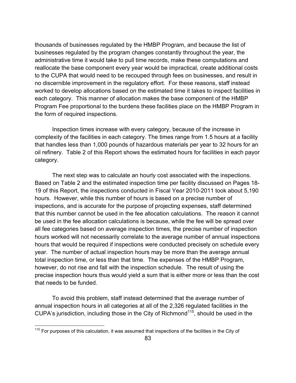thousands of businesses regulated by the HMBP Program, and because the list of businesses regulated by the program changes constantly throughout the year, the administrative time it would take to pull time records, make these computations and reallocate the base component every year would be impractical, create additional costs to the CUPA that would need to be recouped through fees on businesses, and result in no discernible improvement in the regulatory effort. For these reasons, staff instead worked to develop allocations based on the estimated time it takes to inspect facilities in each category. This manner of allocation makes the base component of the HMBP Program Fee proportional to the burdens these facilities place on the HMBP Program in the form of required inspections.

 Inspection times increase with every category, because of the increase in complexity of the facilities in each category. The times range from 1.5 hours at a facility that handles less than 1,000 pounds of hazardous materials per year to 32 hours for an oil refinery. Table 2 of this Report shows the estimated hours for facilities in each payor category.

 The next step was to calculate an hourly cost associated with the inspections. Based on Table 2 and the estimated inspection time per facility discussed on Pages 18- 19 of this Report, the inspections conducted in Fiscal Year 2010-2011 took about 5,190 hours. However, while this number of hours is based on a precise number of inspections, and is accurate for the purpose of projecting expenses, staff determined that this number cannot be used in the fee allocation calculations. The reason it cannot be used in the fee allocation calculations is because, while the fee will be spread over all fee categories based on average inspection times, the precise number of inspection hours worked will not necessarily correlate to the average number of annual inspections hours that would be required if inspections were conducted precisely on schedule every year. The number of actual inspection hours may be more than the average annual total inspection time, or less than that time. The expenses of the HMBP Program, however, do not rise and fall with the inspection schedule. The result of using the precise inspection hours thus would yield a sum that is either more or less than the cost that needs to be funded.

 To avoid this problem, staff instead determined that the average number of annual inspection hours in all categories at all of the 2,326 regulated facilities in the CUPA's jurisdiction, including those in the City of Richmond<sup>115</sup>, should be used in the

 $115$  For purposes of this calculation, it was assumed that inspections of the facilities in the City of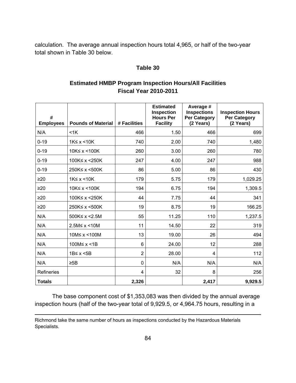calculation. The average annual inspection hours total 4,965, or half of the two-year total shown in Table 30 below.

# **Table 30**

# **Estimated HMBP Program Inspection Hours/All Facilities Fiscal Year 2010-2011**

| #<br><b>Employees</b> | <b>Pounds of Material</b> | # Facilities   | <b>Estimated</b><br><b>Inspection</b><br><b>Hours Per</b><br><b>Facility</b> | Average #<br><b>Inspections</b><br><b>Per Category</b><br>(2 Years) | <b>Inspection Hours</b><br><b>Per Category</b><br>(2 Years) |
|-----------------------|---------------------------|----------------|------------------------------------------------------------------------------|---------------------------------------------------------------------|-------------------------------------------------------------|
| N/A                   | $<$ 1 $K$                 | 466            | 1.50                                                                         | 466                                                                 | 699                                                         |
| $0 - 19$              | $1K \leq x \leq 10K$      | 740            | 2.00                                                                         | 740                                                                 | 1,480                                                       |
| $0 - 19$              | 10K≤ x <100K              | 260            | 3.00                                                                         | 260                                                                 | 780                                                         |
| $0 - 19$              | 100K≤ x <250K             | 247            | 4.00                                                                         | 247                                                                 | 988                                                         |
| $0 - 19$              | 250K≤ x <500K             | 86             | 5.00                                                                         | 86                                                                  | 430                                                         |
| $\geq 20$             | $1K \leq x \leq 10K$      | 179            | 5.75                                                                         | 179                                                                 | 1,029.25                                                    |
| $\geq 20$             | 10K≤ x <100K              | 194            | 6.75                                                                         | 194                                                                 | 1,309.5                                                     |
| $\geq 20$             | 100K≤ x <250K             | 44             | 7.75                                                                         | 44                                                                  | 341                                                         |
| $\geq 20$             | 250K≤ x <500K             | 19             | 8.75                                                                         | 19                                                                  | 166.25                                                      |
| N/A                   | 500K≤ x <2.5M             | 55             | 11.25                                                                        | 110                                                                 | 1,237.5                                                     |
| N/A                   | $2.5M \le x \le 10M$      | 11             | 14.50                                                                        | 22                                                                  | 319                                                         |
| N/A                   | 10M≤ x <100M              | 13             | 19.00                                                                        | 26                                                                  | 494                                                         |
| N/A                   | 100M≤ x <1B               | 6              | 24.00                                                                        | 12                                                                  | 288                                                         |
| N/A                   | 1B≤ x < 5B                | $\overline{2}$ | 28.00                                                                        | 4                                                                   | 112                                                         |
| N/A                   | $\geq$ 5B                 | 0              | N/A                                                                          | N/A                                                                 | N/A                                                         |
| Refineries            |                           | 4              | 32                                                                           | 8                                                                   | 256                                                         |
| <b>Totals</b>         |                           | 2,326          |                                                                              | 2,417                                                               | 9,929.5                                                     |

 The base component cost of \$1,353,083 was then divided by the annual average inspection hours (half of the two-year total of 9,929.5, or 4,964.75 hours, resulting in a

Richmond take the same number of hours as inspections conducted by the Hazardous Materials Specialists.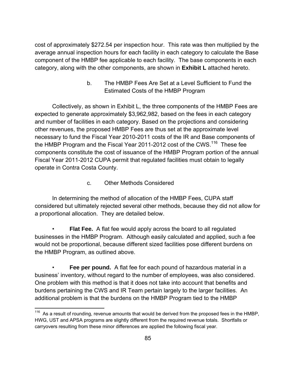cost of approximately \$272.54 per inspection hour. This rate was then multiplied by the average annual inspection hours for each facility in each category to calculate the Base component of the HMBP fee applicable to each facility. The base components in each category, along with the other components, are shown in **Exhibit L** attached hereto.

> b. The HMBP Fees Are Set at a Level Sufficient to Fund the Estimated Costs of the HMBP Program

 Collectively, as shown in Exhibit L, the three components of the HMBP Fees are expected to generate approximately \$3,962,982, based on the fees in each category and number of facilities in each category. Based on the projections and considering other revenues, the proposed HMBP Fees are thus set at the approximate level necessary to fund the Fiscal Year 2010-2011 costs of the IR and Base components of the HMBP Program and the Fiscal Year 2011-2012 cost of the CWS.<sup>116</sup> These fee components constitute the cost of issuance of the HMBP Program portion of the annual Fiscal Year 2011-2012 CUPA permit that regulated facilities must obtain to legally operate in Contra Costa County.

c. Other Methods Considered

 In determining the method of allocation of the HMBP Fees, CUPA staff considered but ultimately rejected several other methods, because they did not allow for a proportional allocation. They are detailed below.

 • **Flat Fee.** A flat fee would apply across the board to all regulated businesses in the HMBP Program. Although easily calculated and applied, such a fee would not be proportional, because different sized facilities pose different burdens on the HMBP Program, as outlined above.

**Fee per pound.** A flat fee for each pound of hazardous material in a business' inventory, without regard to the number of employees, was also considered. One problem with this method is that it does not take into account that benefits and burdens pertaining the CWS and IR Team pertain largely to the larger facilities. An additional problem is that the burdens on the HMBP Program tied to the HMBP

<sup>1</sup>  $116$  As a result of rounding, revenue amounts that would be derived from the proposed fees in the HMBP, HWG, UST and APSA programs are slightly different from the required revenue totals. Shortfalls or carryovers resulting from these minor differences are applied the following fiscal year.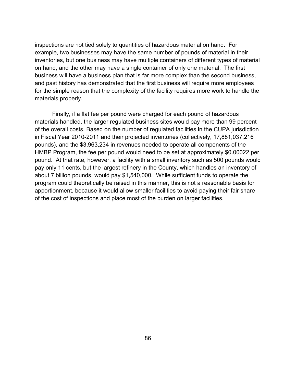inspections are not tied solely to quantities of hazardous material on hand. For example, two businesses may have the same number of pounds of material in their inventories, but one business may have multiple containers of different types of material on hand, and the other may have a single container of only one material. The first business will have a business plan that is far more complex than the second business, and past history has demonstrated that the first business will require more employees for the simple reason that the complexity of the facility requires more work to handle the materials properly.

 Finally, if a flat fee per pound were charged for each pound of hazardous materials handled, the larger regulated business sites would pay more than 99 percent of the overall costs. Based on the number of regulated facilities in the CUPA jurisdiction in Fiscal Year 2010-2011 and their projected inventories (collectively, 17,881,037,216 pounds), and the \$3,963,234 in revenues needed to operate all components of the HMBP Program, the fee per pound would need to be set at approximately \$0.00022 per pound. At that rate, however, a facility with a small inventory such as 500 pounds would pay only 11 cents, but the largest refinery in the County, which handles an inventory of about 7 billion pounds, would pay \$1,540,000. While sufficient funds to operate the program could theoretically be raised in this manner, this is not a reasonable basis for apportionment, because it would allow smaller facilities to avoid paying their fair share of the cost of inspections and place most of the burden on larger facilities.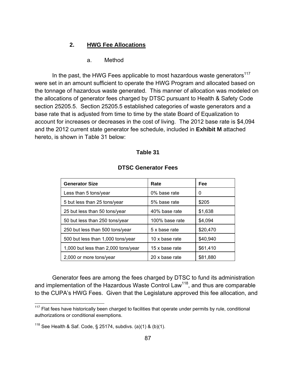### **2. HWG Fee Allocations**

a. Method

In the past, the HWG Fees applicable to most hazardous waste generators<sup>117</sup> were set in an amount sufficient to operate the HWG Program and allocated based on the tonnage of hazardous waste generated. This manner of allocation was modeled on the allocations of generator fees charged by DTSC pursuant to Health & Safety Code section 25205.5. Section 25205.5 established categories of waste generators and a base rate that is adjusted from time to time by the state Board of Equalization to account for increases or decreases in the cost of living. The 2012 base rate is \$4,094 and the 2012 current state generator fee schedule, included in **Exhibit M** attached hereto, is shown in Table 31 below:

#### **Table 31**

| <b>Generator Size</b>               | Rate           | Fee      |
|-------------------------------------|----------------|----------|
| Less than 5 tons/year               | 0% base rate   | 0        |
| 5 but less than 25 tons/year        | 5% base rate   | \$205    |
| 25 but less than 50 tons/year       | 40% base rate  | \$1,638  |
| 50 but less than 250 tons/year      | 100% base rate | \$4,094  |
| 250 but less than 500 tons/year     | 5 x base rate  | \$20,470 |
| 500 but less than 1,000 tons/year   | 10 x base rate | \$40,940 |
| 1,000 but less than 2,000 tons/year | 15 x base rate | \$61,410 |
| 2,000 or more tons/year             | 20 x base rate | \$81,880 |

#### **DTSC Generator Fees**

 Generator fees are among the fees charged by DTSC to fund its administration and implementation of the Hazardous Waste Control Law<sup>118</sup>, and thus are comparable to the CUPA's HWG Fees. Given that the Legislature approved this fee allocation, and

 $117$  Flat fees have historically been charged to facilities that operate under permits by rule, conditional authorizations or conditional exemptions.

<sup>&</sup>lt;sup>118</sup> See Health & Saf. Code, § 25174, subdivs. (a)(1) & (b)(1).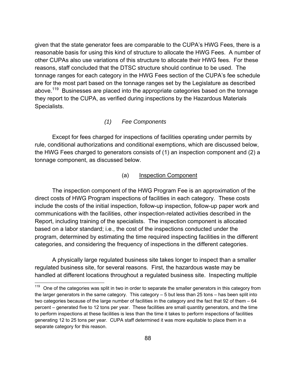given that the state generator fees are comparable to the CUPA's HWG Fees, there is a reasonable basis for using this kind of structure to allocate the HWG Fees. A number of other CUPAs also use variations of this structure to allocate their HWG fees. For these reasons, staff concluded that the DTSC structure should continue to be used. The tonnage ranges for each category in the HWG Fees section of the CUPA's fee schedule are for the most part based on the tonnage ranges set by the Legislature as described above.<sup>119</sup> Businesses are placed into the appropriate categories based on the tonnage they report to the CUPA, as verified during inspections by the Hazardous Materials Specialists.

#### *(1) Fee Components*

 Except for fees charged for inspections of facilities operating under permits by rule, conditional authorizations and conditional exemptions, which are discussed below, the HWG Fees charged to generators consists of (1) an inspection component and (2) a tonnage component, as discussed below.

### (a) Inspection Component

 The inspection component of the HWG Program Fee is an approximation of the direct costs of HWG Program inspections of facilities in each category. These costs include the costs of the initial inspection, follow-up inspection, follow-up paper work and communications with the facilities, other inspection-related activities described in the Report, including training of the specialists. The inspection component is allocated based on a labor standard; i.e., the cost of the inspections conducted under the program, determined by estimating the time required inspecting facilities in the different categories, and considering the frequency of inspections in the different categories.

 A physically large regulated business site takes longer to inspect than a smaller regulated business site, for several reasons. First, the hazardous waste may be handled at different locations throughout a regulated business site. Inspecting multiple

<sup>119</sup> One of the categories was split in two in order to separate the smaller generators in this category from the larger generators in the same category. This category – 5 but less than 25 tons – has been split into two categories because of the large number of facilities in the category and the fact that 92 of them – 64 percent – generated five to 12 tons per year. These facilities are small quantity generators, and the time to perform inspections at these facilities is less than the time it takes to perform inspections of facilities generating 12 to 25 tons per year. CUPA staff determined it was more equitable to place them in a separate category for this reason.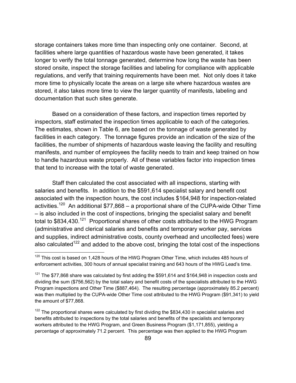storage containers takes more time than inspecting only one container. Second, at facilities where large quantities of hazardous waste have been generated, it takes longer to verify the total tonnage generated, determine how long the waste has been stored onsite, inspect the storage facilities and labeling for compliance with applicable regulations, and verify that training requirements have been met. Not only does it take more time to physically locate the areas on a large site where hazardous wastes are stored, it also takes more time to view the larger quantity of manifests, labeling and documentation that such sites generate.

 Based on a consideration of these factors, and inspection times reported by inspectors, staff estimated the inspection times applicable to each of the categories. The estimates, shown in Table 6, are based on the tonnage of waste generated by facilities in each category. The tonnage figures provide an indication of the size of the facilities, the number of shipments of hazardous waste leaving the facility and resulting manifests, and number of employees the facility needs to train and keep trained on how to handle hazardous waste properly. All of these variables factor into inspection times that tend to increase with the total of waste generated.

 Staff then calculated the cost associated with all inspections, starting with salaries and benefits. In addition to the \$591,614 specialist salary and benefit cost associated with the inspection hours, the cost includes \$164,948 for inspection-related activities.<sup>120</sup> An additional \$77,868 – a proportional share of the CUPA-wide Other Time – is also included in the cost of inspections, bringing the specialist salary and benefit total to \$834,430.<sup>121</sup> Proportional shares of other costs attributed to the HWG Program (administrative and clerical salaries and benefits and temporary worker pay, services and supplies, indirect administrative costs, county overhead and uncollected fees) were also calculated<sup>122</sup> and added to the above cost, bringing the total cost of the inspections

 $120$  This cost is based on 1,428 hours of the HWG Program Other Time, which includes 485 hours of enforcement activities, 300 hours of annual specialist training and 643 hours of the HWG Lead's time.

 $121$  The \$77,868 share was calculated by first adding the \$591,614 and \$164,948 in inspection costs and dividing the sum (\$756,562) by the total salary and benefit costs of the specialists attributed to the HWG Program inspections and Other Time (\$887,464). The resulting percentage (approximately 85.2 percent) was then multiplied by the CUPA-wide Other Time cost attributed to the HWG Program (\$91,341) to yield the amount of \$77,868.

 $122$  The proportional shares were calculated by first dividing the \$834,430 in specialist salaries and benefits attributed to inspections by the total salaries and benefits of the specialists and temporary workers attributed to the HWG Program, and Green Business Program (\$1,171,855), yielding a percentage of approximately 71.2 percent. This percentage was then applied to the HWG Program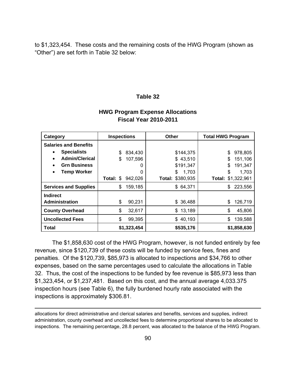to \$1,323,454. These costs and the remaining costs of the HWG Program (shown as "Other") are set forth in Table 32 below:

#### **Table 32**

# **HWG Program Expense Allocations Fiscal Year 2010-2011**

| <b>Inspections</b><br>Category  |                      | <b>Other</b>     | <b>Total HWG Program</b> |
|---------------------------------|----------------------|------------------|--------------------------|
| <b>Salaries and Benefits</b>    |                      |                  |                          |
| <b>Specialists</b><br>$\bullet$ | \$<br>834,430        | \$144,375        | \$<br>978,805            |
| <b>Admin/Clerical</b><br>٠      | \$<br>107,596        | \$43,510         | 151,106<br>\$            |
| <b>Grn Business</b>             | O                    | \$191,347        | 191,347<br>\$            |
| <b>Temp Worker</b><br>$\bullet$ | 0                    | \$<br>1,703      | \$<br>1,703              |
|                                 | Total: \$<br>942,026 | Total: \$380,935 | Total: \$1,322,961       |
| <b>Services and Supplies</b>    | 159,185<br>\$        | \$64,371         | 223,556<br>S             |
| <b>Indirect</b>                 |                      |                  |                          |
| <b>Administration</b>           | \$<br>90,231         | \$ 36,488        | 126,719<br>\$            |
| <b>County Overhead</b>          | \$<br>32,617         | 13,189<br>\$     | \$<br>45,806             |
| <b>Uncollected Fees</b>         | \$<br>99,395         | \$40,193         | 139,588<br>S             |
| <b>Total</b>                    | \$1,323,454          | \$535,176        | \$1,858,630              |

 The \$1,858,630 cost of the HWG Program, however, is not funded entirely by fee revenue, since \$120,739 of these costs will be funded by service fees, fines and penalties. Of the \$120,739, \$85,973 is allocated to inspections and \$34,766 to other expenses, based on the same percentages used to calculate the allocations in Table 32. Thus, the cost of the inspections to be funded by fee revenue is \$85,973 less than \$1,323,454, or \$1,237,481. Based on this cost, and the annual average 4,033.375 inspection hours (see Table 6), the fully burdened hourly rate associated with the inspections is approximately \$306.81.

allocations for direct administrative and clerical salaries and benefits, services and supplies, indirect administration, county overhead and uncollected fees to determine proportional shares to be allocated to inspections. The remaining percentage, 28.8 percent, was allocated to the balance of the HWG Program.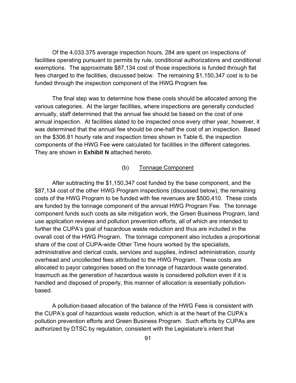Of the 4,033.375 average inspection hours, 284 are spent on inspections of facilities operating pursuant to permits by rule, conditional authorizations and conditional exemptions. The approximate \$87,134 cost of those inspections is funded through flat fees charged to the facilities, discussed below. The remaining \$1,150,347 cost is to be funded through the inspection component of the HWG Program fee.

 The final step was to determine how these costs should be allocated among the various categories. At the larger facilities, where inspections are generally conducted annually, staff determined that the annual fee should be based on the cost of one annual inspection. At facilities slated to be inspected once every other year, however, it was determined that the annual fee should be one-half the cost of an inspection. Based on the \$306.81 hourly rate and inspection times shown in Table 6, the inspection components of the HWG Fee were calculated for facilities in the different categories. They are shown in **Exhibit N** attached hereto.

#### (b) Tonnage Component

 After subtracting the \$1,150,347 cost funded by the base component, and the \$87,134 cost of the other HWG Program inspections (discussed below), the remaining costs of the HWG Program to be funded with fee revenues are \$500,410. These costs are funded by the tonnage component of the annual HWG Program Fee. The tonnage component funds such costs as site mitigation work, the Green Business Program, land use application reviews and pollution prevention efforts, all of which are intended to further the CUPA's goal of hazardous waste reduction and thus are included in the overall cost of the HWG Program. The tonnage component also includes a proportional share of the cost of CUPA-wide Other Time hours worked by the specialists, administrative and clerical costs, services and supplies, indirect administration, county overhead and uncollected fees attributed to the HWG Program. These costs are allocated to payor categories based on the tonnage of hazardous waste generated. Inasmuch as the generation of hazardous waste is considered pollution even if it is handled and disposed of properly, this manner of allocation is essentially pollutionbased.

 A pollution-based allocation of the balance of the HWG Fees is consistent with the CUPA's goal of hazardous waste reduction, which is at the heart of the CUPA's pollution prevention efforts and Green Business Program. Such efforts by CUPAs are authorized by DTSC by regulation, consistent with the Legislature's intent that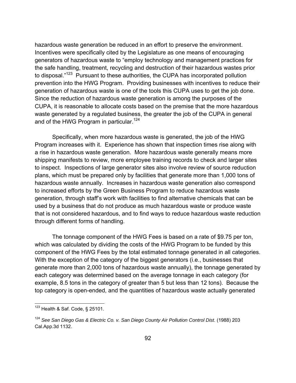hazardous waste generation be reduced in an effort to preserve the environment. Incentives were specifically cited by the Legislature as one means of encouraging generators of hazardous waste to "employ technology and management practices for the safe handling, treatment, recycling and destruction of their hazardous wastes prior to disposal."<sup>123</sup> Pursuant to these authorities, the CUPA has incorporated pollution prevention into the HWG Program. Providing businesses with incentives to reduce their generation of hazardous waste is one of the tools this CUPA uses to get the job done. Since the reduction of hazardous waste generation is among the purposes of the CUPA, it is reasonable to allocate costs based on the premise that the more hazardous waste generated by a regulated business, the greater the job of the CUPA in general and of the HWG Program in particular.<sup>124</sup>

 Specifically, when more hazardous waste is generated, the job of the HWG Program increases with it. Experience has shown that inspection times rise along with a rise in hazardous waste generation. More hazardous waste generally means more shipping manifests to review, more employee training records to check and larger sites to inspect. Inspections of large generator sites also involve review of source reduction plans, which must be prepared only by facilities that generate more than 1,000 tons of hazardous waste annually. Increases in hazardous waste generation also correspond to increased efforts by the Green Business Program to reduce hazardous waste generation, through staff's work with facilities to find alternative chemicals that can be used by a business that do not produce as much hazardous waste or produce waste that is not considered hazardous, and to find ways to reduce hazardous waste reduction through different forms of handling.

The tonnage component of the HWG Fees is based on a rate of \$9.75 per ton, which was calculated by dividing the costs of the HWG Program to be funded by this component of the HWG Fees by the total estimated tonnage generated in all categories. With the exception of the category of the biggest generators (i.e., businesses that generate more than 2,000 tons of hazardous waste annually), the tonnage generated by each category was determined based on the average tonnage in each category (for example, 8.5 tons in the category of greater than 5 but less than 12 tons). Because the top category is open-ended, and the quantities of hazardous waste actually generated

 $123$  Health & Saf. Code, § 25101.

<sup>124</sup> *See San Diego Gas & Electric Co. v. San Diego County Air Pollution Control Dist.* (1988) 203 Cal.App.3d 1132.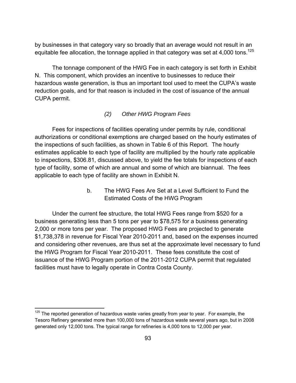by businesses in that category vary so broadly that an average would not result in an equitable fee allocation, the tonnage applied in that category was set at 4,000 tons.<sup>125</sup>

 The tonnage component of the HWG Fee in each category is set forth in Exhibit N. This component, which provides an incentive to businesses to reduce their hazardous waste generation, is thus an important tool used to meet the CUPA's waste reduction goals, and for that reason is included in the cost of issuance of the annual CUPA permit.

# *(2) Other HWG Program Fees*

 Fees for inspections of facilities operating under permits by rule, conditional authorizations or conditional exemptions are charged based on the hourly estimates of the inspections of such facilities, as shown in Table 6 of this Report. The hourly estimates applicable to each type of facility are multiplied by the hourly rate applicable to inspections, \$306.81, discussed above, to yield the fee totals for inspections of each type of facility, some of which are annual and some of which are biannual. The fees applicable to each type of facility are shown in Exhibit N.

> b. The HWG Fees Are Set at a Level Sufficient to Fund the Estimated Costs of the HWG Program

 Under the current fee structure, the total HWG Fees range from \$520 for a business generating less than 5 tons per year to \$78,575 for a business generating 2,000 or more tons per year. The proposed HWG Fees are projected to generate \$1,738,378 in revenue for Fiscal Year 2010-2011 and, based on the expenses incurred and considering other revenues, are thus set at the approximate level necessary to fund the HWG Program for Fiscal Year 2010-2011. These fees constitute the cost of issuance of the HWG Program portion of the 2011-2012 CUPA permit that regulated facilities must have to legally operate in Contra Costa County.

 $125$  The reported generation of hazardous waste varies greatly from year to year. For example, the Tesoro Refinery generated more than 100,000 tons of hazardous waste several years ago, but in 2008 generated only 12,000 tons. The typical range for refineries is 4,000 tons to 12,000 per year.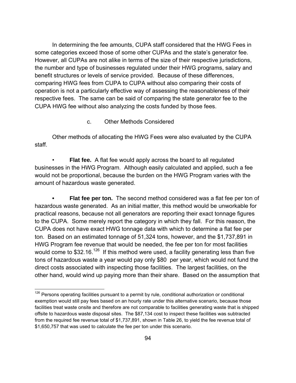In determining the fee amounts, CUPA staff considered that the HWG Fees in some categories exceed those of some other CUPAs and the state's generator fee. However, all CUPAs are not alike in terms of the size of their respective jurisdictions, the number and type of businesses regulated under their HWG programs, salary and benefit structures or levels of service provided. Because of these differences, comparing HWG fees from CUPA to CUPA without also comparing their costs of operation is not a particularly effective way of assessing the reasonableness of their respective fees. The same can be said of comparing the state generator fee to the CUPA HWG fee without also analyzing the costs funded by those fees.

c. Other Methods Considered

 Other methods of allocating the HWG Fees were also evaluated by the CUPA staff.

**Flat fee.** A flat fee would apply across the board to all regulated businesses in the HWG Program. Although easily calculated and applied, such a fee would not be proportional, because the burden on the HWG Program varies with the amount of hazardous waste generated.

**• Flat fee per ton.** The second method considered was a flat fee per ton of hazardous waste generated. As an initial matter, this method would be unworkable for practical reasons, because not all generators are reporting their exact tonnage figures to the CUPA. Some merely report the category in which they fall. For this reason, the CUPA does not have exact HWG tonnage data with which to determine a flat fee per ton. Based on an estimated tonnage of 51,324 tons, however, and the \$1,737,891 in HWG Program fee revenue that would be needed, the fee per ton for most facilities would come to  $$32.16<sup>126</sup>$  If this method were used, a facility generating less than five tons of hazardous waste a year would pay only \$80 per year, which would not fund the direct costs associated with inspecting those facilities. The largest facilities, on the other hand, would wind up paying more than their share. Based on the assumption that

 $126$  Persons operating facilities pursuant to a permit by rule, conditional authorization or conditional exemption would still pay fees based on an hourly rate under this alternative scenario, because those facilities treat waste onsite and therefore are not comparable to facilities generating waste that is shipped offsite to hazardous waste disposal sites. The \$87,134 cost to inspect these facilities was subtracted from the required fee revenue total of \$1,737,891, shown in Table 26, to yield the fee revenue total of \$1,650,757 that was used to calculate the fee per ton under this scenario.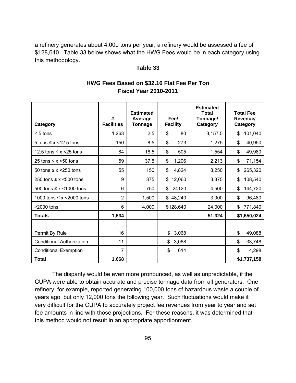a refinery generates about 4,000 tons per year, a refinery would be assessed a fee of \$128,640. Table 33 below shows what the HWG Fees would be in each category using this methodology.

#### **Table 33**

| Category                          | #<br><b>Facilities</b> | <b>Estimated</b><br>Average<br>Tonnage | Fee/<br><b>Facility</b> | <b>Estimated</b><br><b>Total</b><br>Tonnage/<br>Category | <b>Total Fee</b><br>Revenue/<br>Category |
|-----------------------------------|------------------------|----------------------------------------|-------------------------|----------------------------------------------------------|------------------------------------------|
| $< 5$ tons                        | 1,263                  | 2.5                                    | \$<br>80                | 3,157.5                                                  | \$<br>101,040                            |
| 5 tons $\leq x \leq 12.5$ tons    | 150                    | 8.5                                    | $\mathbb{S}$<br>273     | 1,275                                                    | \$<br>40,950                             |
| 12.5 tons $\leq x \leq 25$ tons   | 84                     | 18.5                                   | \$<br>505               | 1,554                                                    | \$<br>49,980                             |
| 25 tons $\leq x \leq 50$ tons     | 59                     | 37.5                                   | \$<br>1,206             | 2,213                                                    | \$<br>71,154                             |
| 50 tons $\leq x \leq 250$ tons    | 55                     | 150                                    | \$<br>4,824             | 8,250                                                    | \$<br>265,320                            |
| 250 tons $\leq x$ <500 tons       | 9                      | 375                                    | \$<br>12,060            | 3,375                                                    | \$<br>108,540                            |
| 500 tons $\leq x \leq 1000$ tons  | 6                      | 750                                    | \$<br>24120             | 4,500                                                    | \$<br>144,720                            |
| 1000 tons $\leq x \leq 2000$ tons | $\overline{2}$         | 1,500                                  | \$48,240                | 3,000                                                    | \$<br>96,480                             |
| ≥2000 tons                        | 6                      | 4,000                                  | \$128,640               | 24,000                                                   | \$<br>771,840                            |
| <b>Totals</b>                     | 1,634                  |                                        |                         | 51,324                                                   | \$1,650,024                              |
|                                   |                        |                                        |                         |                                                          |                                          |
| Permit By Rule                    | 16                     |                                        | \$<br>3,068             |                                                          | \$<br>49,088                             |
| <b>Conditional Authorization</b>  | 11                     |                                        | \$<br>3,068             |                                                          | \$<br>33,748                             |
| <b>Conditional Exemption</b>      | $\overline{7}$         |                                        | \$<br>614               |                                                          | \$<br>4,298                              |
| <b>Total</b>                      | 1,668                  |                                        |                         |                                                          | \$1,737,158                              |

# **HWG Fees Based on \$32.16 Flat Fee Per Ton Fiscal Year 2010-2011**

 The disparity would be even more pronounced, as well as unpredictable, if the CUPA were able to obtain accurate and precise tonnage data from all generators. One refinery, for example, reported generating 100,000 tons of hazardous waste a couple of years ago, but only 12,000 tons the following year. Such fluctuations would make it very difficult for the CUPA to accurately project fee revenues from year to year and set fee amounts in line with those projections. For these reasons, it was determined that this method would not result in an appropriate apportionment.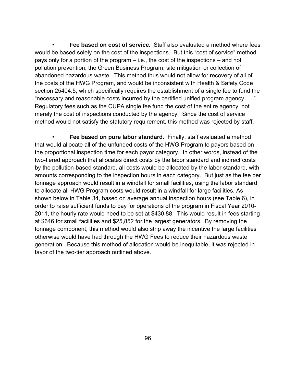• **Fee based on cost of service.** Staff also evaluated a method where fees would be based solely on the cost of the inspections. But this "cost of service" method pays only for a portion of the program – i.e., the cost of the inspections – and not pollution prevention, the Green Business Program, site mitigation or collection of abandoned hazardous waste. This method thus would not allow for recovery of all of the costs of the HWG Program, and would be inconsistent with Health & Safety Code section 25404.5, which specifically requires the establishment of a single fee to fund the "necessary and reasonable costs incurred by the certified unified program agency. . . " Regulatory fees such as the CUPA single fee fund the cost of the entire agency, not merely the cost of inspections conducted by the agency. Since the cost of service method would not satisfy the statutory requirement, this method was rejected by staff.

 • **Fee based on pure labor standard.** Finally, staff evaluated a method that would allocate all of the unfunded costs of the HWG Program to payors based on the proportional inspection time for each payor category. In other words, instead of the two-tiered approach that allocates direct costs by the labor standard and indirect costs by the pollution-based standard, all costs would be allocated by the labor standard, with amounts corresponding to the inspection hours in each category. But just as the fee per tonnage approach would result in a windfall for small facilities, using the labor standard to allocate all HWG Program costs would result in a windfall for large facilities. As shown below in Table 34, based on average annual inspection hours (see Table 6), in order to raise sufficient funds to pay for operations of the program in Fiscal Year 2010- 2011, the hourly rate would need to be set at \$430.88. This would result in fees starting at \$646 for small facilities and \$25,852 for the largest generators. By removing the tonnage component, this method would also strip away the incentive the large facilities otherwise would have had through the HWG Fees to reduce their hazardous waste generation. Because this method of allocation would be inequitable, it was rejected in favor of the two-tier approach outlined above.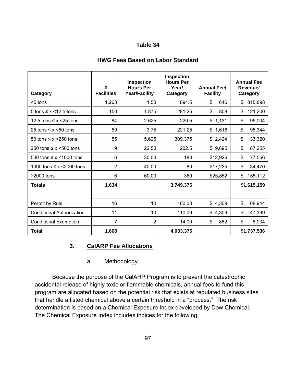#### Τ Τ Т Т **Inspection Inspection Hours Per # Hours Per Year/ Annual Fee/ Facilities Year/Facility Category Facility**

# **HWG Fees Based on Labor Standard**

| Category                          | #<br><b>Facilities</b> | <b>Inspection</b><br><b>Hours Per</b><br><b>Year/Facility</b> | <b>Inspection</b><br><b>Hours Per</b><br>Year/<br>Category | <b>Annual Fee/</b><br><b>Facility</b> | <b>Annual Fee</b><br>Revenue/<br><b>Category</b> |
|-----------------------------------|------------------------|---------------------------------------------------------------|------------------------------------------------------------|---------------------------------------|--------------------------------------------------|
| <5 tons                           | 1,263                  | 1.50                                                          | 1894.5                                                     | \$<br>646                             | 815,898<br>\$                                    |
| 5 tons $\leq x \leq 12.5$ tons    | 150                    | 1.875                                                         | 281.25                                                     | \$<br>808                             | \$<br>121,200                                    |
| 12.5 tons $\leq x \leq 25$ tons   | 84                     | 2.625                                                         | 220.5                                                      | \$1,131                               | \$<br>95,004                                     |
| 25 tons $\leq x \leq 50$ tons     | 59                     | 3.75                                                          | 221.25                                                     | \$1,616                               | \$<br>95,344                                     |
| 50 tons $\leq x \leq 250$ tons    | 55                     | 5.625                                                         | 309.375                                                    | \$2,424                               | \$<br>133,320                                    |
| 250 tons $\leq x$ <500 tons       | 9                      | 22.50                                                         | 202.5                                                      | \$9,695                               | \$<br>87,255                                     |
| 500 tons $\leq x \leq 1000$ tons  | 6                      | 30.00                                                         | 180                                                        | \$12,926                              | \$<br>77,556                                     |
| 1000 tons $\leq x \leq 2000$ tons | $\overline{2}$         | 40.00                                                         | 80                                                         | \$17,235                              | \$<br>34,470                                     |
| $≥2000$ tons                      | 6                      | 60.00                                                         | 360                                                        | \$25,852                              | 155,112<br>\$                                    |
| <b>Totals</b>                     | 1,634                  |                                                               | 3,749.375                                                  |                                       | \$1,615,159                                      |
|                                   |                        |                                                               |                                                            |                                       |                                                  |
| Permit by Rule                    | 16                     | 10                                                            | 160.00                                                     | \$4,309                               | \$<br>68,944                                     |
| <b>Conditional Authorization</b>  | 11                     | 10                                                            | 110.00                                                     | \$4,309                               | \$<br>47,399                                     |
| <b>Conditional Exemption</b>      | 7                      | $\overline{2}$                                                | 14.00                                                      | 862<br>\$                             | \$<br>6,034                                      |
| <b>Total</b>                      | 1,668                  |                                                               | 4,033.375                                                  |                                       | \$1,737,536                                      |

# **3. CalARP Fee Allocations**

Г

# a. Methodology

 Because the purpose of the CalARP Program is to prevent the catastrophic accidental release of highly toxic or flammable chemicals, annual fees to fund this program are allocated based on the potential risk that exists at regulated business sites that handle a listed chemical above a certain threshold in a "process." The risk determination is based on a Chemical Exposure Index developed by Dow Chemical. The Chemical Exposure Index includes indices for the following: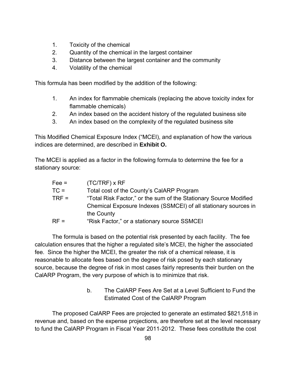- 1. Toxicity of the chemical
- 2. Quantity of the chemical in the largest container
- 3. Distance between the largest container and the community
- 4. Volatility of the chemical

This formula has been modified by the addition of the following:

- 1. An index for flammable chemicals (replacing the above toxicity index for flammable chemicals)
- 2. An index based on the accident history of the regulated business site
- 3. An index based on the complexity of the regulated business site

This Modified Chemical Exposure Index ("MCEI), and explanation of how the various indices are determined, are described in **Exhibit O.**

The MCEI is applied as a factor in the following formula to determine the fee for a stationary source:

| $Fee =$ | $(TC/TRF)$ x RF                                                   |
|---------|-------------------------------------------------------------------|
| $TC =$  | Total cost of the County's CalARP Program                         |
| $TRF =$ | "Total Risk Factor," or the sum of the Stationary Source Modified |
|         | Chemical Exposure Indexes (SSMCEI) of all stationary sources in   |
|         | the County                                                        |
| $RF =$  | "Risk Factor," or a stationary source SSMCEI                      |

 The formula is based on the potential risk presented by each facility. The fee calculation ensures that the higher a regulated site's MCEI, the higher the associated fee. Since the higher the MCEI, the greater the risk of a chemical release, it is reasonable to allocate fees based on the degree of risk posed by each stationary source, because the degree of risk in most cases fairly represents their burden on the CalARP Program, the very purpose of which is to minimize that risk.

> b. The CalARP Fees Are Set at a Level Sufficient to Fund the Estimated Cost of the CalARP Program

 The proposed CalARP Fees are projected to generate an estimated \$821,518 in revenue and, based on the expense projections, are therefore set at the level necessary to fund the CalARP Program in Fiscal Year 2011-2012. These fees constitute the cost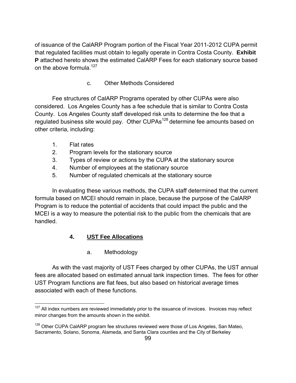of issuance of the CalARP Program portion of the Fiscal Year 2011-2012 CUPA permit that regulated facilities must obtain to legally operate in Contra Costa County. **Exhibit P** attached hereto shows the estimated CaIARP Fees for each stationary source based on the above formula. $127$ 

c. Other Methods Considered

 Fee structures of CalARP Programs operated by other CUPAs were also considered. Los Angeles County has a fee schedule that is similar to Contra Costa County. Los Angeles County staff developed risk units to determine the fee that a regulated business site would pay. Other CUPAs<sup>128</sup> determine fee amounts based on other criteria, including:

- 1. Flat rates
- 2. Program levels for the stationary source
- 3. Types of review or actions by the CUPA at the stationary source
- 4. Number of employees at the stationary source
- 5. Number of regulated chemicals at the stationary source

 In evaluating these various methods, the CUPA staff determined that the current formula based on MCEI should remain in place, because the purpose of the CalARP Program is to reduce the potential of accidents that could impact the public and the MCEI is a way to measure the potential risk to the public from the chemicals that are handled.

# **4. UST Fee Allocations**

a. Methodology

 As with the vast majority of UST Fees charged by other CUPAs, the UST annual fees are allocated based on estimated annual tank inspection times. The fees for other UST Program functions are flat fees, but also based on historical average times associated with each of these functions.

<sup>&</sup>lt;u>.</u>  $127$  All index numbers are reviewed immediately prior to the issuance of invoices. Invoices may reflect minor changes from the amounts shown in the exhibit.

 $128$  Other CUPA CalARP program fee structures reviewed were those of Los Angeles, San Mateo, Sacramento, Solano, Sonoma, Alameda, and Santa Clara counties and the City of Berkeley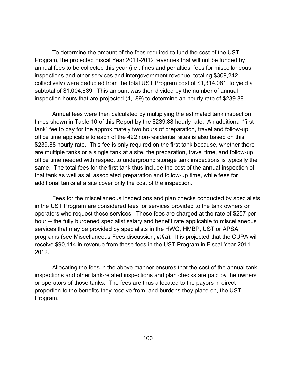To determine the amount of the fees required to fund the cost of the UST Program, the projected Fiscal Year 2011-2012 revenues that will not be funded by annual fees to be collected this year (i.e., fines and penalties, fees for miscellaneous inspections and other services and intergovernment revenue, totaling \$309,242 collectively) were deducted from the total UST Program cost of \$1,314,081, to yield a subtotal of \$1,004,839. This amount was then divided by the number of annual inspection hours that are projected (4,189) to determine an hourly rate of \$239.88.

 Annual fees were then calculated by multiplying the estimated tank inspection times shown in Table 10 of this Report by the \$239.88 hourly rate. An additional "first tank" fee to pay for the approximately two hours of preparation, travel and follow-up office time applicable to each of the 422 non-residential sites is also based on this \$239.88 hourly rate. This fee is only required on the first tank because, whether there are multiple tanks or a single tank at a site, the preparation, travel time, and follow-up office time needed with respect to underground storage tank inspections is typically the same. The total fees for the first tank thus include the cost of the annual inspection of that tank as well as all associated preparation and follow-up time, while fees for additional tanks at a site cover only the cost of the inspection.

 Fees for the miscellaneous inspections and plan checks conducted by specialists in the UST Program are considered fees for services provided to the tank owners or operators who request these services. These fees are charged at the rate of \$257 per hour -- the fully burdened specialist salary and benefit rate applicable to miscellaneous services that may be provided by specialists in the HWG, HMBP, UST or APSA programs (see Miscellaneous Fees discussion, *infra*). It is projected that the CUPA will receive \$90,114 in revenue from these fees in the UST Program in Fiscal Year 2011- 2012.

 Allocating the fees in the above manner ensures that the cost of the annual tank inspections and other tank-related inspections and plan checks are paid by the owners or operators of those tanks. The fees are thus allocated to the payors in direct proportion to the benefits they receive from, and burdens they place on, the UST Program.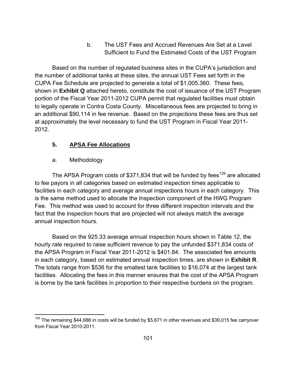b. The UST Fees and Accrued Revenues Are Set at a Level Sufficient to Fund the Estimated Costs of the UST Program

 Based on the number of regulated business sites in the CUPA's jurisdiction and the number of additional tanks at these sites, the annual UST Fees set forth in the CUPA Fee Schedule are projected to generate a total of \$1,005,360. These fees, shown in **Exhibit Q** attached hereto, constitute the cost of issuance of the UST Program portion of the Fiscal Year 2011-2012 CUPA permit that regulated facilities must obtain to legally operate in Contra Costa County. Miscellaneous fees are projected to bring in an additional \$90,114 in fee revenue. Based on the projections these fees are thus set at approximately the level necessary to fund the UST Program in Fiscal Year 2011- 2012.

# **5. APSA Fee Allocations**

# a. Methodology

The APSA Program costs of \$371,834 that will be funded by fees<sup>129</sup> are allocated to fee payors in all categories based on estimated inspection times applicable to facilities in each category and average annual inspections hours in each category. This is the same method used to allocate the Inspection component of the HWG Program Fee. This method was used to account for three different inspection intervals and the fact that the inspection hours that are projected will not always match the average annual inspection hours.

 Based on the 925.33 average annual inspection hours shown in Table 12, the hourly rate required to raise sufficient revenue to pay the unfunded \$371,834 costs of the APSA Program in Fiscal Year 2011-2012 is \$401.84. The associated fee amounts in each category, based on estimated annual inspection times, are shown in **Exhibit R**. The totals range from \$536 for the smallest tank facilities to \$16,074 at the largest tank facilities. Allocating the fees in this manner ensures that the cost of the APSA Program is borne by the tank facilities in proportion to their respective burdens on the program.

<sup>1</sup>  $129$  The remaining \$44,686 in costs will be funded by \$5,671 in other revenues and \$39,015 fee carryover from Fiscal Year 2010-2011.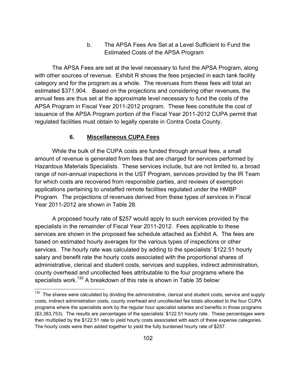b. The APSA Fees Are Set at a Level Sufficient to Fund the Estimated Costs of the APSA Program

 The APSA Fees are set at the level necessary to fund the APSA Program, along with other sources of revenue. Exhibit R shows the fees projected in each tank facility category and for the program as a whole. The revenues from these fees will total an estimated \$371,904. Based on the projections and considering other revenues, the annual fees are thus set at the approximate level necessary to fund the costs of the APSA Program in Fiscal Year 2011-2012 program. These fees constitute the cost of issuance of the APSA Program portion of the Fiscal Year 2011-2012 CUPA permit that regulated facilities must obtain to legally operate in Contra Costa County.

### **6. Miscellaneous CUPA Fees**

 $\overline{a}$ 

 While the bulk of the CUPA costs are funded through annual fees, a small amount of revenue is generated from fees that are charged for services performed by Hazardous Materials Specialists. These services include, but are not limited to, a broad range of non-annual inspections in the UST Program, services provided by the IR Team for which costs are recovered from responsible parties, and reviews of exemption applications pertaining to unstaffed remote facilities regulated under the HMBP Program. The projections of revenues derived from these types of services in Fiscal Year 2011-2012 are shown in Table 28.

 A proposed hourly rate of \$257 would apply to such services provided by the specialists in the remainder of Fiscal Year 2011-2012. Fees applicable to these services are shown in the proposed fee schedule attached as Exhibit A. The fees are based on estimated hourly averages for the various types of inspections or other services. The hourly rate was calculated by adding to the specialists' \$122.51 hourly salary and benefit rate the hourly costs associated with the proportional shares of administrative, clerical and student costs, services and supplies, indirect administration, county overhead and uncollected fees attributable to the four programs where the specialists work.130 A breakdown of this rate is shown in Table 35 below:

<sup>&</sup>lt;sup>130</sup> The shares were calculated by dividing the administrative, clerical and student costs, service and supply costs, indirect administration costs, county overhead and uncollected fee totals allocated to the four CUPA programs where the specialists work by the regular hour specialist salaries and benefits in those programs (\$3,383,753). The results are percentages of the specialists' \$122.51 hourly rate. These percentages were then multiplied by the \$122.51 rate to yield hourly costs associated with each of these expense categories. The hourly costs were then added together to yield the fully burdened hourly rate of \$257.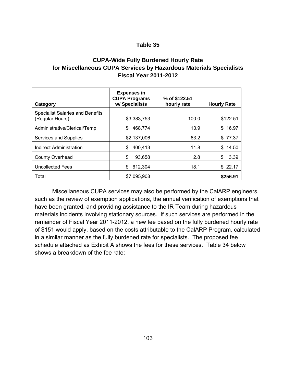# **CUPA-Wide Fully Burdened Hourly Rate for Miscellaneous CUPA Services by Hazardous Materials Specialists Fiscal Year 2011-2012**

| Category                                                   | <b>Expenses in</b><br><b>CUPA Programs</b><br>w/ Specialists | % of \$122.51<br>hourly rate | <b>Hourly Rate</b> |
|------------------------------------------------------------|--------------------------------------------------------------|------------------------------|--------------------|
| <b>Specialist Salaries and Benefits</b><br>(Regular Hours) | \$3,383,753                                                  | 100.0                        | \$122.51           |
| Administrative/Clerical/Temp                               | 468.774<br>S                                                 | 13.9                         | 16.97<br>\$        |
| Services and Supplies                                      | \$2,137,006                                                  | 63.2                         | \$77.37            |
| Indirect Administration                                    | 400,413<br>S                                                 | 11.8                         | \$<br>14.50        |
| <b>County Overhead</b>                                     | \$<br>93,658                                                 | 2.8                          | \$<br>3.39         |
| <b>Uncollected Fees</b>                                    | 612,304<br>\$.                                               | 18.1                         | \$22.17            |
| Total                                                      | \$7,095,908                                                  |                              | \$256.91           |

 Miscellaneous CUPA services may also be performed by the CalARP engineers, such as the review of exemption applications, the annual verification of exemptions that have been granted, and providing assistance to the IR Team during hazardous materials incidents involving stationary sources. If such services are performed in the remainder of Fiscal Year 2011-2012, a new fee based on the fully burdened hourly rate of \$151 would apply, based on the costs attributable to the CalARP Program, calculated in a similar manner as the fully burdened rate for specialists. The proposed fee schedule attached as Exhibit A shows the fees for these services. Table 34 below shows a breakdown of the fee rate: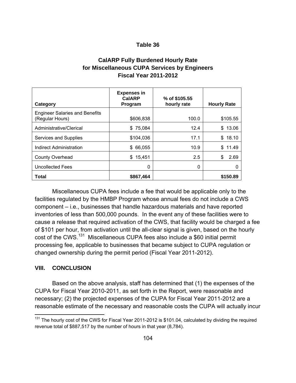# **CalARP Fully Burdened Hourly Rate for Miscellaneous CUPA Services by Engineers Fiscal Year 2011-2012**

| Category                                                 | <b>Expenses in</b><br><b>CalARP</b><br>Program | % of \$105.55<br>hourly rate | <b>Hourly Rate</b> |
|----------------------------------------------------------|------------------------------------------------|------------------------------|--------------------|
| <b>Engineer Salaries and Benefits</b><br>(Regular Hours) | \$606,838                                      | 100.0                        | \$105.55           |
| Administrative/Clerical                                  | 75,084<br>\$                                   | 12.4                         | \$13.06            |
| Services and Supplies                                    | \$104,036                                      | 17.1                         | 18.10<br>\$        |
| Indirect Administration                                  | \$ 66,055                                      | 10.9                         | \$11.49            |
| <b>County Overhead</b>                                   | \$15,451                                       | 2.5                          | \$<br>2.69         |
| <b>Uncollected Fees</b>                                  | 0                                              | 0                            |                    |
| <b>Total</b>                                             | \$867,464                                      |                              | \$150.89           |

 Miscellaneous CUPA fees include a fee that would be applicable only to the facilities regulated by the HMBP Program whose annual fees do not include a CWS component – i.e., businesses that handle hazardous materials and have reported inventories of less than 500,000 pounds. In the event any of these facilities were to cause a release that required activation of the CWS, that facility would be charged a fee of \$101 per hour, from activation until the all-clear signal is given, based on the hourly cost of the CWS.131 Miscellaneous CUPA fees also include a \$60 initial permit processing fee, applicable to businesses that became subject to CUPA regulation or changed ownership during the permit period (Fiscal Year 2011-2012).

### **VIII. CONCLUSION**

 $\overline{a}$ 

 Based on the above analysis, staff has determined that (1) the expenses of the CUPA for Fiscal Year 2010-2011, as set forth in the Report, were reasonable and necessary; (2) the projected expenses of the CUPA for Fiscal Year 2011-2012 are a reasonable estimate of the necessary and reasonable costs the CUPA will actually incur

 $131$  The hourly cost of the CWS for Fiscal Year 2011-2012 is \$101.04, calculated by dividing the required revenue total of \$887,517 by the number of hours in that year (8,784).